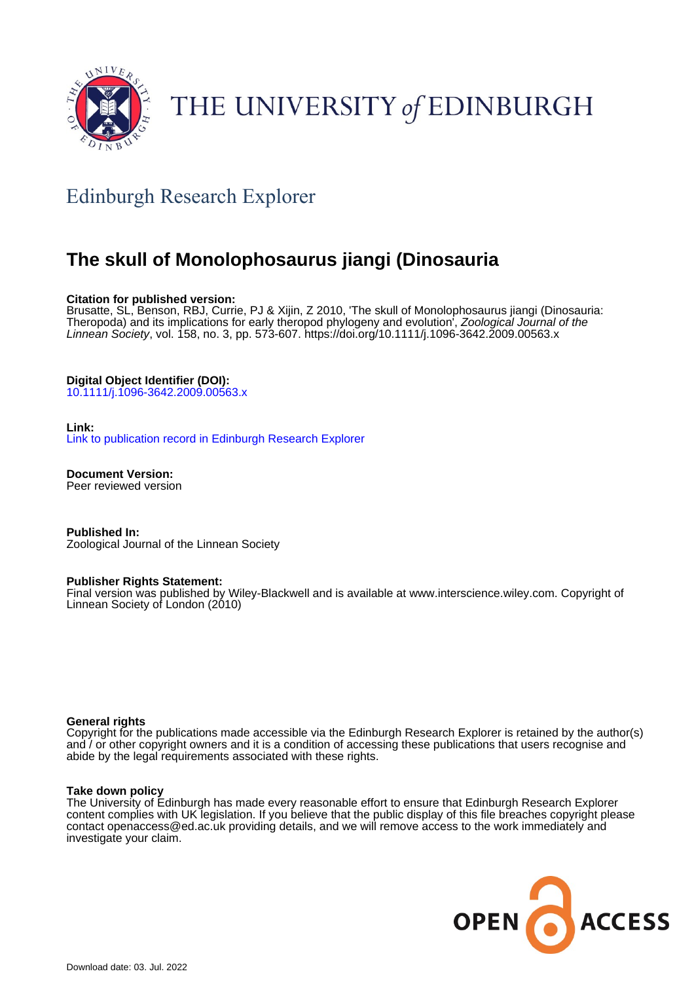

# THE UNIVERSITY of EDINBURGH

# Edinburgh Research Explorer

# **The skull of Monolophosaurus jiangi (Dinosauria**

## **Citation for published version:**

Brusatte, SL, Benson, RBJ, Currie, PJ & Xijin, Z 2010, 'The skull of Monolophosaurus jiangi (Dinosauria: Theropoda) and its implications for early theropod phylogeny and evolution<sup>'</sup>, Zoological Journal of the Linnean Society, vol. 158, no. 3, pp. 573-607.<https://doi.org/10.1111/j.1096-3642.2009.00563.x>

# **Digital Object Identifier (DOI):**

[10.1111/j.1096-3642.2009.00563.x](https://doi.org/10.1111/j.1096-3642.2009.00563.x)

#### **Link:**

[Link to publication record in Edinburgh Research Explorer](https://www.research.ed.ac.uk/en/publications/9db48bd7-0312-40ee-96a5-dccc897fd0cd)

**Document Version:** Peer reviewed version

**Published In:** Zoological Journal of the Linnean Society

#### **Publisher Rights Statement:**

Final version was published by Wiley-Blackwell and is available at www.interscience.wiley.com. Copyright of Linnean Society of London (2010)

#### **General rights**

Copyright for the publications made accessible via the Edinburgh Research Explorer is retained by the author(s) and / or other copyright owners and it is a condition of accessing these publications that users recognise and abide by the legal requirements associated with these rights.

#### **Take down policy**

The University of Edinburgh has made every reasonable effort to ensure that Edinburgh Research Explorer content complies with UK legislation. If you believe that the public display of this file breaches copyright please contact openaccess@ed.ac.uk providing details, and we will remove access to the work immediately and investigate your claim.

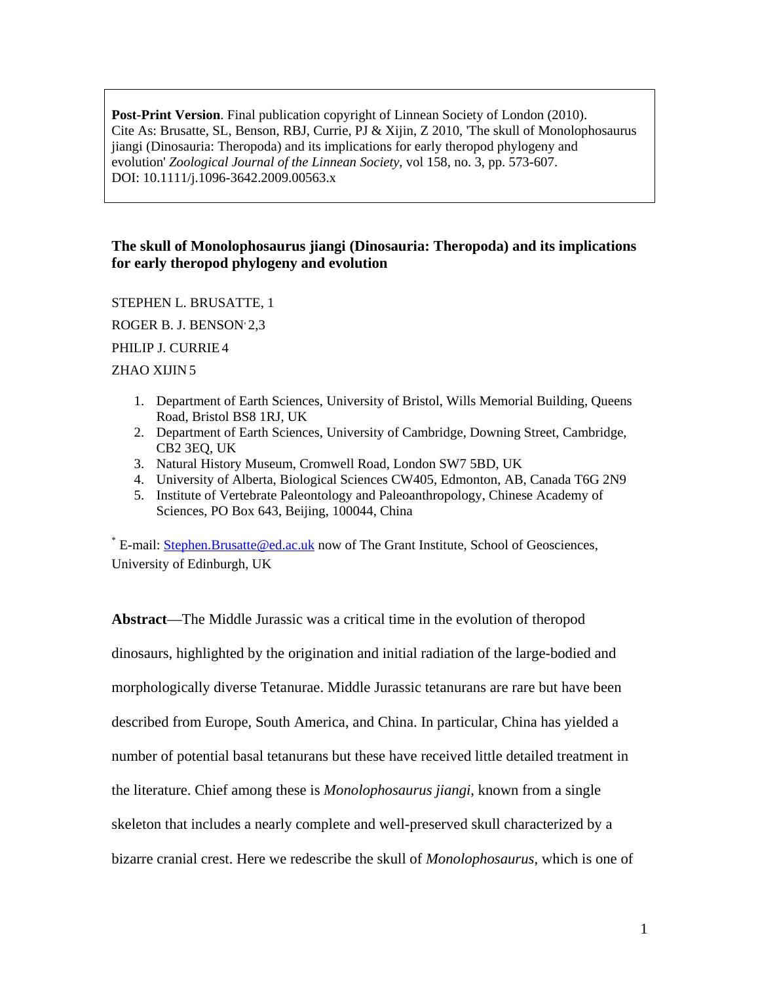**Post-Print Version.** Final publication copyright of Linnean Society of London (2010). Cite As: Brusatte, SL, Benson, RBJ, Currie, PJ & Xijin, Z 2010, 'The skull of Monolophosaurus jiangi (Dinosauria: Theropoda) and its implications for early theropod phylogeny and evolution' *Zoological Journal of the Linnean Society*, vol 158, no. 3, pp. 573-607. DOI: 10.1111/j.1096-3642.2009.00563.x

# **The skull of Monolophosaurus jiangi (Dinosauria: Theropoda) and its implications for early theropod phylogeny and evolution**

STEPHEN L. BRUSATTE, 1

ROGER B. J. BENSON<sup>2</sup>,3

PHILIP J. CURRIE 4

# ZHAO XIJIN 5

- 1. Department of Earth Sciences, University of Bristol, Wills Memorial Building, Queens Road, Bristol BS8 1RJ, UK
- 2. Department of Earth Sciences, University of Cambridge, Downing Street, Cambridge, CB2 3EQ, UK
- 3. Natural History Museum, Cromwell Road, London SW7 5BD, UK
- 4. University of Alberta, Biological Sciences CW405, Edmonton, AB, Canada T6G 2N9
- 5. Institute of Vertebrate Paleontology and Paleoanthropology, Chinese Academy of Sciences, PO Box 643, Beijing, 100044, China

\* E-mail: [Stephen.Brusatte@ed.ac.uk](mailto:Stephen.Brusatte@ed.ac.uk) now of The Grant Institute, School of Geosciences, University of Edinburgh, UK

**Abstract**—The Middle Jurassic was a critical time in the evolution of theropod dinosaurs, highlighted by the origination and initial radiation of the large-bodied and morphologically diverse Tetanurae. Middle Jurassic tetanurans are rare but have been described from Europe, South America, and China. In particular, China has yielded a number of potential basal tetanurans but these have received little detailed treatment in the literature. Chief among these is *Monolophosaurus jiangi*, known from a single skeleton that includes a nearly complete and well-preserved skull characterized by a bizarre cranial crest. Here we redescribe the skull of *Monolophosaurus*, which is one of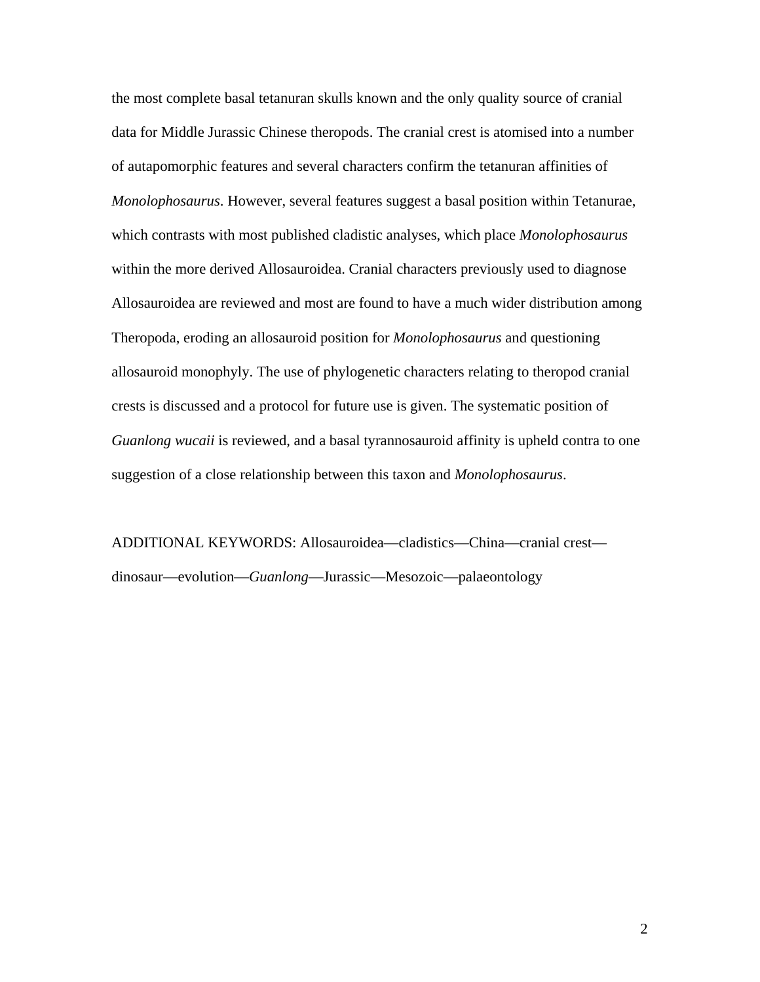the most complete basal tetanuran skulls known and the only quality source of cranial data for Middle Jurassic Chinese theropods. The cranial crest is atomised into a number of autapomorphic features and several characters confirm the tetanuran affinities of *Monolophosaurus*. However, several features suggest a basal position within Tetanurae, which contrasts with most published cladistic analyses, which place *Monolophosaurus* within the more derived Allosauroidea. Cranial characters previously used to diagnose Allosauroidea are reviewed and most are found to have a much wider distribution among Theropoda, eroding an allosauroid position for *Monolophosaurus* and questioning allosauroid monophyly. The use of phylogenetic characters relating to theropod cranial crests is discussed and a protocol for future use is given. The systematic position of *Guanlong wucaii* is reviewed, and a basal tyrannosauroid affinity is upheld contra to one suggestion of a close relationship between this taxon and *Monolophosaurus*.

ADDITIONAL KEYWORDS: Allosauroidea—cladistics—China—cranial crest dinosaur—evolution—*Guanlong*—Jurassic—Mesozoic—palaeontology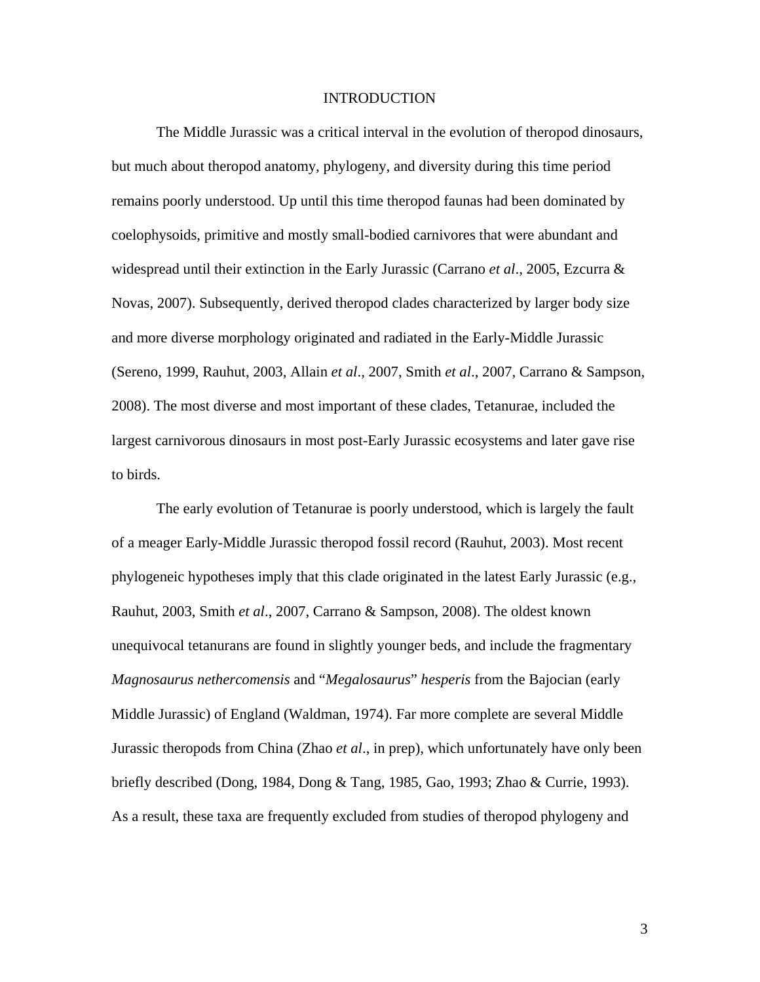# INTRODUCTION

The Middle Jurassic was a critical interval in the evolution of theropod dinosaurs, but much about theropod anatomy, phylogeny, and diversity during this time period remains poorly understood. Up until this time theropod faunas had been dominated by coelophysoids, primitive and mostly small-bodied carnivores that were abundant and widespread until their extinction in the Early Jurassic (Carrano *et al*., 2005, Ezcurra & Novas, 2007). Subsequently, derived theropod clades characterized by larger body size and more diverse morphology originated and radiated in the Early-Middle Jurassic (Sereno, 1999, Rauhut, 2003, Allain *et al*., 2007, Smith *et al*., 2007, Carrano & Sampson, 2008). The most diverse and most important of these clades, Tetanurae, included the largest carnivorous dinosaurs in most post-Early Jurassic ecosystems and later gave rise to birds.

The early evolution of Tetanurae is poorly understood, which is largely the fault of a meager Early-Middle Jurassic theropod fossil record (Rauhut, 2003). Most recent phylogeneic hypotheses imply that this clade originated in the latest Early Jurassic (e.g., Rauhut, 2003, Smith *et al*., 2007, Carrano & Sampson, 2008). The oldest known unequivocal tetanurans are found in slightly younger beds, and include the fragmentary *Magnosaurus nethercomensis* and "*Megalosaurus*" *hesperis* from the Bajocian (early Middle Jurassic) of England (Waldman, 1974). Far more complete are several Middle Jurassic theropods from China (Zhao *et al*., in prep), which unfortunately have only been briefly described (Dong, 1984, Dong & Tang, 1985, Gao, 1993; Zhao & Currie, 1993). As a result, these taxa are frequently excluded from studies of theropod phylogeny and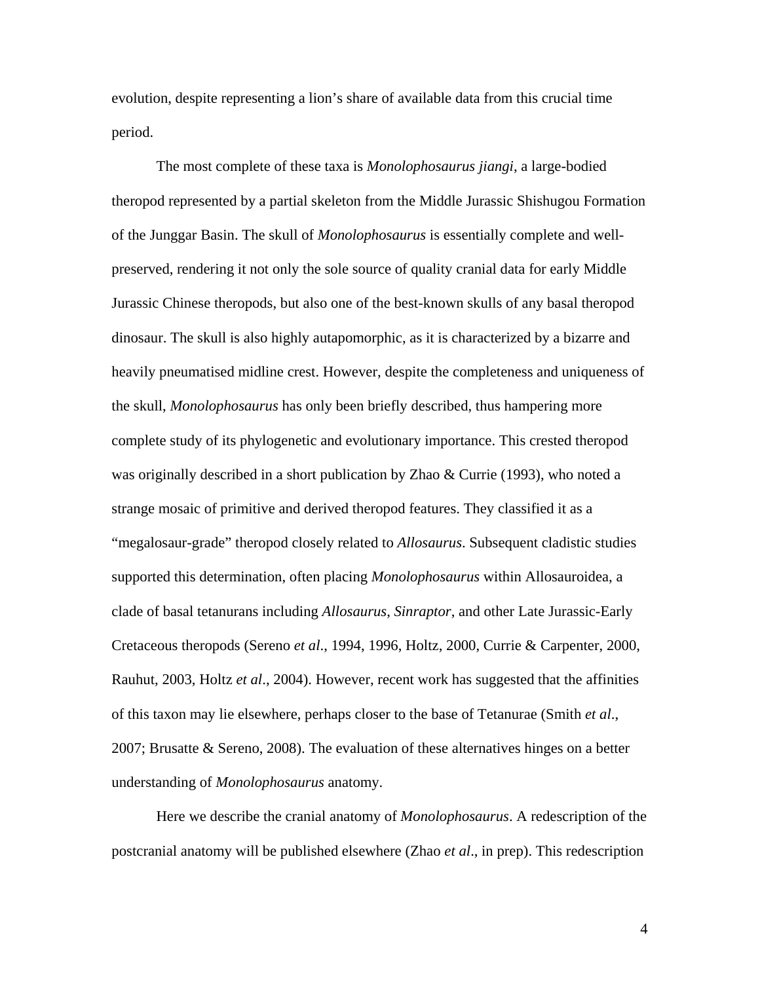evolution, despite representing a lion's share of available data from this crucial time period.

The most complete of these taxa is *Monolophosaurus jiangi*, a large-bodied theropod represented by a partial skeleton from the Middle Jurassic Shishugou Formation of the Junggar Basin. The skull of *Monolophosaurus* is essentially complete and wellpreserved, rendering it not only the sole source of quality cranial data for early Middle Jurassic Chinese theropods, but also one of the best-known skulls of any basal theropod dinosaur. The skull is also highly autapomorphic, as it is characterized by a bizarre and heavily pneumatised midline crest. However, despite the completeness and uniqueness of the skull, *Monolophosaurus* has only been briefly described, thus hampering more complete study of its phylogenetic and evolutionary importance. This crested theropod was originally described in a short publication by Zhao & Currie (1993), who noted a strange mosaic of primitive and derived theropod features. They classified it as a "megalosaur-grade" theropod closely related to *Allosaurus*. Subsequent cladistic studies supported this determination, often placing *Monolophosaurus* within Allosauroidea, a clade of basal tetanurans including *Allosaurus*, *Sinraptor*, and other Late Jurassic-Early Cretaceous theropods (Sereno *et al*., 1994, 1996, Holtz, 2000, Currie & Carpenter, 2000, Rauhut, 2003, Holtz *et al*., 2004). However, recent work has suggested that the affinities of this taxon may lie elsewhere, perhaps closer to the base of Tetanurae (Smith *et al*., 2007; Brusatte & Sereno, 2008). The evaluation of these alternatives hinges on a better understanding of *Monolophosaurus* anatomy.

Here we describe the cranial anatomy of *Monolophosaurus*. A redescription of the postcranial anatomy will be published elsewhere (Zhao *et al*., in prep). This redescription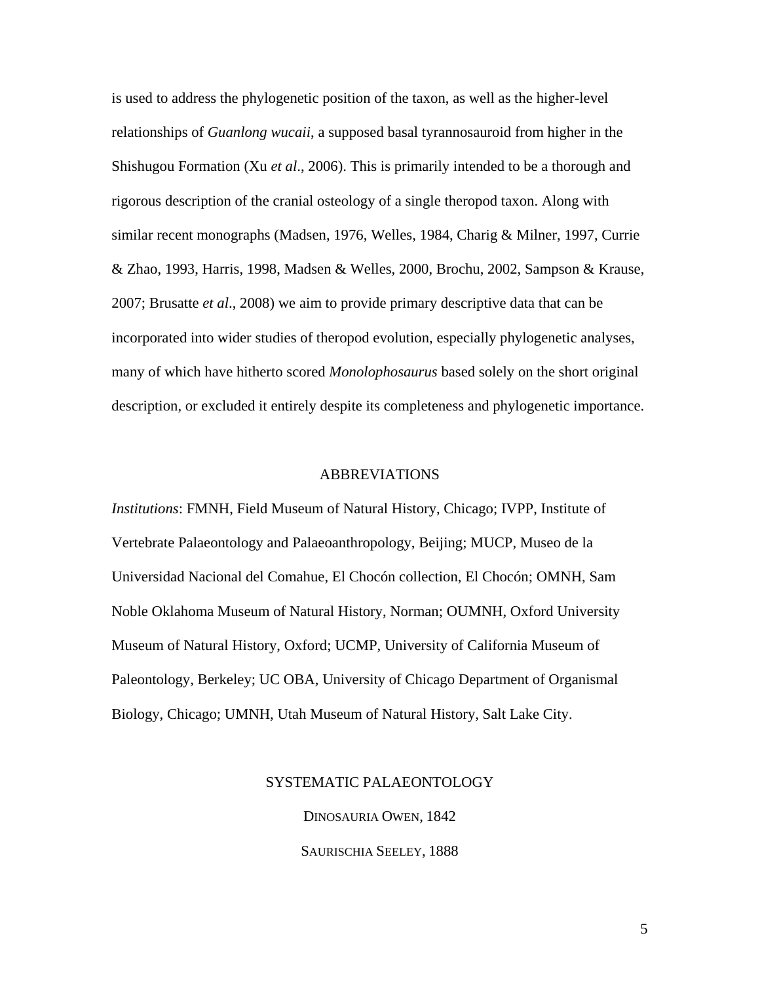is used to address the phylogenetic position of the taxon, as well as the higher-level relationships of *Guanlong wucaii*, a supposed basal tyrannosauroid from higher in the Shishugou Formation (Xu *et al*., 2006). This is primarily intended to be a thorough and rigorous description of the cranial osteology of a single theropod taxon. Along with similar recent monographs (Madsen, 1976, Welles, 1984, Charig & Milner, 1997, Currie & Zhao, 1993, Harris, 1998, Madsen & Welles, 2000, Brochu, 2002, Sampson & Krause, 2007; Brusatte *et al*., 2008) we aim to provide primary descriptive data that can be incorporated into wider studies of theropod evolution, especially phylogenetic analyses, many of which have hitherto scored *Monolophosaurus* based solely on the short original description, or excluded it entirely despite its completeness and phylogenetic importance.

# ABBREVIATIONS

*Institutions*: FMNH, Field Museum of Natural History, Chicago; IVPP, Institute of Vertebrate Palaeontology and Palaeoanthropology, Beijing; MUCP, Museo de la Universidad Nacional del Comahue, El Chocón collection, El Chocón; OMNH, Sam Noble Oklahoma Museum of Natural History, Norman; OUMNH, Oxford University Museum of Natural History, Oxford; UCMP, University of California Museum of Paleontology, Berkeley; UC OBA, University of Chicago Department of Organismal Biology, Chicago; UMNH, Utah Museum of Natural History, Salt Lake City.

# SYSTEMATIC PALAEONTOLOGY

DINOSAURIA OWEN, 1842 SAURISCHIA SEELEY, 1888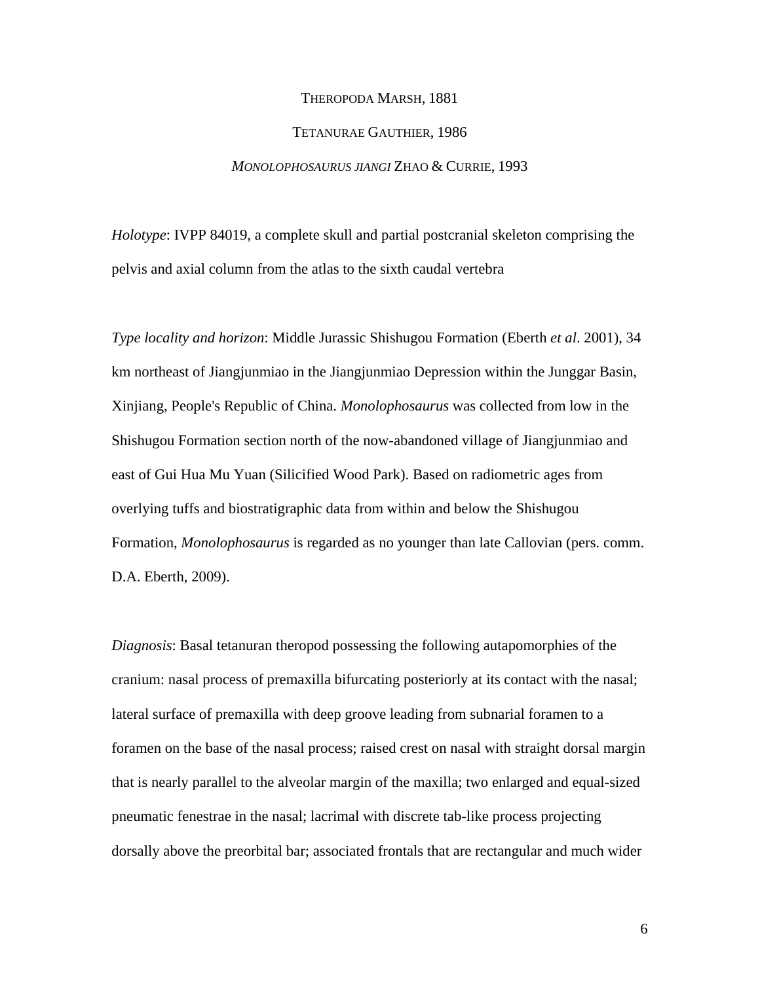#### THEROPODA MARSH, 1881

# TETANURAE GAUTHIER, 1986

## *MONOLOPHOSAURUS JIANGI* ZHAO & CURRIE, 1993

*Holotype*: IVPP 84019, a complete skull and partial postcranial skeleton comprising the pelvis and axial column from the atlas to the sixth caudal vertebra

*Type locality and horizon*: Middle Jurassic Shishugou Formation (Eberth *et al*. 2001), 34 km northeast of Jiangjunmiao in the Jiangjunmiao Depression within the Junggar Basin, Xinjiang, People's Republic of China. *Monolophosaurus* was collected from low in the Shishugou Formation section north of the now-abandoned village of Jiangjunmiao and east of Gui Hua Mu Yuan (Silicified Wood Park). Based on radiometric ages from overlying tuffs and biostratigraphic data from within and below the Shishugou Formation, *Monolophosaurus* is regarded as no younger than late Callovian (pers. comm. D.A. Eberth, 2009).

*Diagnosis*: Basal tetanuran theropod possessing the following autapomorphies of the cranium: nasal process of premaxilla bifurcating posteriorly at its contact with the nasal; lateral surface of premaxilla with deep groove leading from subnarial foramen to a foramen on the base of the nasal process; raised crest on nasal with straight dorsal margin that is nearly parallel to the alveolar margin of the maxilla; two enlarged and equal-sized pneumatic fenestrae in the nasal; lacrimal with discrete tab-like process projecting dorsally above the preorbital bar; associated frontals that are rectangular and much wider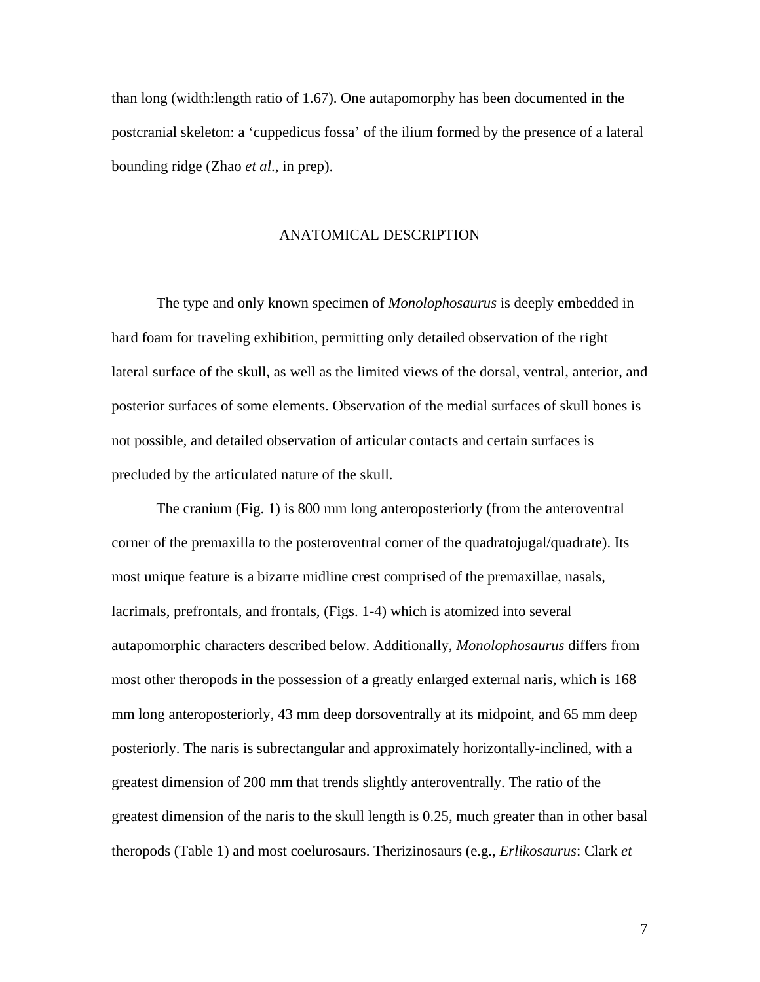than long (width:length ratio of 1.67). One autapomorphy has been documented in the postcranial skeleton: a 'cuppedicus fossa' of the ilium formed by the presence of a lateral bounding ridge (Zhao *et al*., in prep).

# ANATOMICAL DESCRIPTION

The type and only known specimen of *Monolophosaurus* is deeply embedded in hard foam for traveling exhibition, permitting only detailed observation of the right lateral surface of the skull, as well as the limited views of the dorsal, ventral, anterior, and posterior surfaces of some elements. Observation of the medial surfaces of skull bones is not possible, and detailed observation of articular contacts and certain surfaces is precluded by the articulated nature of the skull.

The cranium (Fig. 1) is 800 mm long anteroposteriorly (from the anteroventral corner of the premaxilla to the posteroventral corner of the quadratojugal/quadrate). Its most unique feature is a bizarre midline crest comprised of the premaxillae, nasals, lacrimals, prefrontals, and frontals, (Figs. 1-4) which is atomized into several autapomorphic characters described below. Additionally, *Monolophosaurus* differs from most other theropods in the possession of a greatly enlarged external naris, which is 168 mm long anteroposteriorly, 43 mm deep dorsoventrally at its midpoint, and 65 mm deep posteriorly. The naris is subrectangular and approximately horizontally-inclined, with a greatest dimension of 200 mm that trends slightly anteroventrally. The ratio of the greatest dimension of the naris to the skull length is 0.25, much greater than in other basal theropods (Table 1) and most coelurosaurs. Therizinosaurs (e.g., *Erlikosaurus*: Clark *et*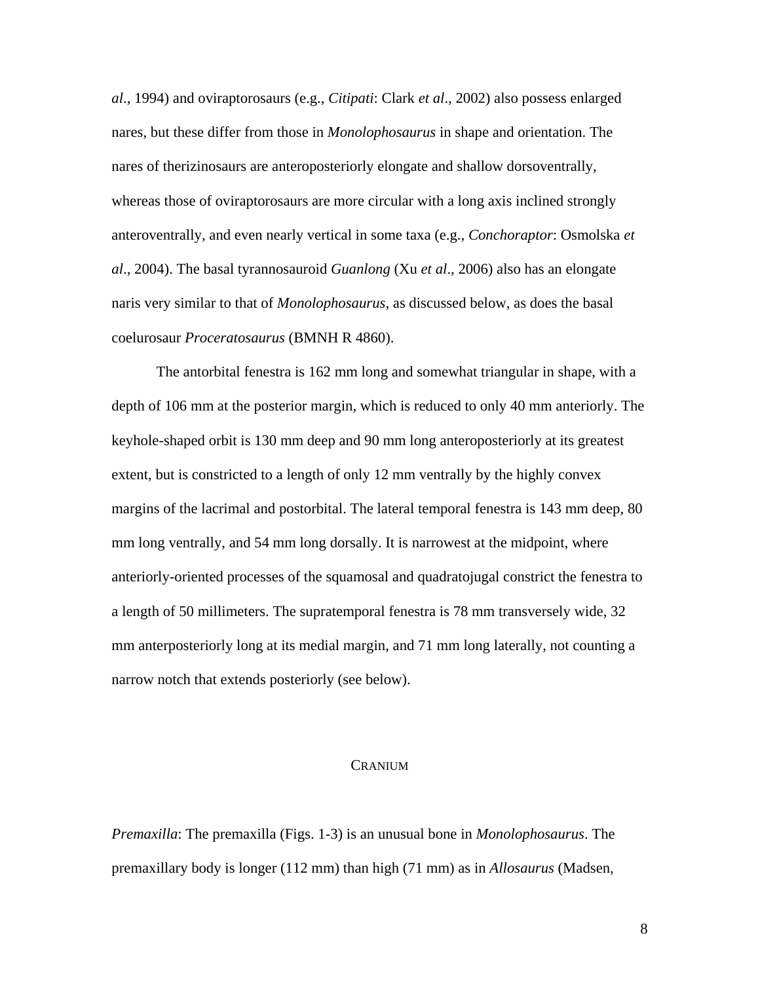*al*., 1994) and oviraptorosaurs (e.g., *Citipati*: Clark *et al*., 2002) also possess enlarged nares, but these differ from those in *Monolophosaurus* in shape and orientation. The nares of therizinosaurs are anteroposteriorly elongate and shallow dorsoventrally, whereas those of oviraptorosaurs are more circular with a long axis inclined strongly anteroventrally, and even nearly vertical in some taxa (e.g., *Conchoraptor*: Osmolska *et al*., 2004). The basal tyrannosauroid *Guanlong* (Xu *et al*., 2006) also has an elongate naris very similar to that of *Monolophosaurus*, as discussed below, as does the basal coelurosaur *Proceratosaurus* (BMNH R 4860).

The antorbital fenestra is 162 mm long and somewhat triangular in shape, with a depth of 106 mm at the posterior margin, which is reduced to only 40 mm anteriorly. The keyhole-shaped orbit is 130 mm deep and 90 mm long anteroposteriorly at its greatest extent, but is constricted to a length of only 12 mm ventrally by the highly convex margins of the lacrimal and postorbital. The lateral temporal fenestra is 143 mm deep, 80 mm long ventrally, and 54 mm long dorsally. It is narrowest at the midpoint, where anteriorly-oriented processes of the squamosal and quadratojugal constrict the fenestra to a length of 50 millimeters. The supratemporal fenestra is 78 mm transversely wide, 32 mm anterposteriorly long at its medial margin, and 71 mm long laterally, not counting a narrow notch that extends posteriorly (see below).

# CRANIUM

*Premaxilla*: The premaxilla (Figs. 1-3) is an unusual bone in *Monolophosaurus*. The premaxillary body is longer (112 mm) than high (71 mm) as in *Allosaurus* (Madsen,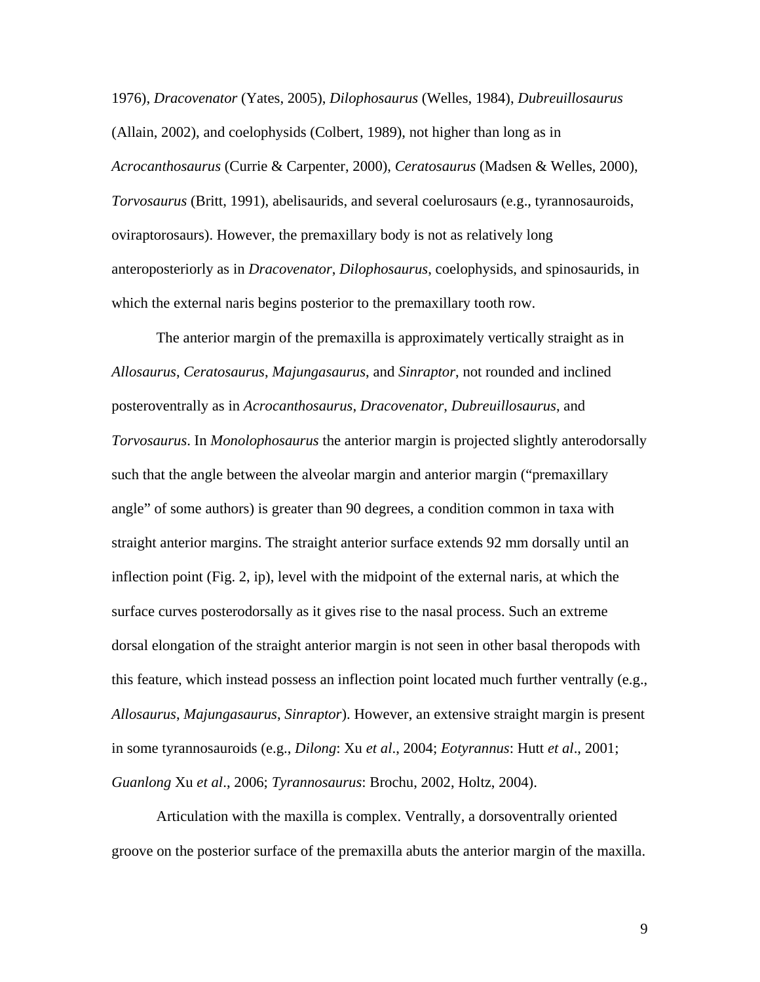1976), *Dracovenator* (Yates, 2005), *Dilophosaurus* (Welles, 1984), *Dubreuillosaurus* (Allain, 2002), and coelophysids (Colbert, 1989), not higher than long as in *Acrocanthosaurus* (Currie & Carpenter, 2000), *Ceratosaurus* (Madsen & Welles, 2000), *Torvosaurus* (Britt, 1991), abelisaurids, and several coelurosaurs (e.g., tyrannosauroids, oviraptorosaurs). However, the premaxillary body is not as relatively long anteroposteriorly as in *Dracovenator*, *Dilophosaurus*, coelophysids, and spinosaurids, in which the external naris begins posterior to the premaxillary tooth row.

The anterior margin of the premaxilla is approximately vertically straight as in *Allosaurus*, *Ceratosaurus*, *Majungasaurus*, and *Sinraptor*, not rounded and inclined posteroventrally as in *Acrocanthosaurus*, *Dracovenator*, *Dubreuillosaurus*, and *Torvosaurus*. In *Monolophosaurus* the anterior margin is projected slightly anterodorsally such that the angle between the alveolar margin and anterior margin ("premaxillary angle" of some authors) is greater than 90 degrees, a condition common in taxa with straight anterior margins. The straight anterior surface extends 92 mm dorsally until an inflection point (Fig. 2, ip), level with the midpoint of the external naris, at which the surface curves posterodorsally as it gives rise to the nasal process. Such an extreme dorsal elongation of the straight anterior margin is not seen in other basal theropods with this feature, which instead possess an inflection point located much further ventrally (e.g., *Allosaurus*, *Majungasaurus*, *Sinraptor*). However, an extensive straight margin is present in some tyrannosauroids (e.g., *Dilong*: Xu *et al*., 2004; *Eotyrannus*: Hutt *et al*., 2001; *Guanlong* Xu *et al*., 2006; *Tyrannosaurus*: Brochu, 2002, Holtz, 2004).

Articulation with the maxilla is complex. Ventrally, a dorsoventrally oriented groove on the posterior surface of the premaxilla abuts the anterior margin of the maxilla.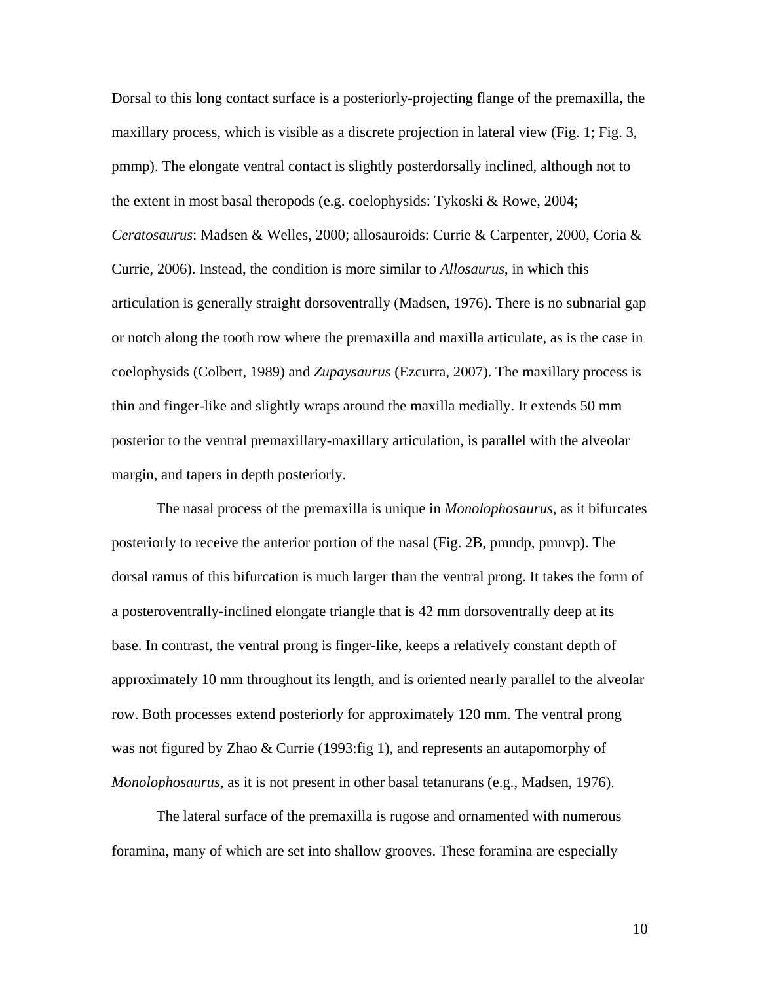Dorsal to this long contact surface is a posteriorly-projecting flange of the premaxilla, the maxillary process, which is visible as a discrete projection in lateral view (Fig. 1; Fig. 3, pmmp). The elongate ventral contact is slightly posterdorsally inclined, although not to the extent in most basal theropods (e.g. coelophysids: Tykoski & Rowe, 2004; *Ceratosaurus*: Madsen & Welles, 2000; allosauroids: Currie & Carpenter, 2000, Coria & Currie, 2006). Instead, the condition is more similar to *Allosaurus*, in which this articulation is generally straight dorsoventrally (Madsen, 1976). There is no subnarial gap or notch along the tooth row where the premaxilla and maxilla articulate, as is the case in coelophysids (Colbert, 1989) and *Zupaysaurus* (Ezcurra, 2007). The maxillary process is thin and finger-like and slightly wraps around the maxilla medially. It extends 50 mm posterior to the ventral premaxillary-maxillary articulation, is parallel with the alveolar margin, and tapers in depth posteriorly.

The nasal process of the premaxilla is unique in *Monolophosaurus*, as it bifurcates posteriorly to receive the anterior portion of the nasal (Fig. 2B, pmndp, pmnvp). The dorsal ramus of this bifurcation is much larger than the ventral prong. It takes the form of a posteroventrally-inclined elongate triangle that is 42 mm dorsoventrally deep at its base. In contrast, the ventral prong is finger-like, keeps a relatively constant depth of approximately 10 mm throughout its length, and is oriented nearly parallel to the alveolar row. Both processes extend posteriorly for approximately 120 mm. The ventral prong was not figured by Zhao & Currie (1993: fig 1), and represents an autapomorphy of *Monolophosaurus*, as it is not present in other basal tetanurans (e.g., Madsen, 1976).

The lateral surface of the premaxilla is rugose and ornamented with numerous foramina, many of which are set into shallow grooves. These foramina are especially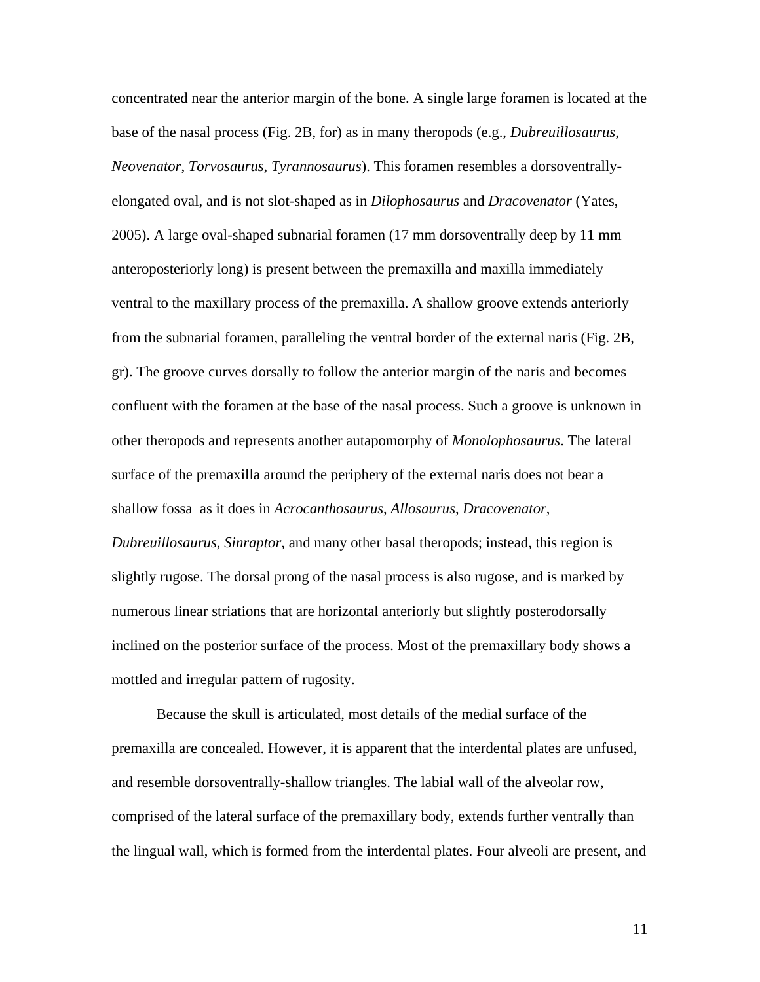concentrated near the anterior margin of the bone. A single large foramen is located at the base of the nasal process (Fig. 2B, for) as in many theropods (e.g., *Dubreuillosaurus*, *Neovenator*, *Torvosaurus*, *Tyrannosaurus*). This foramen resembles a dorsoventrallyelongated oval, and is not slot-shaped as in *Dilophosaurus* and *Dracovenator* (Yates, 2005). A large oval-shaped subnarial foramen (17 mm dorsoventrally deep by 11 mm anteroposteriorly long) is present between the premaxilla and maxilla immediately ventral to the maxillary process of the premaxilla. A shallow groove extends anteriorly from the subnarial foramen, paralleling the ventral border of the external naris (Fig. 2B, gr). The groove curves dorsally to follow the anterior margin of the naris and becomes confluent with the foramen at the base of the nasal process. Such a groove is unknown in other theropods and represents another autapomorphy of *Monolophosaurus*. The lateral surface of the premaxilla around the periphery of the external naris does not bear a shallow fossa as it does in *Acrocanthosaurus*, *Allosaurus*, *Dracovenator*, *Dubreuillosaurus*, *Sinraptor*, and many other basal theropods; instead, this region is slightly rugose. The dorsal prong of the nasal process is also rugose, and is marked by numerous linear striations that are horizontal anteriorly but slightly posterodorsally inclined on the posterior surface of the process. Most of the premaxillary body shows a mottled and irregular pattern of rugosity.

Because the skull is articulated, most details of the medial surface of the premaxilla are concealed. However, it is apparent that the interdental plates are unfused, and resemble dorsoventrally-shallow triangles. The labial wall of the alveolar row, comprised of the lateral surface of the premaxillary body, extends further ventrally than the lingual wall, which is formed from the interdental plates. Four alveoli are present, and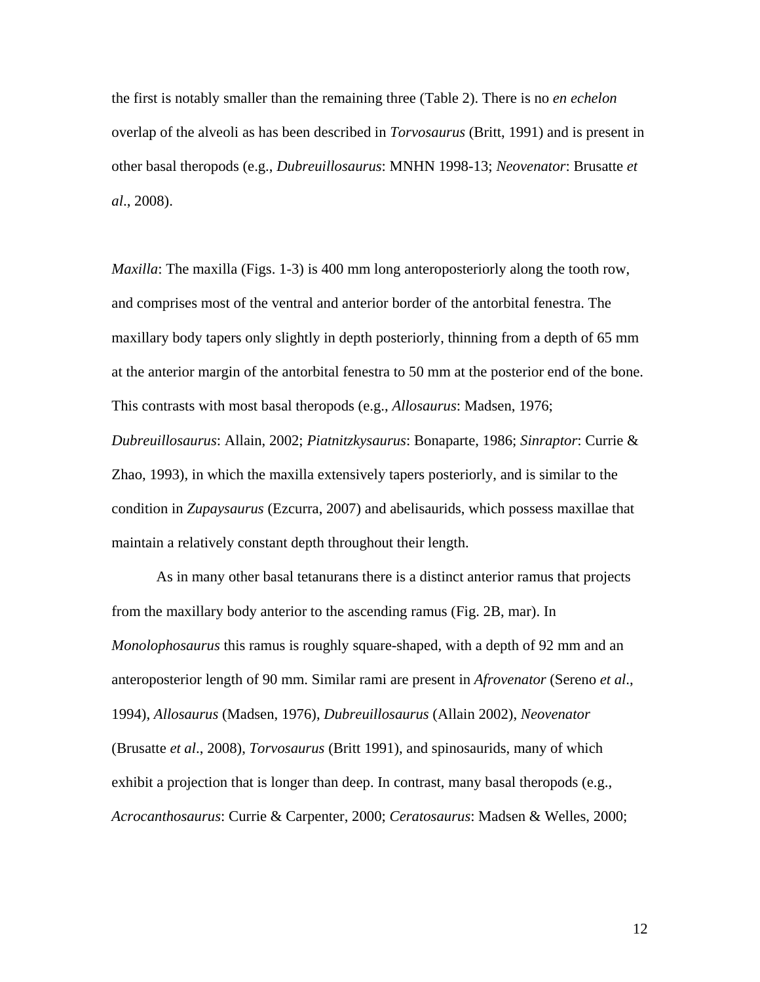the first is notably smaller than the remaining three (Table 2). There is no *en echelon* overlap of the alveoli as has been described in *Torvosaurus* (Britt, 1991) and is present in other basal theropods (e.g., *Dubreuillosaurus*: MNHN 1998-13; *Neovenator*: Brusatte *et al*., 2008).

*Maxilla*: The maxilla (Figs. 1-3) is 400 mm long anteroposteriorly along the tooth row, and comprises most of the ventral and anterior border of the antorbital fenestra. The maxillary body tapers only slightly in depth posteriorly, thinning from a depth of 65 mm at the anterior margin of the antorbital fenestra to 50 mm at the posterior end of the bone. This contrasts with most basal theropods (e.g., *Allosaurus*: Madsen, 1976; *Dubreuillosaurus*: Allain, 2002; *Piatnitzkysaurus*: Bonaparte, 1986; *Sinraptor*: Currie & Zhao, 1993), in which the maxilla extensively tapers posteriorly, and is similar to the condition in *Zupaysaurus* (Ezcurra, 2007) and abelisaurids, which possess maxillae that maintain a relatively constant depth throughout their length.

As in many other basal tetanurans there is a distinct anterior ramus that projects from the maxillary body anterior to the ascending ramus (Fig. 2B, mar). In *Monolophosaurus* this ramus is roughly square-shaped, with a depth of 92 mm and an anteroposterior length of 90 mm. Similar rami are present in *Afrovenator* (Sereno *et al*., 1994), *Allosaurus* (Madsen, 1976), *Dubreuillosaurus* (Allain 2002), *Neovenator* (Brusatte *et al*., 2008), *Torvosaurus* (Britt 1991), and spinosaurids, many of which exhibit a projection that is longer than deep. In contrast, many basal theropods (e.g., *Acrocanthosaurus*: Currie & Carpenter, 2000; *Ceratosaurus*: Madsen & Welles, 2000;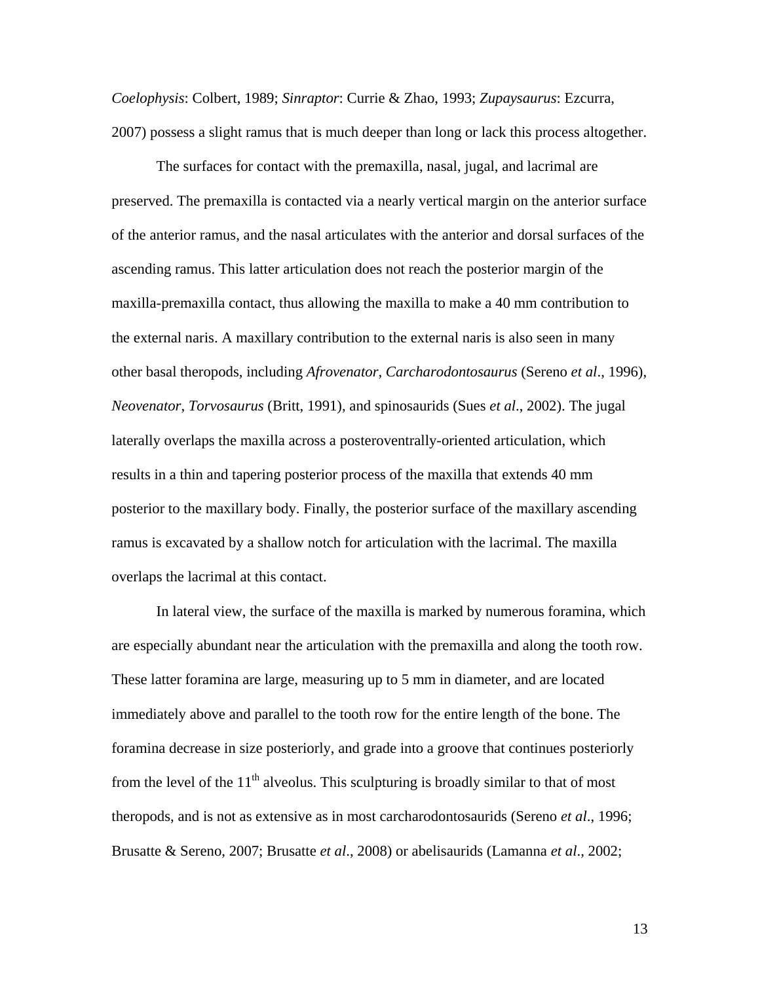*Coelophysis*: Colbert, 1989; *Sinraptor*: Currie & Zhao, 1993; *Zupaysaurus*: Ezcurra, 2007) possess a slight ramus that is much deeper than long or lack this process altogether.

The surfaces for contact with the premaxilla, nasal, jugal, and lacrimal are preserved. The premaxilla is contacted via a nearly vertical margin on the anterior surface of the anterior ramus, and the nasal articulates with the anterior and dorsal surfaces of the ascending ramus. This latter articulation does not reach the posterior margin of the maxilla-premaxilla contact, thus allowing the maxilla to make a 40 mm contribution to the external naris. A maxillary contribution to the external naris is also seen in many other basal theropods, including *Afrovenator*, *Carcharodontosaurus* (Sereno *et al*., 1996), *Neovenator*, *Torvosaurus* (Britt, 1991), and spinosaurids (Sues *et al*., 2002). The jugal laterally overlaps the maxilla across a posteroventrally-oriented articulation, which results in a thin and tapering posterior process of the maxilla that extends 40 mm posterior to the maxillary body. Finally, the posterior surface of the maxillary ascending ramus is excavated by a shallow notch for articulation with the lacrimal. The maxilla overlaps the lacrimal at this contact.

In lateral view, the surface of the maxilla is marked by numerous foramina, which are especially abundant near the articulation with the premaxilla and along the tooth row. These latter foramina are large, measuring up to 5 mm in diameter, and are located immediately above and parallel to the tooth row for the entire length of the bone. The foramina decrease in size posteriorly, and grade into a groove that continues posteriorly from the level of the  $11<sup>th</sup>$  alveolus. This sculpturing is broadly similar to that of most theropods, and is not as extensive as in most carcharodontosaurids (Sereno *et al*., 1996; Brusatte & Sereno, 2007; Brusatte *et al*., 2008) or abelisaurids (Lamanna *et al*., 2002;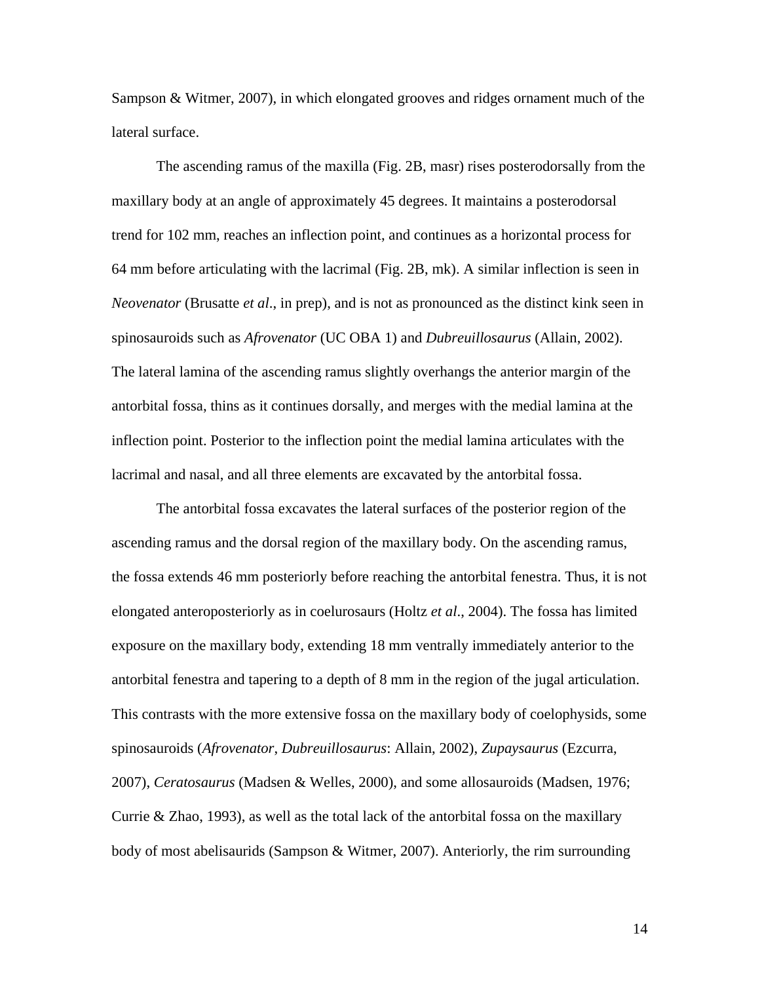Sampson & Witmer, 2007), in which elongated grooves and ridges ornament much of the lateral surface.

The ascending ramus of the maxilla (Fig. 2B, masr) rises posterodorsally from the maxillary body at an angle of approximately 45 degrees. It maintains a posterodorsal trend for 102 mm, reaches an inflection point, and continues as a horizontal process for 64 mm before articulating with the lacrimal (Fig. 2B, mk). A similar inflection is seen in *Neovenator* (Brusatte *et al*., in prep), and is not as pronounced as the distinct kink seen in spinosauroids such as *Afrovenator* (UC OBA 1) and *Dubreuillosaurus* (Allain, 2002). The lateral lamina of the ascending ramus slightly overhangs the anterior margin of the antorbital fossa, thins as it continues dorsally, and merges with the medial lamina at the inflection point. Posterior to the inflection point the medial lamina articulates with the lacrimal and nasal, and all three elements are excavated by the antorbital fossa.

The antorbital fossa excavates the lateral surfaces of the posterior region of the ascending ramus and the dorsal region of the maxillary body. On the ascending ramus, the fossa extends 46 mm posteriorly before reaching the antorbital fenestra. Thus, it is not elongated anteroposteriorly as in coelurosaurs (Holtz *et al*., 2004). The fossa has limited exposure on the maxillary body, extending 18 mm ventrally immediately anterior to the antorbital fenestra and tapering to a depth of 8 mm in the region of the jugal articulation. This contrasts with the more extensive fossa on the maxillary body of coelophysids, some spinosauroids (*Afrovenator*, *Dubreuillosaurus*: Allain, 2002), *Zupaysaurus* (Ezcurra, 2007), *Ceratosaurus* (Madsen & Welles, 2000), and some allosauroids (Madsen, 1976; Currie  $\&$  Zhao, 1993), as well as the total lack of the antorbital fossa on the maxillary body of most abelisaurids (Sampson & Witmer, 2007). Anteriorly, the rim surrounding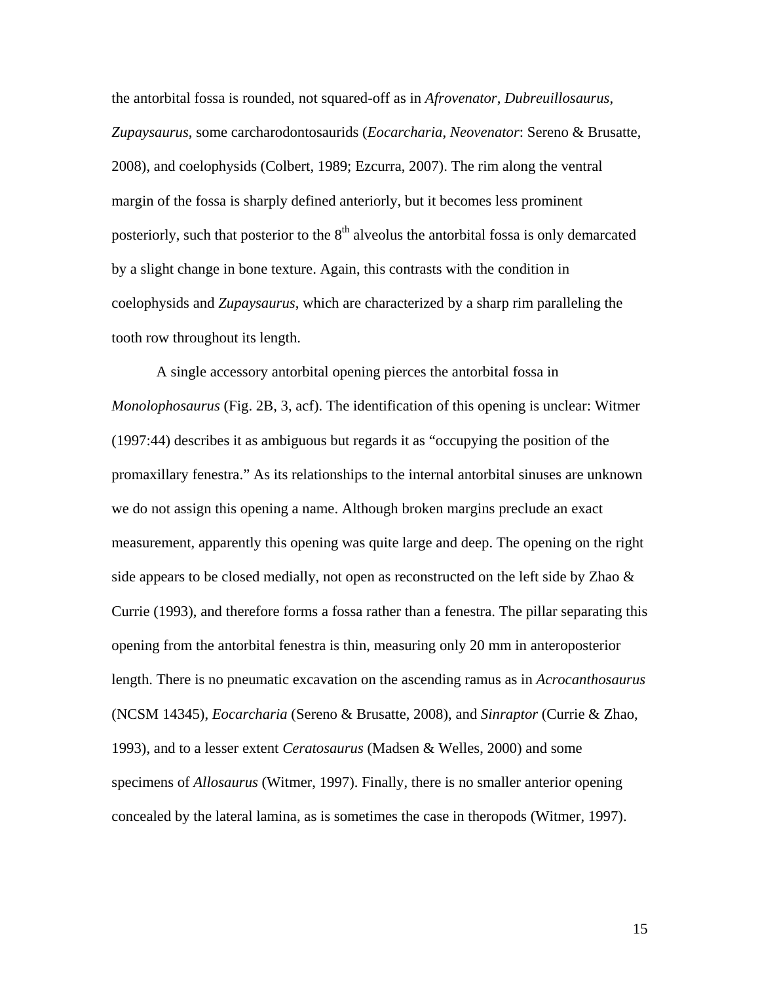the antorbital fossa is rounded, not squared-off as in *Afrovenator*, *Dubreuillosaurus*, *Zupaysaurus*, some carcharodontosaurids (*Eocarcharia*, *Neovenator*: Sereno & Brusatte, 2008), and coelophysids (Colbert, 1989; Ezcurra, 2007). The rim along the ventral margin of the fossa is sharply defined anteriorly, but it becomes less prominent posteriorly, such that posterior to the  $8<sup>th</sup>$  alveolus the antorbital fossa is only demarcated by a slight change in bone texture. Again, this contrasts with the condition in coelophysids and *Zupaysaurus*, which are characterized by a sharp rim paralleling the tooth row throughout its length.

A single accessory antorbital opening pierces the antorbital fossa in *Monolophosaurus* (Fig. 2B, 3, acf). The identification of this opening is unclear: Witmer (1997:44) describes it as ambiguous but regards it as "occupying the position of the promaxillary fenestra." As its relationships to the internal antorbital sinuses are unknown we do not assign this opening a name. Although broken margins preclude an exact measurement, apparently this opening was quite large and deep. The opening on the right side appears to be closed medially, not open as reconstructed on the left side by Zhao & Currie (1993), and therefore forms a fossa rather than a fenestra. The pillar separating this opening from the antorbital fenestra is thin, measuring only 20 mm in anteroposterior length. There is no pneumatic excavation on the ascending ramus as in *Acrocanthosaurus* (NCSM 14345), *Eocarcharia* (Sereno & Brusatte, 2008), and *Sinraptor* (Currie & Zhao, 1993), and to a lesser extent *Ceratosaurus* (Madsen & Welles, 2000) and some specimens of *Allosaurus* (Witmer, 1997). Finally, there is no smaller anterior opening concealed by the lateral lamina, as is sometimes the case in theropods (Witmer, 1997).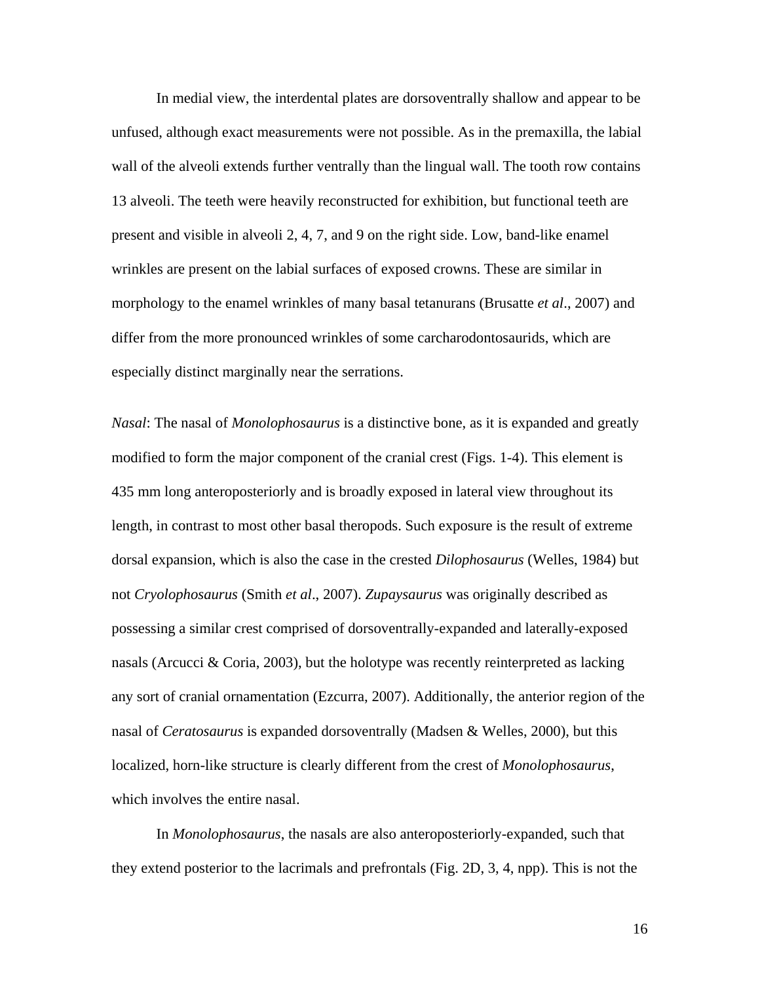In medial view, the interdental plates are dorsoventrally shallow and appear to be unfused, although exact measurements were not possible. As in the premaxilla, the labial wall of the alveoli extends further ventrally than the lingual wall. The tooth row contains 13 alveoli. The teeth were heavily reconstructed for exhibition, but functional teeth are present and visible in alveoli 2, 4, 7, and 9 on the right side. Low, band-like enamel wrinkles are present on the labial surfaces of exposed crowns. These are similar in morphology to the enamel wrinkles of many basal tetanurans (Brusatte *et al*., 2007) and differ from the more pronounced wrinkles of some carcharodontosaurids, which are especially distinct marginally near the serrations.

*Nasal*: The nasal of *Monolophosaurus* is a distinctive bone, as it is expanded and greatly modified to form the major component of the cranial crest (Figs. 1-4). This element is 435 mm long anteroposteriorly and is broadly exposed in lateral view throughout its length, in contrast to most other basal theropods. Such exposure is the result of extreme dorsal expansion, which is also the case in the crested *Dilophosaurus* (Welles, 1984) but not *Cryolophosaurus* (Smith *et al*., 2007). *Zupaysaurus* was originally described as possessing a similar crest comprised of dorsoventrally-expanded and laterally-exposed nasals (Arcucci & Coria, 2003), but the holotype was recently reinterpreted as lacking any sort of cranial ornamentation (Ezcurra, 2007). Additionally, the anterior region of the nasal of *Ceratosaurus* is expanded dorsoventrally (Madsen & Welles, 2000), but this localized, horn-like structure is clearly different from the crest of *Monolophosaurus*, which involves the entire nasal.

In *Monolophosaurus*, the nasals are also anteroposteriorly-expanded, such that they extend posterior to the lacrimals and prefrontals (Fig. 2D, 3, 4, npp). This is not the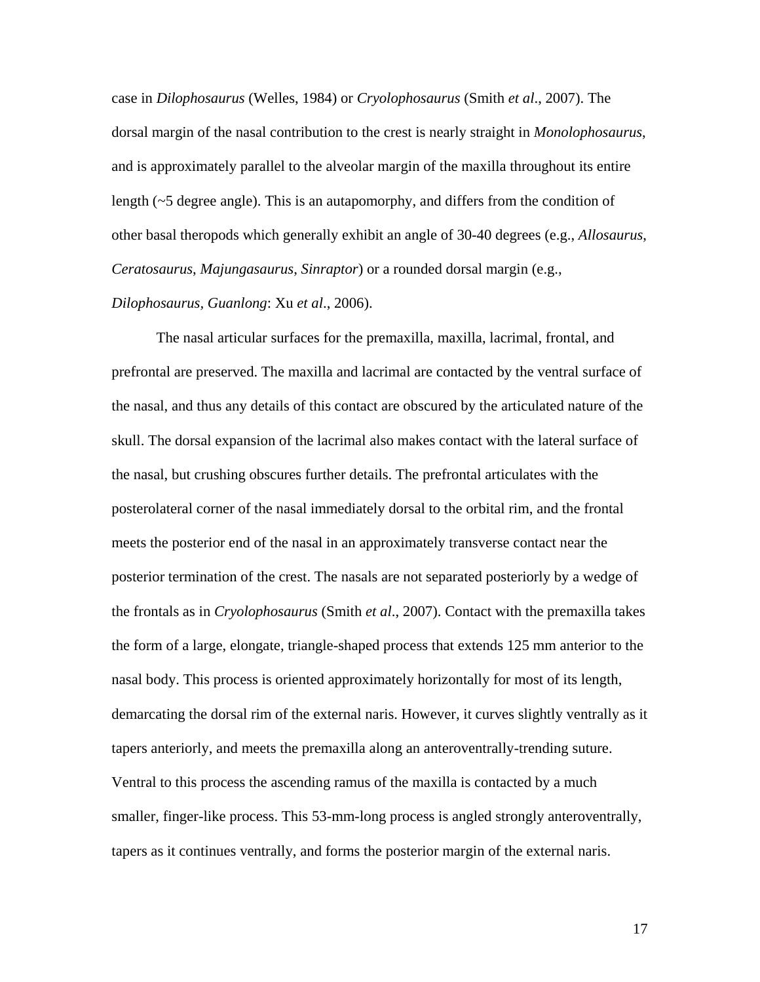case in *Dilophosaurus* (Welles, 1984) or *Cryolophosaurus* (Smith *et al*., 2007). The dorsal margin of the nasal contribution to the crest is nearly straight in *Monolophosaurus*, and is approximately parallel to the alveolar margin of the maxilla throughout its entire length (~5 degree angle). This is an autapomorphy, and differs from the condition of other basal theropods which generally exhibit an angle of 30-40 degrees (e.g., *Allosaurus*, *Ceratosaurus*, *Majungasaurus*, *Sinraptor*) or a rounded dorsal margin (e.g.,

# *Dilophosaurus, Guanlong*: Xu *et al*., 2006).

The nasal articular surfaces for the premaxilla, maxilla, lacrimal, frontal, and prefrontal are preserved. The maxilla and lacrimal are contacted by the ventral surface of the nasal, and thus any details of this contact are obscured by the articulated nature of the skull. The dorsal expansion of the lacrimal also makes contact with the lateral surface of the nasal, but crushing obscures further details. The prefrontal articulates with the posterolateral corner of the nasal immediately dorsal to the orbital rim, and the frontal meets the posterior end of the nasal in an approximately transverse contact near the posterior termination of the crest. The nasals are not separated posteriorly by a wedge of the frontals as in *Cryolophosaurus* (Smith *et al*., 2007). Contact with the premaxilla takes the form of a large, elongate, triangle-shaped process that extends 125 mm anterior to the nasal body. This process is oriented approximately horizontally for most of its length, demarcating the dorsal rim of the external naris. However, it curves slightly ventrally as it tapers anteriorly, and meets the premaxilla along an anteroventrally-trending suture. Ventral to this process the ascending ramus of the maxilla is contacted by a much smaller, finger-like process. This 53-mm-long process is angled strongly anteroventrally, tapers as it continues ventrally, and forms the posterior margin of the external naris.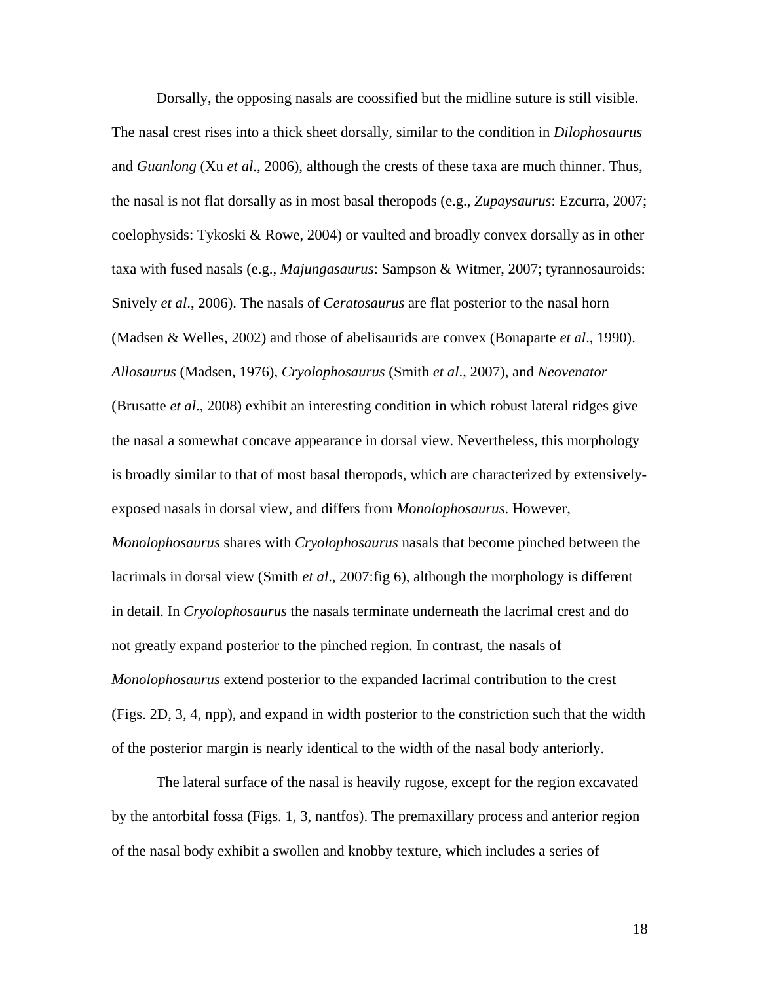Dorsally, the opposing nasals are coossified but the midline suture is still visible. The nasal crest rises into a thick sheet dorsally, similar to the condition in *Dilophosaurus* and *Guanlong* (Xu *et al*., 2006), although the crests of these taxa are much thinner. Thus, the nasal is not flat dorsally as in most basal theropods (e.g., *Zupaysaurus*: Ezcurra, 2007; coelophysids: Tykoski & Rowe, 2004) or vaulted and broadly convex dorsally as in other taxa with fused nasals (e.g., *Majungasaurus*: Sampson & Witmer, 2007; tyrannosauroids: Snively *et al*., 2006). The nasals of *Ceratosaurus* are flat posterior to the nasal horn (Madsen & Welles, 2002) and those of abelisaurids are convex (Bonaparte *et al*., 1990). *Allosaurus* (Madsen, 1976), *Cryolophosaurus* (Smith *et al*., 2007), and *Neovenator* (Brusatte *et al*., 2008) exhibit an interesting condition in which robust lateral ridges give the nasal a somewhat concave appearance in dorsal view. Nevertheless, this morphology is broadly similar to that of most basal theropods, which are characterized by extensivelyexposed nasals in dorsal view, and differs from *Monolophosaurus*. However, *Monolophosaurus* shares with *Cryolophosaurus* nasals that become pinched between the lacrimals in dorsal view (Smith *et al*., 2007:fig 6), although the morphology is different in detail. In *Cryolophosaurus* the nasals terminate underneath the lacrimal crest and do not greatly expand posterior to the pinched region. In contrast, the nasals of *Monolophosaurus* extend posterior to the expanded lacrimal contribution to the crest (Figs. 2D, 3, 4, npp), and expand in width posterior to the constriction such that the width of the posterior margin is nearly identical to the width of the nasal body anteriorly.

The lateral surface of the nasal is heavily rugose, except for the region excavated by the antorbital fossa (Figs. 1, 3, nantfos). The premaxillary process and anterior region of the nasal body exhibit a swollen and knobby texture, which includes a series of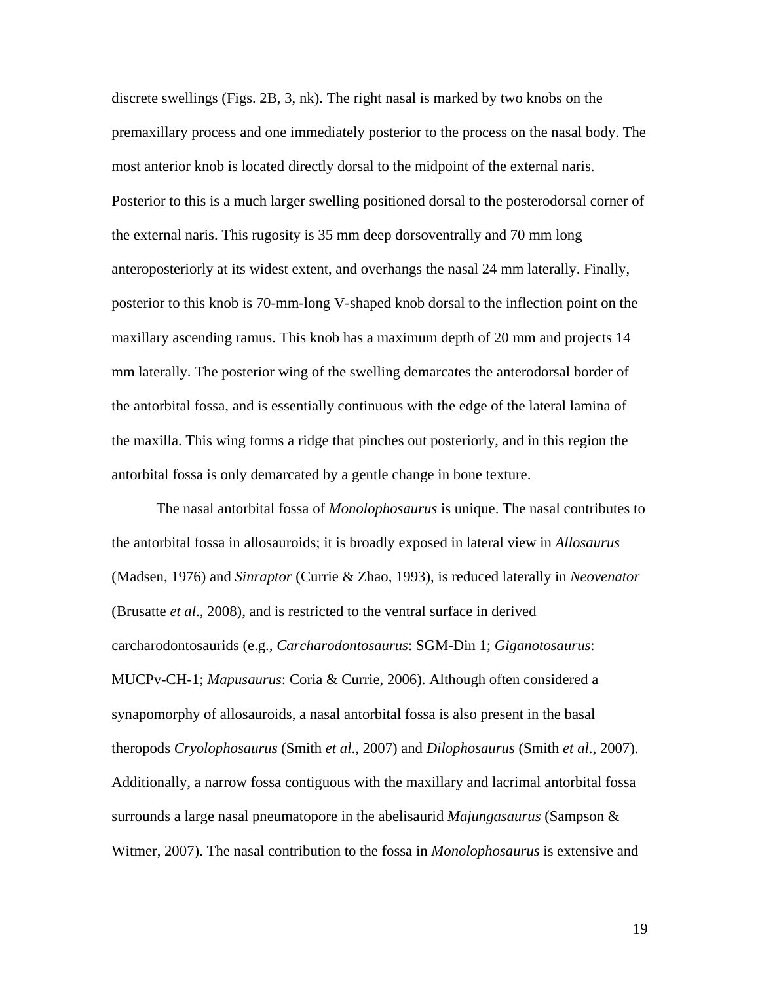discrete swellings (Figs. 2B, 3, nk). The right nasal is marked by two knobs on the premaxillary process and one immediately posterior to the process on the nasal body. The most anterior knob is located directly dorsal to the midpoint of the external naris. Posterior to this is a much larger swelling positioned dorsal to the posterodorsal corner of the external naris. This rugosity is 35 mm deep dorsoventrally and 70 mm long anteroposteriorly at its widest extent, and overhangs the nasal 24 mm laterally. Finally, posterior to this knob is 70-mm-long V-shaped knob dorsal to the inflection point on the maxillary ascending ramus. This knob has a maximum depth of 20 mm and projects 14 mm laterally. The posterior wing of the swelling demarcates the anterodorsal border of the antorbital fossa, and is essentially continuous with the edge of the lateral lamina of the maxilla. This wing forms a ridge that pinches out posteriorly, and in this region the antorbital fossa is only demarcated by a gentle change in bone texture.

The nasal antorbital fossa of *Monolophosaurus* is unique. The nasal contributes to the antorbital fossa in allosauroids; it is broadly exposed in lateral view in *Allosaurus* (Madsen, 1976) and *Sinraptor* (Currie & Zhao, 1993), is reduced laterally in *Neovenator* (Brusatte *et al*., 2008), and is restricted to the ventral surface in derived carcharodontosaurids (e.g., *Carcharodontosaurus*: SGM-Din 1; *Giganotosaurus*: MUCPv-CH-1; *Mapusaurus*: Coria & Currie, 2006). Although often considered a synapomorphy of allosauroids, a nasal antorbital fossa is also present in the basal theropods *Cryolophosaurus* (Smith *et al*., 2007) and *Dilophosaurus* (Smith *et al*., 2007). Additionally, a narrow fossa contiguous with the maxillary and lacrimal antorbital fossa surrounds a large nasal pneumatopore in the abelisaurid *Majungasaurus* (Sampson & Witmer, 2007). The nasal contribution to the fossa in *Monolophosaurus* is extensive and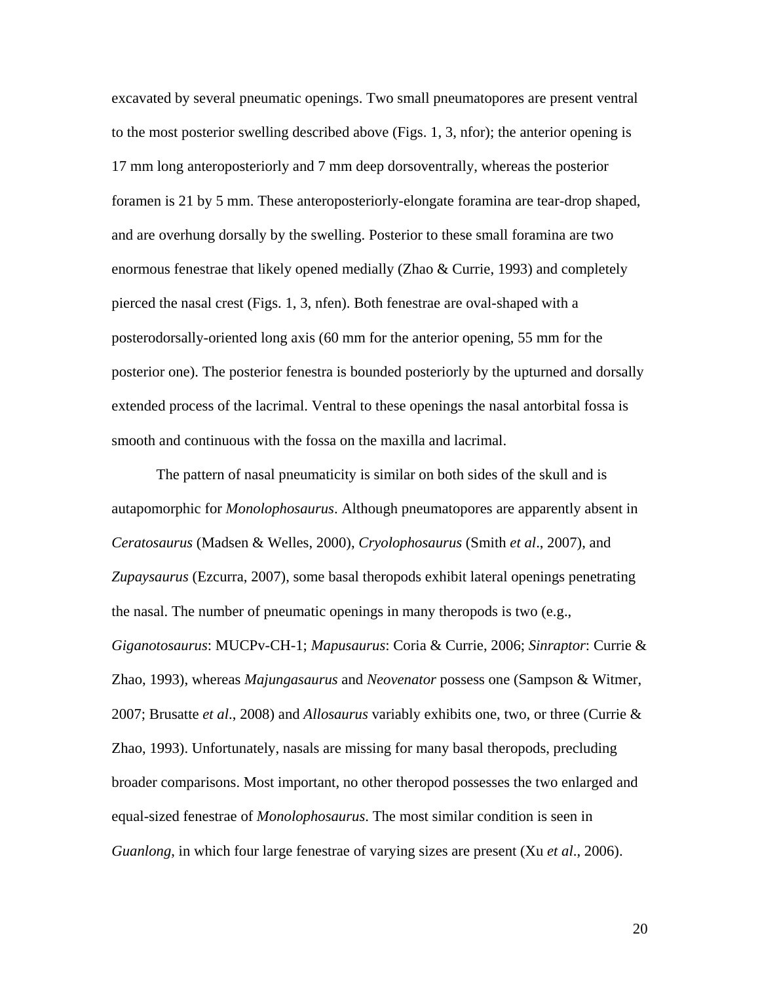excavated by several pneumatic openings. Two small pneumatopores are present ventral to the most posterior swelling described above (Figs. 1, 3, nfor); the anterior opening is 17 mm long anteroposteriorly and 7 mm deep dorsoventrally, whereas the posterior foramen is 21 by 5 mm. These anteroposteriorly-elongate foramina are tear-drop shaped, and are overhung dorsally by the swelling. Posterior to these small foramina are two enormous fenestrae that likely opened medially (Zhao & Currie, 1993) and completely pierced the nasal crest (Figs. 1, 3, nfen). Both fenestrae are oval-shaped with a posterodorsally-oriented long axis (60 mm for the anterior opening, 55 mm for the posterior one). The posterior fenestra is bounded posteriorly by the upturned and dorsally extended process of the lacrimal. Ventral to these openings the nasal antorbital fossa is smooth and continuous with the fossa on the maxilla and lacrimal.

The pattern of nasal pneumaticity is similar on both sides of the skull and is autapomorphic for *Monolophosaurus*. Although pneumatopores are apparently absent in *Ceratosaurus* (Madsen & Welles, 2000), *Cryolophosaurus* (Smith *et al*., 2007), and *Zupaysaurus* (Ezcurra, 2007), some basal theropods exhibit lateral openings penetrating the nasal. The number of pneumatic openings in many theropods is two (e.g., *Giganotosaurus*: MUCPv-CH-1; *Mapusaurus*: Coria & Currie, 2006; *Sinraptor*: Currie & Zhao, 1993), whereas *Majungasaurus* and *Neovenator* possess one (Sampson & Witmer, 2007; Brusatte *et al*., 2008) and *Allosaurus* variably exhibits one, two, or three (Currie & Zhao, 1993). Unfortunately, nasals are missing for many basal theropods, precluding broader comparisons. Most important, no other theropod possesses the two enlarged and equal-sized fenestrae of *Monolophosaurus*. The most similar condition is seen in *Guanlong*, in which four large fenestrae of varying sizes are present (Xu *et al*., 2006).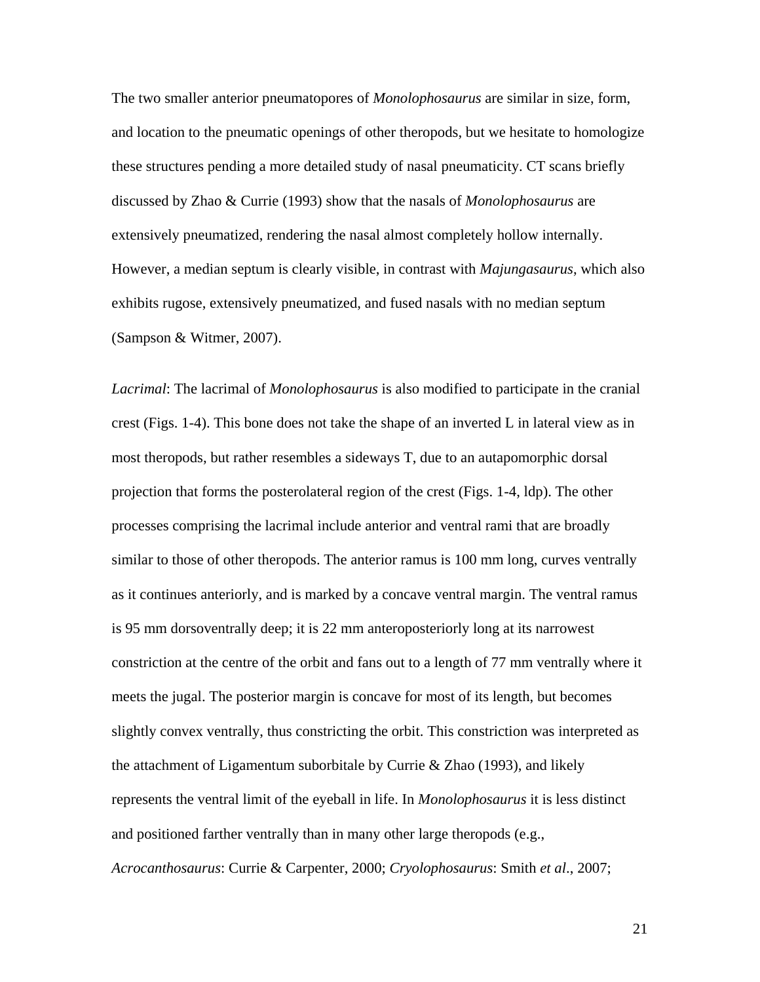The two smaller anterior pneumatopores of *Monolophosaurus* are similar in size, form, and location to the pneumatic openings of other theropods, but we hesitate to homologize these structures pending a more detailed study of nasal pneumaticity. CT scans briefly discussed by Zhao & Currie (1993) show that the nasals of *Monolophosaurus* are extensively pneumatized, rendering the nasal almost completely hollow internally. However, a median septum is clearly visible, in contrast with *Majungasaurus*, which also exhibits rugose, extensively pneumatized, and fused nasals with no median septum (Sampson & Witmer, 2007).

*Lacrimal*: The lacrimal of *Monolophosaurus* is also modified to participate in the cranial crest (Figs. 1-4). This bone does not take the shape of an inverted L in lateral view as in most theropods, but rather resembles a sideways T, due to an autapomorphic dorsal projection that forms the posterolateral region of the crest (Figs. 1-4, ldp). The other processes comprising the lacrimal include anterior and ventral rami that are broadly similar to those of other theropods. The anterior ramus is 100 mm long, curves ventrally as it continues anteriorly, and is marked by a concave ventral margin. The ventral ramus is 95 mm dorsoventrally deep; it is 22 mm anteroposteriorly long at its narrowest constriction at the centre of the orbit and fans out to a length of 77 mm ventrally where it meets the jugal. The posterior margin is concave for most of its length, but becomes slightly convex ventrally, thus constricting the orbit. This constriction was interpreted as the attachment of Ligamentum suborbitale by Currie & Zhao (1993), and likely represents the ventral limit of the eyeball in life. In *Monolophosaurus* it is less distinct and positioned farther ventrally than in many other large theropods (e.g., *Acrocanthosaurus*: Currie & Carpenter, 2000; *Cryolophosaurus*: Smith *et al*., 2007;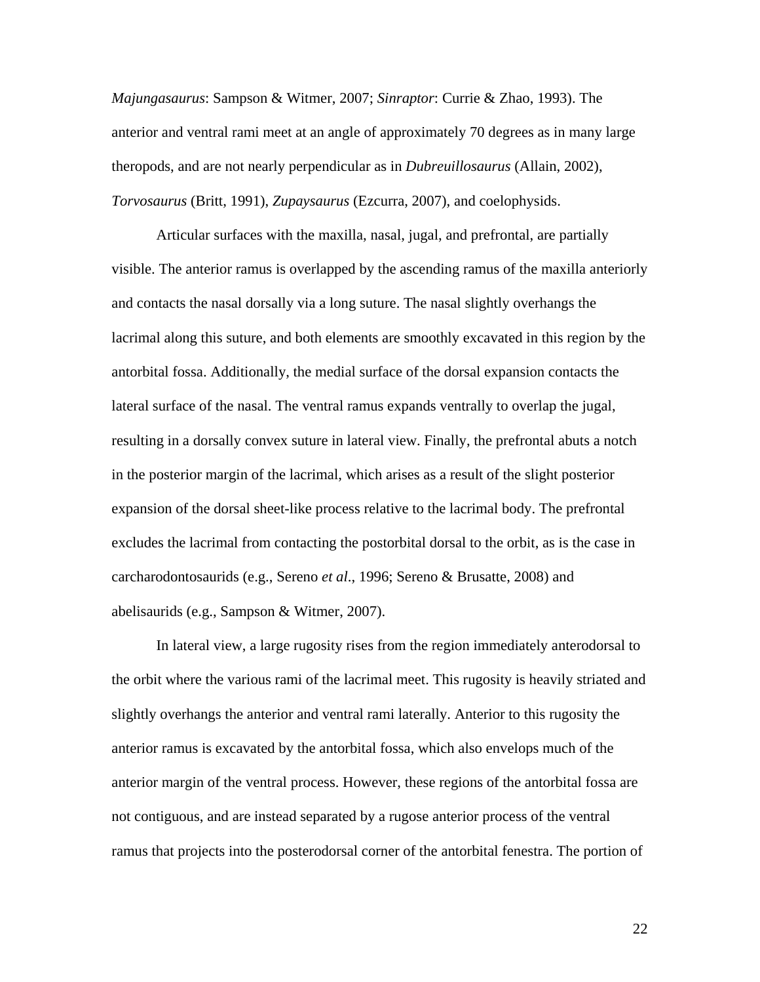*Majungasaurus*: Sampson & Witmer, 2007; *Sinraptor*: Currie & Zhao, 1993). The anterior and ventral rami meet at an angle of approximately 70 degrees as in many large theropods, and are not nearly perpendicular as in *Dubreuillosaurus* (Allain, 2002), *Torvosaurus* (Britt, 1991), *Zupaysaurus* (Ezcurra, 2007), and coelophysids.

Articular surfaces with the maxilla, nasal, jugal, and prefrontal, are partially visible. The anterior ramus is overlapped by the ascending ramus of the maxilla anteriorly and contacts the nasal dorsally via a long suture. The nasal slightly overhangs the lacrimal along this suture, and both elements are smoothly excavated in this region by the antorbital fossa. Additionally, the medial surface of the dorsal expansion contacts the lateral surface of the nasal. The ventral ramus expands ventrally to overlap the jugal, resulting in a dorsally convex suture in lateral view. Finally, the prefrontal abuts a notch in the posterior margin of the lacrimal, which arises as a result of the slight posterior expansion of the dorsal sheet-like process relative to the lacrimal body. The prefrontal excludes the lacrimal from contacting the postorbital dorsal to the orbit, as is the case in carcharodontosaurids (e.g., Sereno *et al*., 1996; Sereno & Brusatte, 2008) and abelisaurids (e.g., Sampson & Witmer, 2007).

In lateral view, a large rugosity rises from the region immediately anterodorsal to the orbit where the various rami of the lacrimal meet. This rugosity is heavily striated and slightly overhangs the anterior and ventral rami laterally. Anterior to this rugosity the anterior ramus is excavated by the antorbital fossa, which also envelops much of the anterior margin of the ventral process. However, these regions of the antorbital fossa are not contiguous, and are instead separated by a rugose anterior process of the ventral ramus that projects into the posterodorsal corner of the antorbital fenestra. The portion of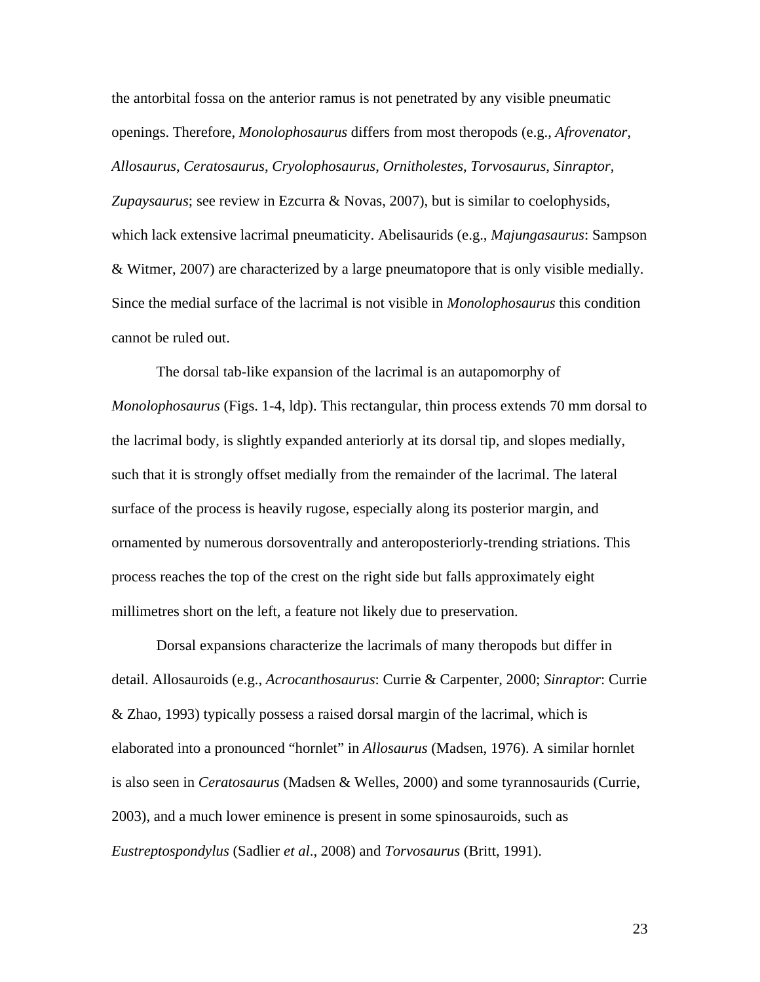the antorbital fossa on the anterior ramus is not penetrated by any visible pneumatic openings. Therefore, *Monolophosaurus* differs from most theropods (e.g., *Afrovenator*, *Allosaurus*, *Ceratosaurus*, *Cryolophosaurus*, *Ornitholestes*, *Torvosaurus*, *Sinraptor*, *Zupaysaurus*; see review in Ezcurra & Novas, 2007), but is similar to coelophysids, which lack extensive lacrimal pneumaticity. Abelisaurids (e.g., *Majungasaurus*: Sampson & Witmer, 2007) are characterized by a large pneumatopore that is only visible medially. Since the medial surface of the lacrimal is not visible in *Monolophosaurus* this condition cannot be ruled out.

The dorsal tab-like expansion of the lacrimal is an autapomorphy of *Monolophosaurus* (Figs. 1-4, ldp). This rectangular, thin process extends 70 mm dorsal to the lacrimal body, is slightly expanded anteriorly at its dorsal tip, and slopes medially, such that it is strongly offset medially from the remainder of the lacrimal. The lateral surface of the process is heavily rugose, especially along its posterior margin, and ornamented by numerous dorsoventrally and anteroposteriorly-trending striations. This process reaches the top of the crest on the right side but falls approximately eight millimetres short on the left, a feature not likely due to preservation.

Dorsal expansions characterize the lacrimals of many theropods but differ in detail. Allosauroids (e.g., *Acrocanthosaurus*: Currie & Carpenter, 2000; *Sinraptor*: Currie & Zhao, 1993) typically possess a raised dorsal margin of the lacrimal, which is elaborated into a pronounced "hornlet" in *Allosaurus* (Madsen, 1976). A similar hornlet is also seen in *Ceratosaurus* (Madsen & Welles, 2000) and some tyrannosaurids (Currie, 2003), and a much lower eminence is present in some spinosauroids, such as *Eustreptospondylus* (Sadlier *et al*., 2008) and *Torvosaurus* (Britt, 1991).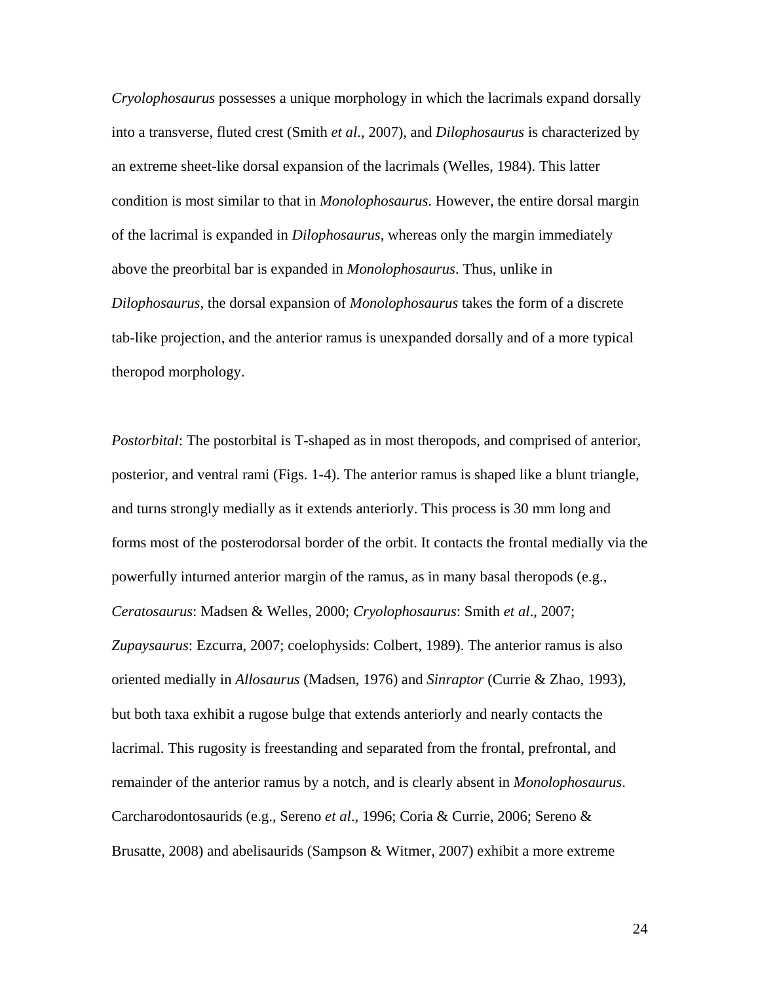*Cryolophosaurus* possesses a unique morphology in which the lacrimals expand dorsally into a transverse, fluted crest (Smith *et al*., 2007), and *Dilophosaurus* is characterized by an extreme sheet-like dorsal expansion of the lacrimals (Welles, 1984). This latter condition is most similar to that in *Monolophosaurus*. However, the entire dorsal margin of the lacrimal is expanded in *Dilophosaurus*, whereas only the margin immediately above the preorbital bar is expanded in *Monolophosaurus*. Thus, unlike in *Dilophosaurus*, the dorsal expansion of *Monolophosaurus* takes the form of a discrete tab-like projection, and the anterior ramus is unexpanded dorsally and of a more typical theropod morphology.

*Postorbital*: The postorbital is T-shaped as in most theropods, and comprised of anterior, posterior, and ventral rami (Figs. 1-4). The anterior ramus is shaped like a blunt triangle, and turns strongly medially as it extends anteriorly. This process is 30 mm long and forms most of the posterodorsal border of the orbit. It contacts the frontal medially via the powerfully inturned anterior margin of the ramus, as in many basal theropods (e.g., *Ceratosaurus*: Madsen & Welles, 2000; *Cryolophosaurus*: Smith *et al*., 2007; *Zupaysaurus*: Ezcurra, 2007; coelophysids: Colbert, 1989). The anterior ramus is also oriented medially in *Allosaurus* (Madsen, 1976) and *Sinraptor* (Currie & Zhao, 1993), but both taxa exhibit a rugose bulge that extends anteriorly and nearly contacts the lacrimal. This rugosity is freestanding and separated from the frontal, prefrontal, and remainder of the anterior ramus by a notch, and is clearly absent in *Monolophosaurus*. Carcharodontosaurids (e.g., Sereno *et al*., 1996; Coria & Currie, 2006; Sereno & Brusatte, 2008) and abelisaurids (Sampson & Witmer, 2007) exhibit a more extreme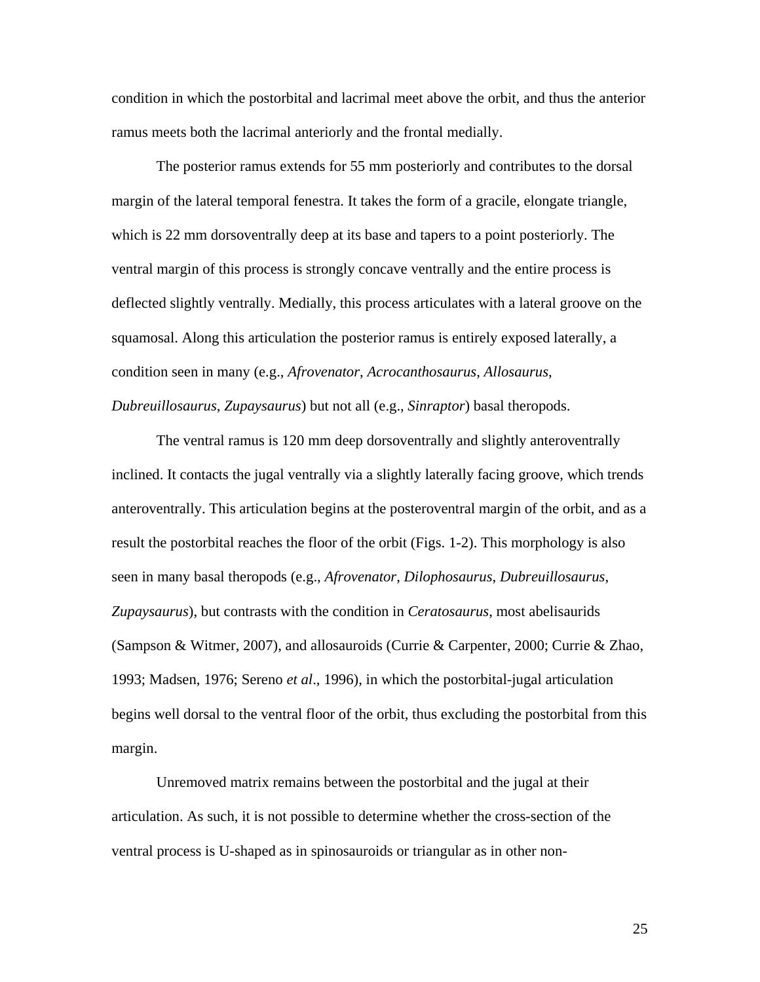condition in which the postorbital and lacrimal meet above the orbit, and thus the anterior ramus meets both the lacrimal anteriorly and the frontal medially.

The posterior ramus extends for 55 mm posteriorly and contributes to the dorsal margin of the lateral temporal fenestra. It takes the form of a gracile, elongate triangle, which is 22 mm dorsoventrally deep at its base and tapers to a point posteriorly. The ventral margin of this process is strongly concave ventrally and the entire process is deflected slightly ventrally. Medially, this process articulates with a lateral groove on the squamosal. Along this articulation the posterior ramus is entirely exposed laterally, a condition seen in many (e.g., *Afrovenator*, *Acrocanthosaurus*, *Allosaurus*, *Dubreuillosaurus*, *Zupaysaurus*) but not all (e.g., *Sinraptor*) basal theropods.

The ventral ramus is 120 mm deep dorsoventrally and slightly anteroventrally inclined. It contacts the jugal ventrally via a slightly laterally facing groove, which trends anteroventrally. This articulation begins at the posteroventral margin of the orbit, and as a result the postorbital reaches the floor of the orbit (Figs. 1-2). This morphology is also seen in many basal theropods (e.g., *Afrovenator*, *Dilophosaurus*, *Dubreuillosaurus*, *Zupaysaurus*), but contrasts with the condition in *Ceratosaurus*, most abelisaurids (Sampson & Witmer, 2007), and allosauroids (Currie & Carpenter, 2000; Currie & Zhao, 1993; Madsen, 1976; Sereno *et al*., 1996), in which the postorbital-jugal articulation begins well dorsal to the ventral floor of the orbit, thus excluding the postorbital from this margin.

Unremoved matrix remains between the postorbital and the jugal at their articulation. As such, it is not possible to determine whether the cross-section of the ventral process is U-shaped as in spinosauroids or triangular as in other non-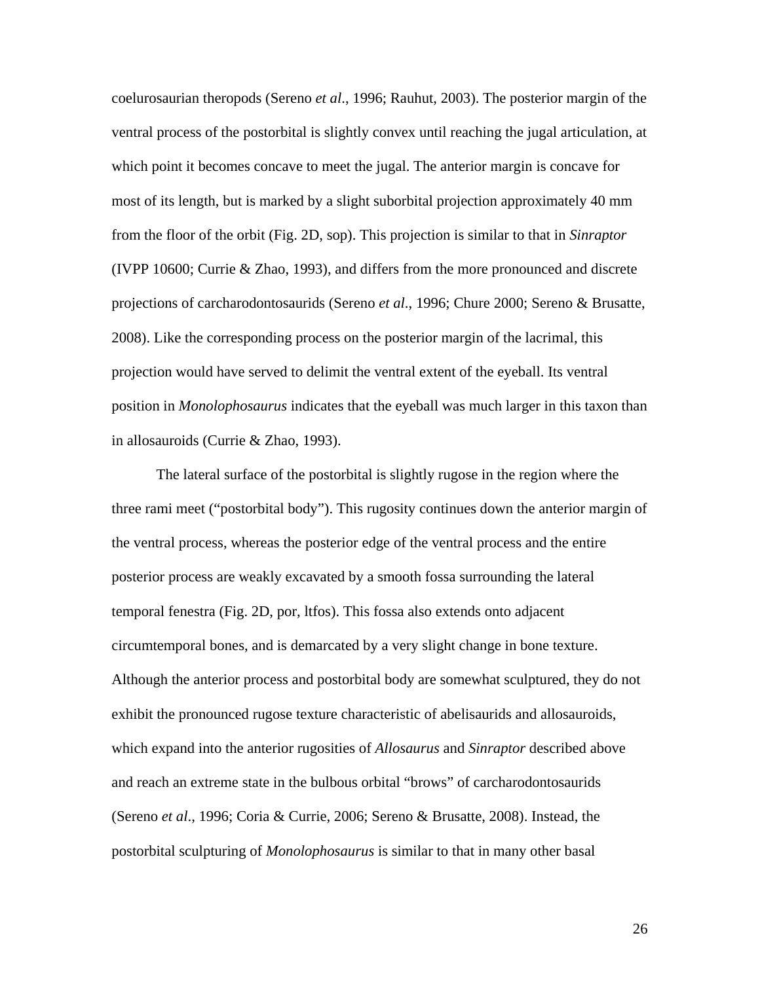coelurosaurian theropods (Sereno *et al*., 1996; Rauhut, 2003). The posterior margin of the ventral process of the postorbital is slightly convex until reaching the jugal articulation, at which point it becomes concave to meet the jugal. The anterior margin is concave for most of its length, but is marked by a slight suborbital projection approximately 40 mm from the floor of the orbit (Fig. 2D, sop). This projection is similar to that in *Sinraptor* (IVPP 10600; Currie & Zhao, 1993), and differs from the more pronounced and discrete projections of carcharodontosaurids (Sereno *et al*., 1996; Chure 2000; Sereno & Brusatte, 2008). Like the corresponding process on the posterior margin of the lacrimal, this projection would have served to delimit the ventral extent of the eyeball. Its ventral position in *Monolophosaurus* indicates that the eyeball was much larger in this taxon than in allosauroids (Currie & Zhao, 1993).

The lateral surface of the postorbital is slightly rugose in the region where the three rami meet ("postorbital body"). This rugosity continues down the anterior margin of the ventral process, whereas the posterior edge of the ventral process and the entire posterior process are weakly excavated by a smooth fossa surrounding the lateral temporal fenestra (Fig. 2D, por, ltfos). This fossa also extends onto adjacent circumtemporal bones, and is demarcated by a very slight change in bone texture. Although the anterior process and postorbital body are somewhat sculptured, they do not exhibit the pronounced rugose texture characteristic of abelisaurids and allosauroids, which expand into the anterior rugosities of *Allosaurus* and *Sinraptor* described above and reach an extreme state in the bulbous orbital "brows" of carcharodontosaurids (Sereno *et al*., 1996; Coria & Currie, 2006; Sereno & Brusatte, 2008). Instead, the postorbital sculpturing of *Monolophosaurus* is similar to that in many other basal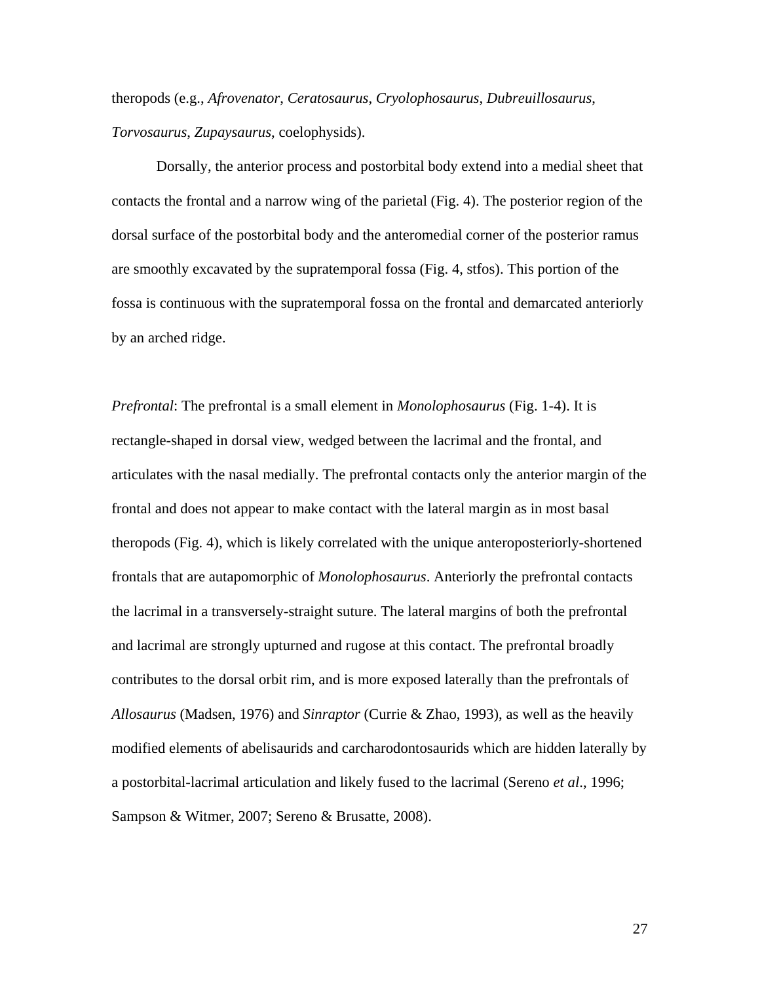theropods (e.g., *Afrovenator*, *Ceratosaurus*, *Cryolophosaurus*, *Dubreuillosaurus*, *Torvosaurus*, *Zupaysaurus*, coelophysids).

Dorsally, the anterior process and postorbital body extend into a medial sheet that contacts the frontal and a narrow wing of the parietal (Fig. 4). The posterior region of the dorsal surface of the postorbital body and the anteromedial corner of the posterior ramus are smoothly excavated by the supratemporal fossa (Fig. 4, stfos). This portion of the fossa is continuous with the supratemporal fossa on the frontal and demarcated anteriorly by an arched ridge.

*Prefrontal*: The prefrontal is a small element in *Monolophosaurus* (Fig. 1-4). It is rectangle-shaped in dorsal view, wedged between the lacrimal and the frontal, and articulates with the nasal medially. The prefrontal contacts only the anterior margin of the frontal and does not appear to make contact with the lateral margin as in most basal theropods (Fig. 4), which is likely correlated with the unique anteroposteriorly-shortened frontals that are autapomorphic of *Monolophosaurus*. Anteriorly the prefrontal contacts the lacrimal in a transversely-straight suture. The lateral margins of both the prefrontal and lacrimal are strongly upturned and rugose at this contact. The prefrontal broadly contributes to the dorsal orbit rim, and is more exposed laterally than the prefrontals of *Allosaurus* (Madsen, 1976) and *Sinraptor* (Currie & Zhao, 1993), as well as the heavily modified elements of abelisaurids and carcharodontosaurids which are hidden laterally by a postorbital-lacrimal articulation and likely fused to the lacrimal (Sereno *et al*., 1996; Sampson & Witmer, 2007; Sereno & Brusatte, 2008).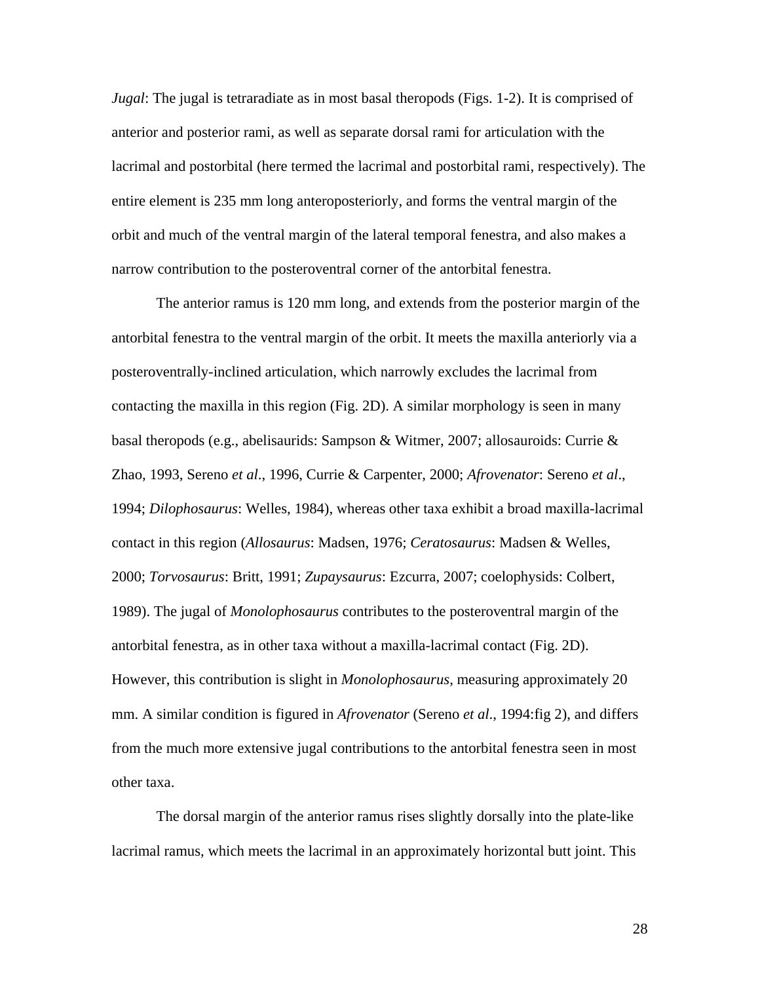*Jugal*: The jugal is tetraradiate as in most basal theropods (Figs. 1-2). It is comprised of anterior and posterior rami, as well as separate dorsal rami for articulation with the lacrimal and postorbital (here termed the lacrimal and postorbital rami, respectively). The entire element is 235 mm long anteroposteriorly, and forms the ventral margin of the orbit and much of the ventral margin of the lateral temporal fenestra, and also makes a narrow contribution to the posteroventral corner of the antorbital fenestra.

The anterior ramus is 120 mm long, and extends from the posterior margin of the antorbital fenestra to the ventral margin of the orbit. It meets the maxilla anteriorly via a posteroventrally-inclined articulation, which narrowly excludes the lacrimal from contacting the maxilla in this region (Fig. 2D). A similar morphology is seen in many basal theropods (e.g., abelisaurids: Sampson & Witmer, 2007; allosauroids: Currie & Zhao, 1993, Sereno *et al*., 1996, Currie & Carpenter, 2000; *Afrovenator*: Sereno *et al*., 1994; *Dilophosaurus*: Welles, 1984), whereas other taxa exhibit a broad maxilla-lacrimal contact in this region (*Allosaurus*: Madsen, 1976; *Ceratosaurus*: Madsen & Welles, 2000; *Torvosaurus*: Britt, 1991; *Zupaysaurus*: Ezcurra, 2007; coelophysids: Colbert, 1989). The jugal of *Monolophosaurus* contributes to the posteroventral margin of the antorbital fenestra, as in other taxa without a maxilla-lacrimal contact (Fig. 2D). However, this contribution is slight in *Monolophosaurus*, measuring approximately 20 mm. A similar condition is figured in *Afrovenator* (Sereno *et al*., 1994:fig 2), and differs from the much more extensive jugal contributions to the antorbital fenestra seen in most other taxa.

The dorsal margin of the anterior ramus rises slightly dorsally into the plate-like lacrimal ramus, which meets the lacrimal in an approximately horizontal butt joint. This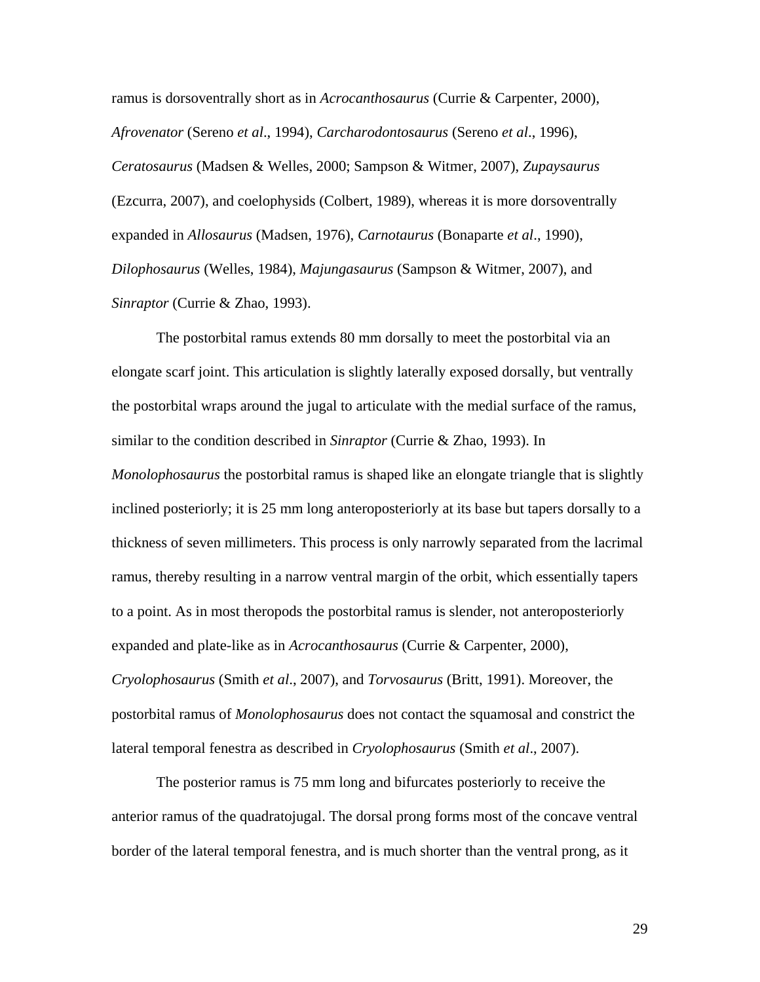ramus is dorsoventrally short as in *Acrocanthosaurus* (Currie & Carpenter, 2000), *Afrovenator* (Sereno *et al*., 1994), *Carcharodontosaurus* (Sereno *et al*., 1996), *Ceratosaurus* (Madsen & Welles, 2000; Sampson & Witmer, 2007), *Zupaysaurus* (Ezcurra, 2007), and coelophysids (Colbert, 1989), whereas it is more dorsoventrally expanded in *Allosaurus* (Madsen, 1976), *Carnotaurus* (Bonaparte *et al*., 1990), *Dilophosaurus* (Welles, 1984), *Majungasaurus* (Sampson & Witmer, 2007), and *Sinraptor* (Currie & Zhao, 1993).

The postorbital ramus extends 80 mm dorsally to meet the postorbital via an elongate scarf joint. This articulation is slightly laterally exposed dorsally, but ventrally the postorbital wraps around the jugal to articulate with the medial surface of the ramus, similar to the condition described in *Sinraptor* (Currie & Zhao, 1993). In *Monolophosaurus* the postorbital ramus is shaped like an elongate triangle that is slightly inclined posteriorly; it is 25 mm long anteroposteriorly at its base but tapers dorsally to a thickness of seven millimeters. This process is only narrowly separated from the lacrimal ramus, thereby resulting in a narrow ventral margin of the orbit, which essentially tapers to a point. As in most theropods the postorbital ramus is slender, not anteroposteriorly expanded and plate-like as in *Acrocanthosaurus* (Currie & Carpenter, 2000), *Cryolophosaurus* (Smith *et al*., 2007), and *Torvosaurus* (Britt, 1991). Moreover, the postorbital ramus of *Monolophosaurus* does not contact the squamosal and constrict the lateral temporal fenestra as described in *Cryolophosaurus* (Smith *et al*., 2007).

The posterior ramus is 75 mm long and bifurcates posteriorly to receive the anterior ramus of the quadratojugal. The dorsal prong forms most of the concave ventral border of the lateral temporal fenestra, and is much shorter than the ventral prong, as it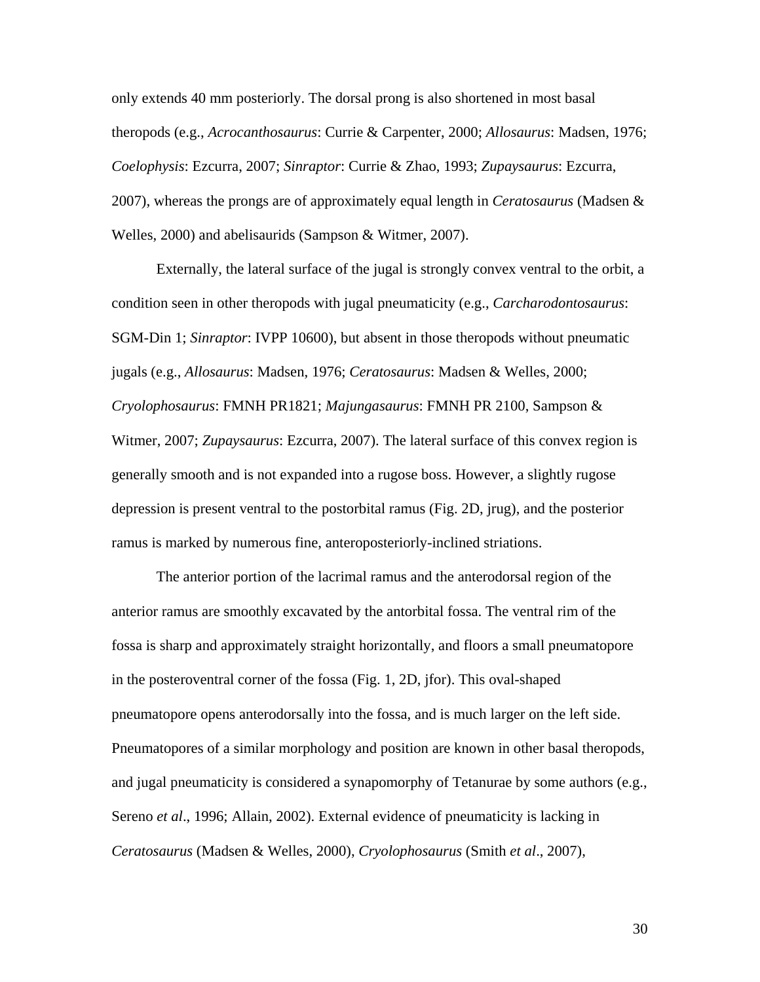only extends 40 mm posteriorly. The dorsal prong is also shortened in most basal theropods (e.g., *Acrocanthosaurus*: Currie & Carpenter, 2000; *Allosaurus*: Madsen, 1976; *Coelophysis*: Ezcurra, 2007; *Sinraptor*: Currie & Zhao, 1993; *Zupaysaurus*: Ezcurra, 2007), whereas the prongs are of approximately equal length in *Ceratosaurus* (Madsen & Welles, 2000) and abelisaurids (Sampson & Witmer, 2007).

Externally, the lateral surface of the jugal is strongly convex ventral to the orbit, a condition seen in other theropods with jugal pneumaticity (e.g., *Carcharodontosaurus*: SGM-Din 1; *Sinraptor*: IVPP 10600), but absent in those theropods without pneumatic jugals (e.g., *Allosaurus*: Madsen, 1976; *Ceratosaurus*: Madsen & Welles, 2000; *Cryolophosaurus*: FMNH PR1821; *Majungasaurus*: FMNH PR 2100, Sampson & Witmer, 2007; *Zupaysaurus*: Ezcurra, 2007). The lateral surface of this convex region is generally smooth and is not expanded into a rugose boss. However, a slightly rugose depression is present ventral to the postorbital ramus (Fig. 2D, jrug), and the posterior ramus is marked by numerous fine, anteroposteriorly-inclined striations.

The anterior portion of the lacrimal ramus and the anterodorsal region of the anterior ramus are smoothly excavated by the antorbital fossa. The ventral rim of the fossa is sharp and approximately straight horizontally, and floors a small pneumatopore in the posteroventral corner of the fossa (Fig. 1, 2D, jfor). This oval-shaped pneumatopore opens anterodorsally into the fossa, and is much larger on the left side. Pneumatopores of a similar morphology and position are known in other basal theropods, and jugal pneumaticity is considered a synapomorphy of Tetanurae by some authors (e.g., Sereno *et al*., 1996; Allain, 2002). External evidence of pneumaticity is lacking in *Ceratosaurus* (Madsen & Welles, 2000), *Cryolophosaurus* (Smith *et al*., 2007),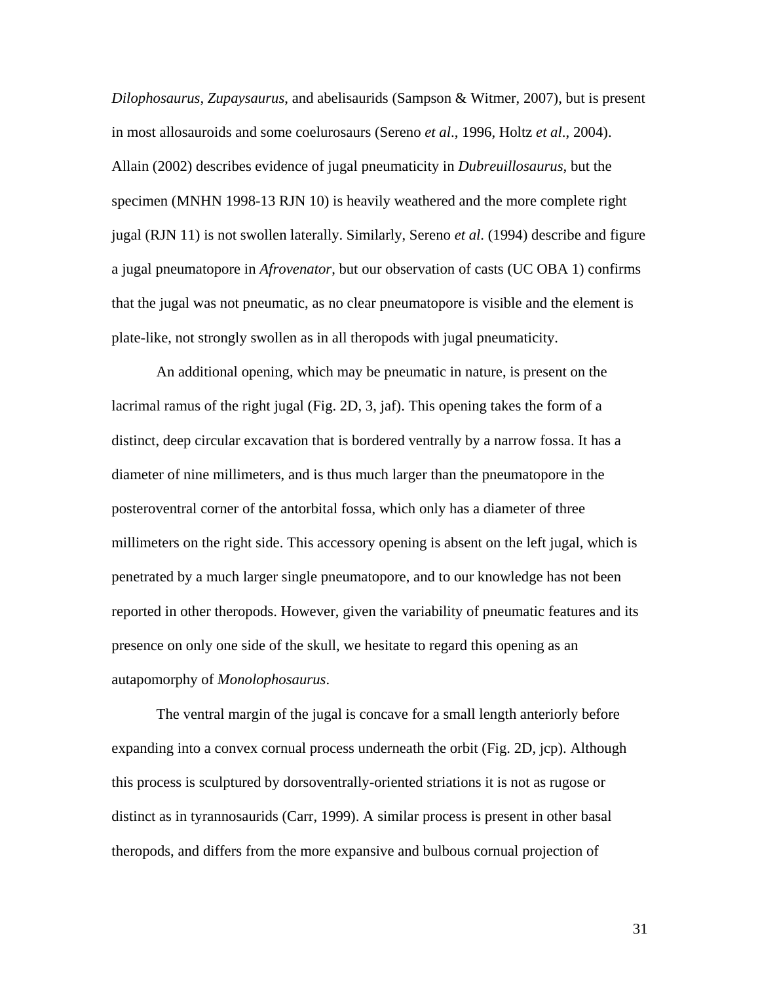*Dilophosaurus*, *Zupaysaurus*, and abelisaurids (Sampson & Witmer, 2007), but is present in most allosauroids and some coelurosaurs (Sereno *et al*., 1996, Holtz *et al*., 2004). Allain (2002) describes evidence of jugal pneumaticity in *Dubreuillosaurus*, but the specimen (MNHN 1998-13 RJN 10) is heavily weathered and the more complete right jugal (RJN 11) is not swollen laterally. Similarly, Sereno *et al*. (1994) describe and figure a jugal pneumatopore in *Afrovenator*, but our observation of casts (UC OBA 1) confirms that the jugal was not pneumatic, as no clear pneumatopore is visible and the element is plate-like, not strongly swollen as in all theropods with jugal pneumaticity.

An additional opening, which may be pneumatic in nature, is present on the lacrimal ramus of the right jugal (Fig. 2D, 3, jaf). This opening takes the form of a distinct, deep circular excavation that is bordered ventrally by a narrow fossa. It has a diameter of nine millimeters, and is thus much larger than the pneumatopore in the posteroventral corner of the antorbital fossa, which only has a diameter of three millimeters on the right side. This accessory opening is absent on the left jugal, which is penetrated by a much larger single pneumatopore, and to our knowledge has not been reported in other theropods. However, given the variability of pneumatic features and its presence on only one side of the skull, we hesitate to regard this opening as an autapomorphy of *Monolophosaurus*.

The ventral margin of the jugal is concave for a small length anteriorly before expanding into a convex cornual process underneath the orbit (Fig. 2D, jcp). Although this process is sculptured by dorsoventrally-oriented striations it is not as rugose or distinct as in tyrannosaurids (Carr, 1999). A similar process is present in other basal theropods, and differs from the more expansive and bulbous cornual projection of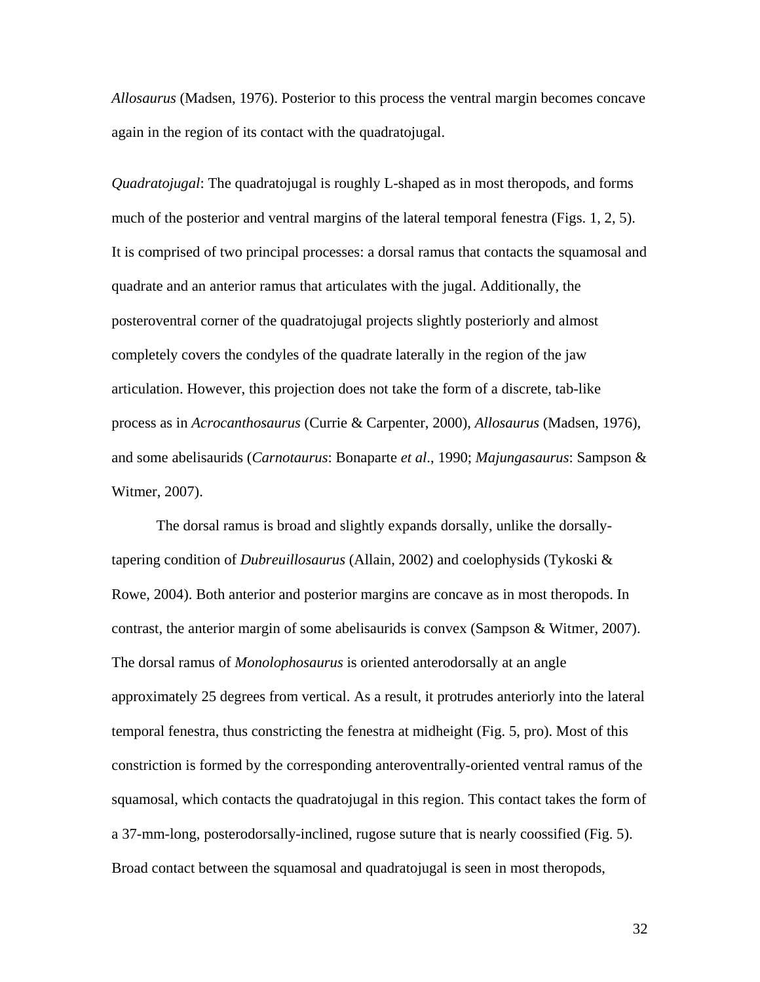*Allosaurus* (Madsen, 1976). Posterior to this process the ventral margin becomes concave again in the region of its contact with the quadratojugal.

*Quadratojugal*: The quadratojugal is roughly L-shaped as in most theropods, and forms much of the posterior and ventral margins of the lateral temporal fenestra (Figs. 1, 2, 5). It is comprised of two principal processes: a dorsal ramus that contacts the squamosal and quadrate and an anterior ramus that articulates with the jugal. Additionally, the posteroventral corner of the quadratojugal projects slightly posteriorly and almost completely covers the condyles of the quadrate laterally in the region of the jaw articulation. However, this projection does not take the form of a discrete, tab-like process as in *Acrocanthosaurus* (Currie & Carpenter, 2000), *Allosaurus* (Madsen, 1976), and some abelisaurids (*Carnotaurus*: Bonaparte *et al*., 1990; *Majungasaurus*: Sampson & Witmer, 2007).

The dorsal ramus is broad and slightly expands dorsally, unlike the dorsallytapering condition of *Dubreuillosaurus* (Allain, 2002) and coelophysids (Tykoski & Rowe, 2004). Both anterior and posterior margins are concave as in most theropods. In contrast, the anterior margin of some abelisaurids is convex (Sampson & Witmer, 2007). The dorsal ramus of *Monolophosaurus* is oriented anterodorsally at an angle approximately 25 degrees from vertical. As a result, it protrudes anteriorly into the lateral temporal fenestra, thus constricting the fenestra at midheight (Fig. 5, pro). Most of this constriction is formed by the corresponding anteroventrally-oriented ventral ramus of the squamosal, which contacts the quadratojugal in this region. This contact takes the form of a 37-mm-long, posterodorsally-inclined, rugose suture that is nearly coossified (Fig. 5). Broad contact between the squamosal and quadratojugal is seen in most theropods,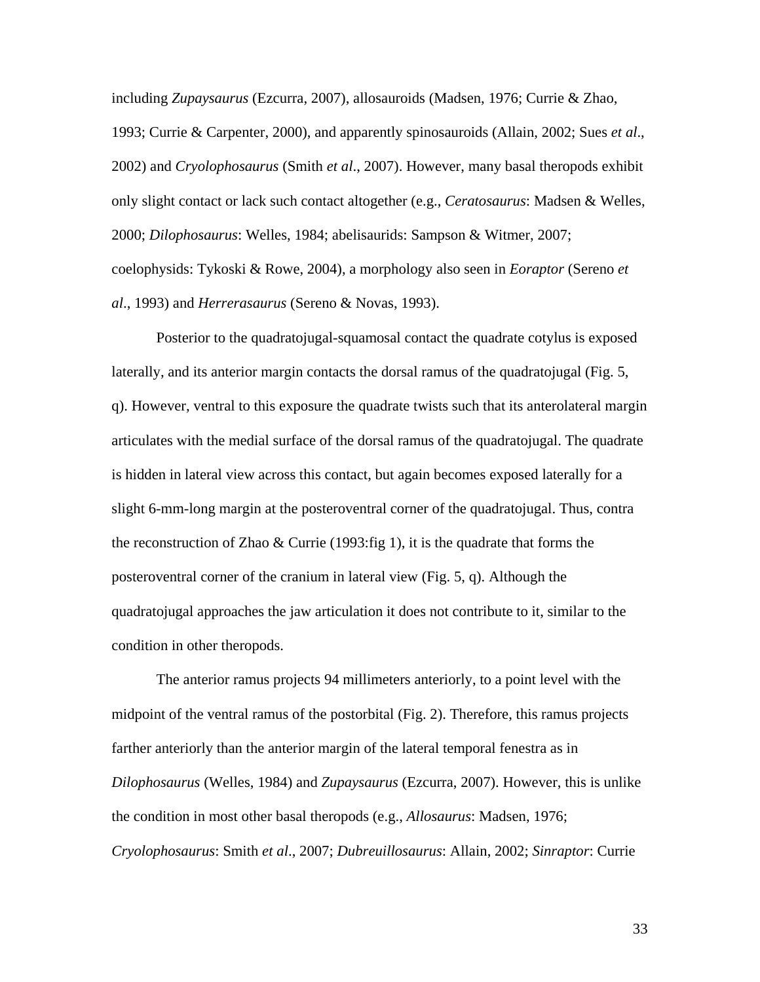including *Zupaysaurus* (Ezcurra, 2007), allosauroids (Madsen, 1976; Currie & Zhao, 1993; Currie & Carpenter, 2000), and apparently spinosauroids (Allain, 2002; Sues *et al*., 2002) and *Cryolophosaurus* (Smith *et al*., 2007). However, many basal theropods exhibit only slight contact or lack such contact altogether (e.g., *Ceratosaurus*: Madsen & Welles, 2000; *Dilophosaurus*: Welles, 1984; abelisaurids: Sampson & Witmer, 2007; coelophysids: Tykoski & Rowe, 2004), a morphology also seen in *Eoraptor* (Sereno *et al*., 1993) and *Herrerasaurus* (Sereno & Novas, 1993).

Posterior to the quadratojugal-squamosal contact the quadrate cotylus is exposed laterally, and its anterior margin contacts the dorsal ramus of the quadratojugal (Fig. 5, q). However, ventral to this exposure the quadrate twists such that its anterolateral margin articulates with the medial surface of the dorsal ramus of the quadratojugal. The quadrate is hidden in lateral view across this contact, but again becomes exposed laterally for a slight 6-mm-long margin at the posteroventral corner of the quadratojugal. Thus, contra the reconstruction of Zhao  $\&$  Currie (1993: fig 1), it is the quadrate that forms the posteroventral corner of the cranium in lateral view (Fig. 5, q). Although the quadratojugal approaches the jaw articulation it does not contribute to it, similar to the condition in other theropods.

The anterior ramus projects 94 millimeters anteriorly, to a point level with the midpoint of the ventral ramus of the postorbital (Fig. 2). Therefore, this ramus projects farther anteriorly than the anterior margin of the lateral temporal fenestra as in *Dilophosaurus* (Welles, 1984) and *Zupaysaurus* (Ezcurra, 2007). However, this is unlike the condition in most other basal theropods (e.g., *Allosaurus*: Madsen, 1976; *Cryolophosaurus*: Smith *et al*., 2007; *Dubreuillosaurus*: Allain, 2002; *Sinraptor*: Currie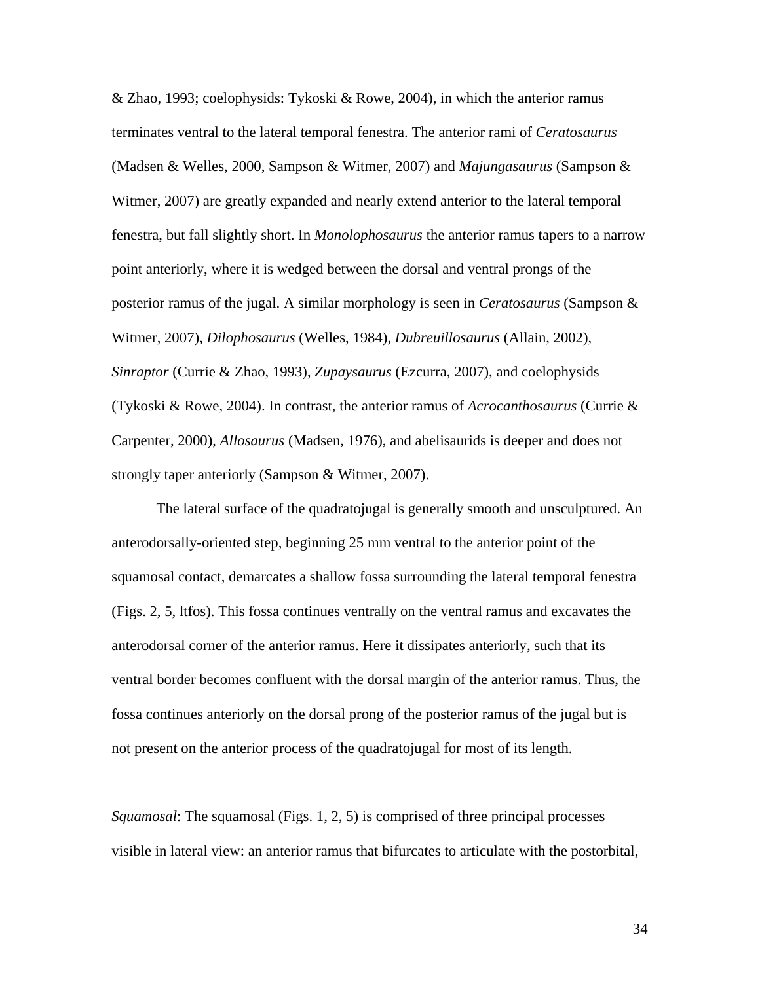& Zhao, 1993; coelophysids: Tykoski & Rowe, 2004), in which the anterior ramus terminates ventral to the lateral temporal fenestra. The anterior rami of *Ceratosaurus* (Madsen & Welles, 2000, Sampson & Witmer, 2007) and *Majungasaurus* (Sampson & Witmer, 2007) are greatly expanded and nearly extend anterior to the lateral temporal fenestra, but fall slightly short. In *Monolophosaurus* the anterior ramus tapers to a narrow point anteriorly, where it is wedged between the dorsal and ventral prongs of the posterior ramus of the jugal. A similar morphology is seen in *Ceratosaurus* (Sampson & Witmer, 2007), *Dilophosaurus* (Welles, 1984), *Dubreuillosaurus* (Allain, 2002), *Sinraptor* (Currie & Zhao, 1993), *Zupaysaurus* (Ezcurra, 2007), and coelophysids (Tykoski & Rowe, 2004). In contrast, the anterior ramus of *Acrocanthosaurus* (Currie & Carpenter, 2000), *Allosaurus* (Madsen, 1976), and abelisaurids is deeper and does not strongly taper anteriorly (Sampson & Witmer, 2007).

The lateral surface of the quadratojugal is generally smooth and unsculptured. An anterodorsally-oriented step, beginning 25 mm ventral to the anterior point of the squamosal contact, demarcates a shallow fossa surrounding the lateral temporal fenestra (Figs. 2, 5, ltfos). This fossa continues ventrally on the ventral ramus and excavates the anterodorsal corner of the anterior ramus. Here it dissipates anteriorly, such that its ventral border becomes confluent with the dorsal margin of the anterior ramus. Thus, the fossa continues anteriorly on the dorsal prong of the posterior ramus of the jugal but is not present on the anterior process of the quadratojugal for most of its length.

*Squamosal*: The squamosal (Figs. 1, 2, 5) is comprised of three principal processes visible in lateral view: an anterior ramus that bifurcates to articulate with the postorbital,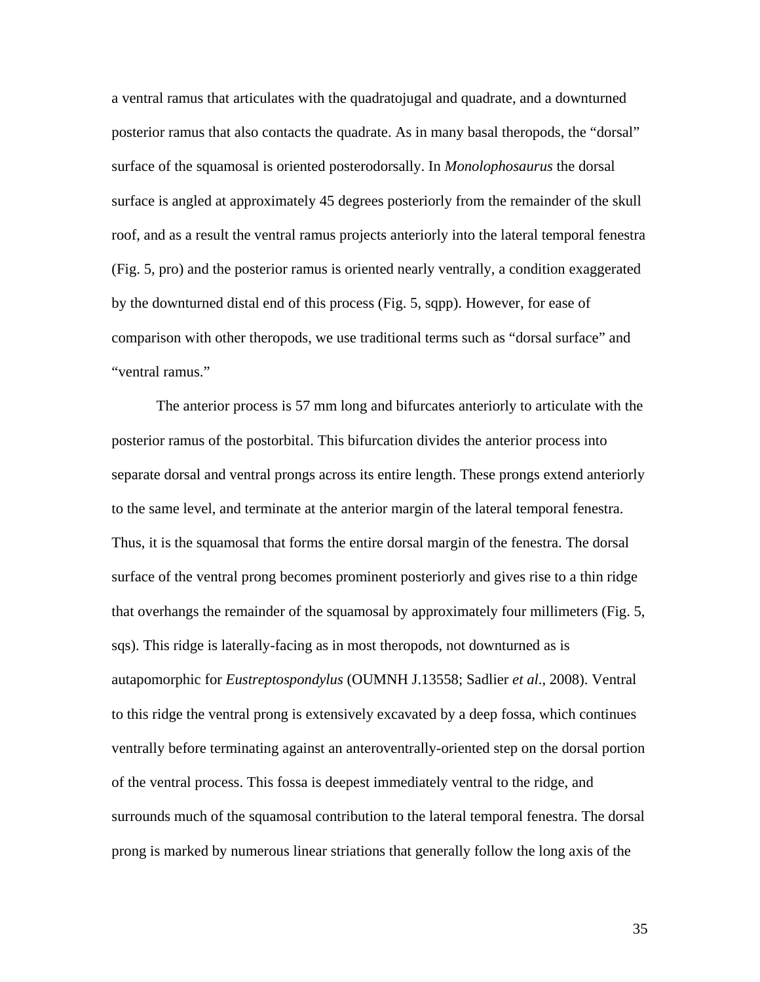a ventral ramus that articulates with the quadratojugal and quadrate, and a downturned posterior ramus that also contacts the quadrate. As in many basal theropods, the "dorsal" surface of the squamosal is oriented posterodorsally. In *Monolophosaurus* the dorsal surface is angled at approximately 45 degrees posteriorly from the remainder of the skull roof, and as a result the ventral ramus projects anteriorly into the lateral temporal fenestra (Fig. 5, pro) and the posterior ramus is oriented nearly ventrally, a condition exaggerated by the downturned distal end of this process (Fig. 5, sqpp). However, for ease of comparison with other theropods, we use traditional terms such as "dorsal surface" and "ventral ramus."

The anterior process is 57 mm long and bifurcates anteriorly to articulate with the posterior ramus of the postorbital. This bifurcation divides the anterior process into separate dorsal and ventral prongs across its entire length. These prongs extend anteriorly to the same level, and terminate at the anterior margin of the lateral temporal fenestra. Thus, it is the squamosal that forms the entire dorsal margin of the fenestra. The dorsal surface of the ventral prong becomes prominent posteriorly and gives rise to a thin ridge that overhangs the remainder of the squamosal by approximately four millimeters (Fig. 5, sqs). This ridge is laterally-facing as in most theropods, not downturned as is autapomorphic for *Eustreptospondylus* (OUMNH J.13558; Sadlier *et al*., 2008). Ventral to this ridge the ventral prong is extensively excavated by a deep fossa, which continues ventrally before terminating against an anteroventrally-oriented step on the dorsal portion of the ventral process. This fossa is deepest immediately ventral to the ridge, and surrounds much of the squamosal contribution to the lateral temporal fenestra. The dorsal prong is marked by numerous linear striations that generally follow the long axis of the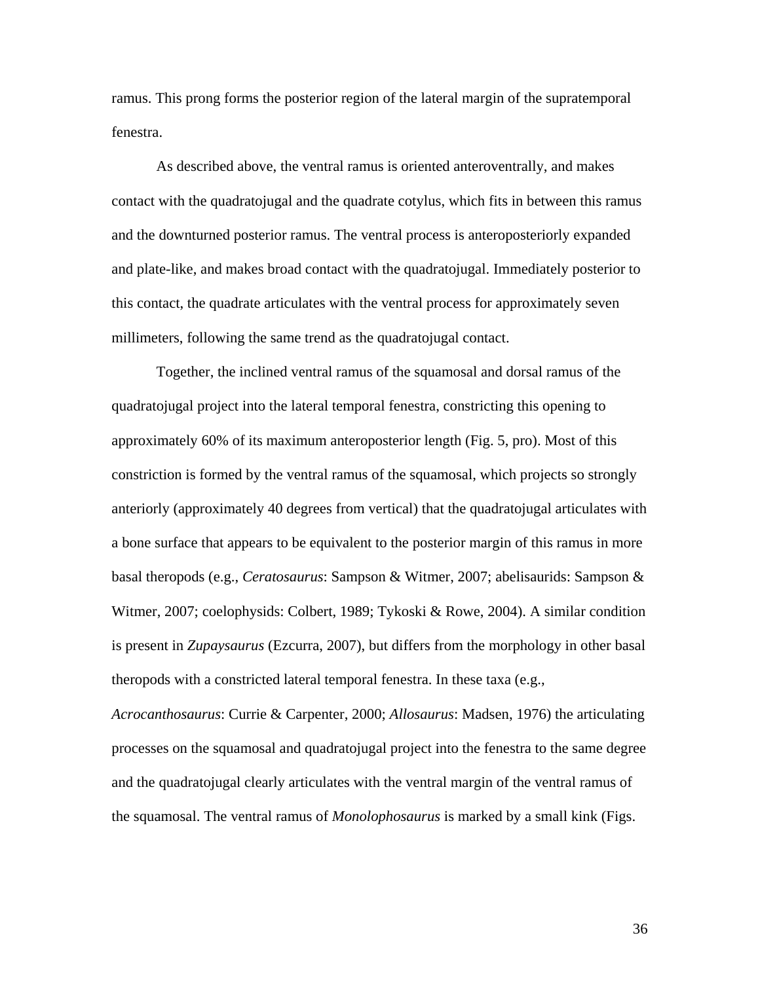ramus. This prong forms the posterior region of the lateral margin of the supratemporal fenestra.

As described above, the ventral ramus is oriented anteroventrally, and makes contact with the quadratojugal and the quadrate cotylus, which fits in between this ramus and the downturned posterior ramus. The ventral process is anteroposteriorly expanded and plate-like, and makes broad contact with the quadratojugal. Immediately posterior to this contact, the quadrate articulates with the ventral process for approximately seven millimeters, following the same trend as the quadratojugal contact.

Together, the inclined ventral ramus of the squamosal and dorsal ramus of the quadratojugal project into the lateral temporal fenestra, constricting this opening to approximately 60% of its maximum anteroposterior length (Fig. 5, pro). Most of this constriction is formed by the ventral ramus of the squamosal, which projects so strongly anteriorly (approximately 40 degrees from vertical) that the quadratojugal articulates with a bone surface that appears to be equivalent to the posterior margin of this ramus in more basal theropods (e.g., *Ceratosaurus*: Sampson & Witmer, 2007; abelisaurids: Sampson & Witmer, 2007; coelophysids: Colbert, 1989; Tykoski & Rowe, 2004). A similar condition is present in *Zupaysaurus* (Ezcurra, 2007), but differs from the morphology in other basal theropods with a constricted lateral temporal fenestra. In these taxa (e.g.,

*Acrocanthosaurus*: Currie & Carpenter, 2000; *Allosaurus*: Madsen, 1976) the articulating processes on the squamosal and quadratojugal project into the fenestra to the same degree and the quadratojugal clearly articulates with the ventral margin of the ventral ramus of the squamosal. The ventral ramus of *Monolophosaurus* is marked by a small kink (Figs.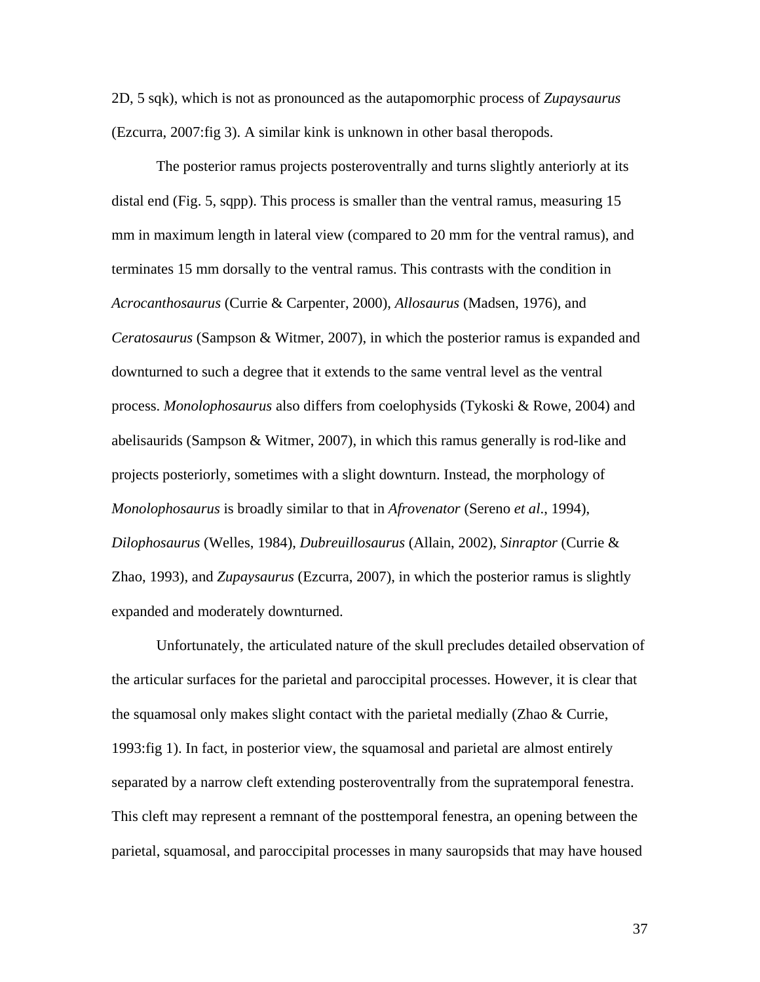2D, 5 sqk), which is not as pronounced as the autapomorphic process of *Zupaysaurus* (Ezcurra, 2007:fig 3). A similar kink is unknown in other basal theropods.

The posterior ramus projects posteroventrally and turns slightly anteriorly at its distal end (Fig. 5, sqpp). This process is smaller than the ventral ramus, measuring 15 mm in maximum length in lateral view (compared to 20 mm for the ventral ramus), and terminates 15 mm dorsally to the ventral ramus. This contrasts with the condition in *Acrocanthosaurus* (Currie & Carpenter, 2000), *Allosaurus* (Madsen, 1976), and *Ceratosaurus* (Sampson & Witmer, 2007), in which the posterior ramus is expanded and downturned to such a degree that it extends to the same ventral level as the ventral process. *Monolophosaurus* also differs from coelophysids (Tykoski & Rowe, 2004) and abelisaurids (Sampson & Witmer, 2007), in which this ramus generally is rod-like and projects posteriorly, sometimes with a slight downturn. Instead, the morphology of *Monolophosaurus* is broadly similar to that in *Afrovenator* (Sereno *et al*., 1994), *Dilophosaurus* (Welles, 1984), *Dubreuillosaurus* (Allain, 2002), *Sinraptor* (Currie & Zhao, 1993), and *Zupaysaurus* (Ezcurra, 2007), in which the posterior ramus is slightly expanded and moderately downturned.

Unfortunately, the articulated nature of the skull precludes detailed observation of the articular surfaces for the parietal and paroccipital processes. However, it is clear that the squamosal only makes slight contact with the parietal medially (Zhao  $\&$  Currie, 1993:fig 1). In fact, in posterior view, the squamosal and parietal are almost entirely separated by a narrow cleft extending posteroventrally from the supratemporal fenestra. This cleft may represent a remnant of the posttemporal fenestra, an opening between the parietal, squamosal, and paroccipital processes in many sauropsids that may have housed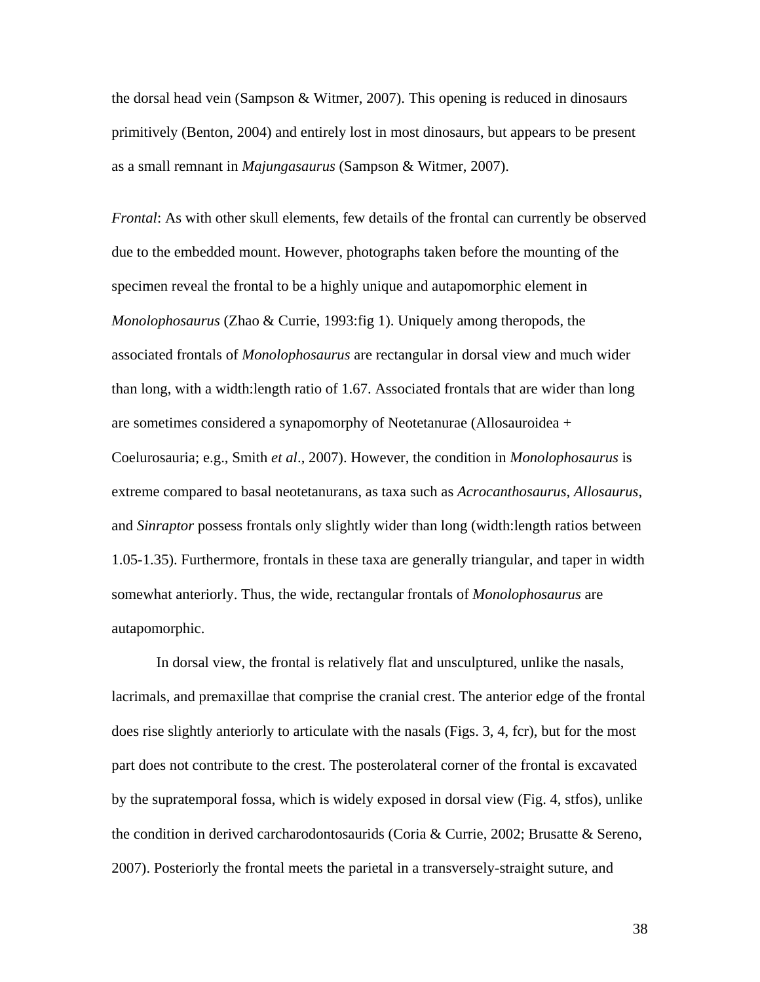the dorsal head vein (Sampson & Witmer, 2007). This opening is reduced in dinosaurs primitively (Benton, 2004) and entirely lost in most dinosaurs, but appears to be present as a small remnant in *Majungasaurus* (Sampson & Witmer, 2007).

*Frontal*: As with other skull elements, few details of the frontal can currently be observed due to the embedded mount. However, photographs taken before the mounting of the specimen reveal the frontal to be a highly unique and autapomorphic element in *Monolophosaurus* (Zhao & Currie, 1993:fig 1). Uniquely among theropods, the associated frontals of *Monolophosaurus* are rectangular in dorsal view and much wider than long, with a width:length ratio of 1.67. Associated frontals that are wider than long are sometimes considered a synapomorphy of Neotetanurae (Allosauroidea + Coelurosauria; e.g., Smith *et al*., 2007). However, the condition in *Monolophosaurus* is extreme compared to basal neotetanurans, as taxa such as *Acrocanthosaurus*, *Allosaurus*, and *Sinraptor* possess frontals only slightly wider than long (width:length ratios between 1.05-1.35). Furthermore, frontals in these taxa are generally triangular, and taper in width somewhat anteriorly. Thus, the wide, rectangular frontals of *Monolophosaurus* are autapomorphic.

In dorsal view, the frontal is relatively flat and unsculptured, unlike the nasals, lacrimals, and premaxillae that comprise the cranial crest. The anterior edge of the frontal does rise slightly anteriorly to articulate with the nasals (Figs. 3, 4, fcr), but for the most part does not contribute to the crest. The posterolateral corner of the frontal is excavated by the supratemporal fossa, which is widely exposed in dorsal view (Fig. 4, stfos), unlike the condition in derived carcharodontosaurids (Coria & Currie, 2002; Brusatte & Sereno, 2007). Posteriorly the frontal meets the parietal in a transversely-straight suture, and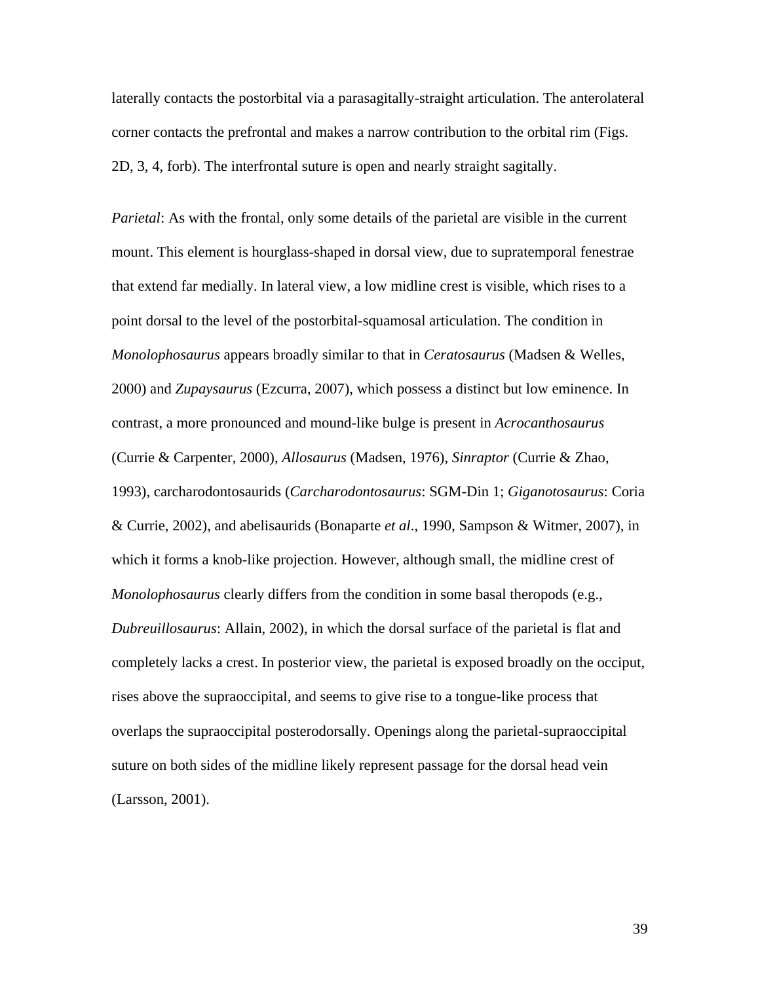laterally contacts the postorbital via a parasagitally-straight articulation. The anterolateral corner contacts the prefrontal and makes a narrow contribution to the orbital rim (Figs. 2D, 3, 4, forb). The interfrontal suture is open and nearly straight sagitally.

*Parietal*: As with the frontal, only some details of the parietal are visible in the current mount. This element is hourglass-shaped in dorsal view, due to supratemporal fenestrae that extend far medially. In lateral view, a low midline crest is visible, which rises to a point dorsal to the level of the postorbital-squamosal articulation. The condition in *Monolophosaurus* appears broadly similar to that in *Ceratosaurus* (Madsen & Welles, 2000) and *Zupaysaurus* (Ezcurra, 2007), which possess a distinct but low eminence. In contrast, a more pronounced and mound-like bulge is present in *Acrocanthosaurus* (Currie & Carpenter, 2000), *Allosaurus* (Madsen, 1976), *Sinraptor* (Currie & Zhao, 1993), carcharodontosaurids (*Carcharodontosaurus*: SGM-Din 1; *Giganotosaurus*: Coria & Currie, 2002), and abelisaurids (Bonaparte *et al*., 1990, Sampson & Witmer, 2007), in which it forms a knob-like projection. However, although small, the midline crest of *Monolophosaurus* clearly differs from the condition in some basal theropods (e.g., *Dubreuillosaurus*: Allain, 2002), in which the dorsal surface of the parietal is flat and completely lacks a crest. In posterior view, the parietal is exposed broadly on the occiput, rises above the supraoccipital, and seems to give rise to a tongue-like process that overlaps the supraoccipital posterodorsally. Openings along the parietal-supraoccipital suture on both sides of the midline likely represent passage for the dorsal head vein (Larsson, 2001).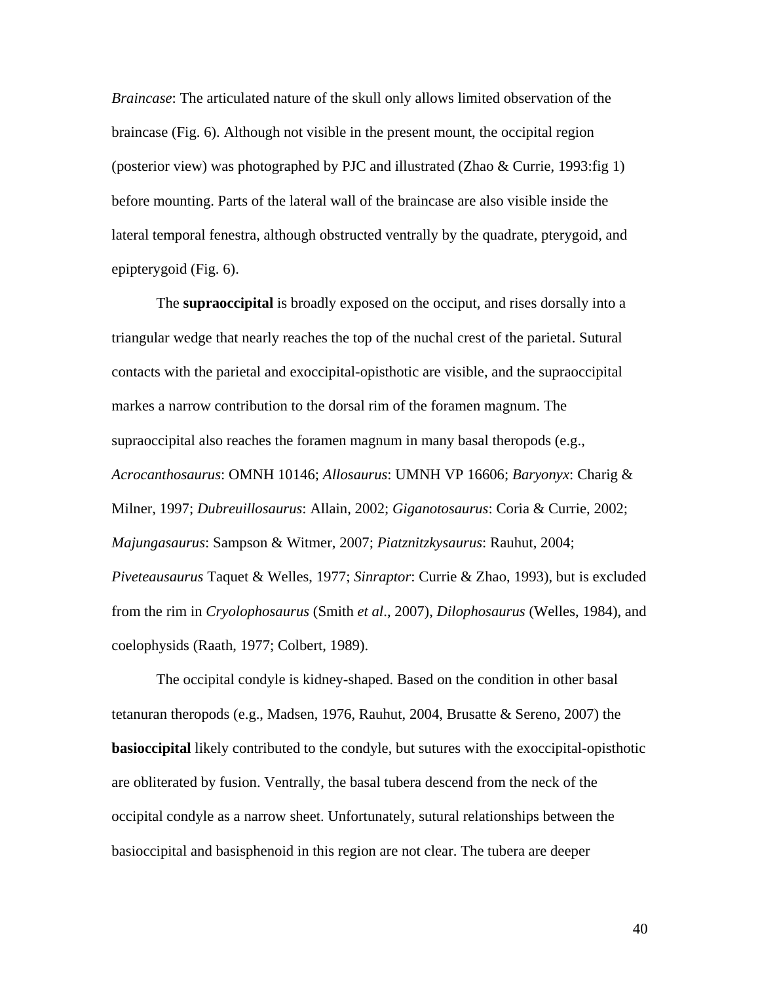*Braincase*: The articulated nature of the skull only allows limited observation of the braincase (Fig. 6). Although not visible in the present mount, the occipital region (posterior view) was photographed by PJC and illustrated (Zhao & Currie, 1993:fig 1) before mounting. Parts of the lateral wall of the braincase are also visible inside the lateral temporal fenestra, although obstructed ventrally by the quadrate, pterygoid, and epipterygoid (Fig. 6).

The **supraoccipital** is broadly exposed on the occiput, and rises dorsally into a triangular wedge that nearly reaches the top of the nuchal crest of the parietal. Sutural contacts with the parietal and exoccipital-opisthotic are visible, and the supraoccipital markes a narrow contribution to the dorsal rim of the foramen magnum. The supraoccipital also reaches the foramen magnum in many basal theropods (e.g., *Acrocanthosaurus*: OMNH 10146; *Allosaurus*: UMNH VP 16606; *Baryonyx*: Charig & Milner, 1997; *Dubreuillosaurus*: Allain, 2002; *Giganotosaurus*: Coria & Currie, 2002; *Majungasaurus*: Sampson & Witmer, 2007; *Piatznitzkysaurus*: Rauhut, 2004; *Piveteausaurus* Taquet & Welles, 1977; *Sinraptor*: Currie & Zhao, 1993), but is excluded from the rim in *Cryolophosaurus* (Smith *et al*., 2007), *Dilophosaurus* (Welles, 1984), and coelophysids (Raath, 1977; Colbert, 1989).

The occipital condyle is kidney-shaped. Based on the condition in other basal tetanuran theropods (e.g., Madsen, 1976, Rauhut, 2004, Brusatte & Sereno, 2007) the **basioccipital** likely contributed to the condyle, but sutures with the exoccipital-opisthotic are obliterated by fusion. Ventrally, the basal tubera descend from the neck of the occipital condyle as a narrow sheet. Unfortunately, sutural relationships between the basioccipital and basisphenoid in this region are not clear. The tubera are deeper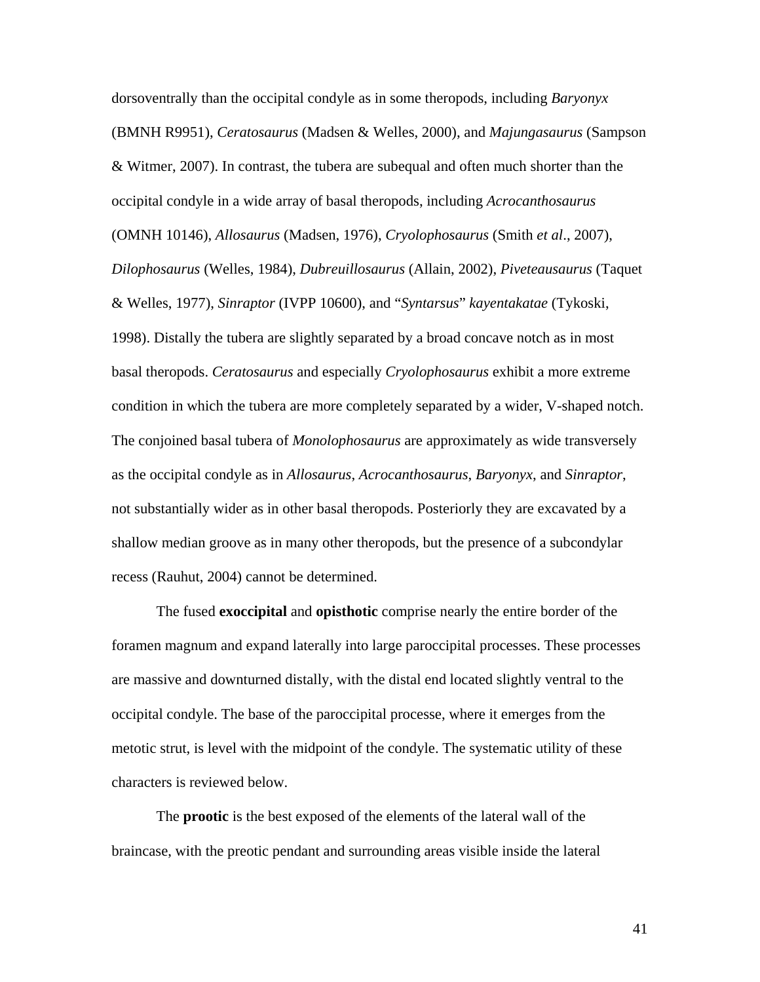dorsoventrally than the occipital condyle as in some theropods, including *Baryonyx* (BMNH R9951), *Ceratosaurus* (Madsen & Welles, 2000), and *Majungasaurus* (Sampson & Witmer, 2007). In contrast, the tubera are subequal and often much shorter than the occipital condyle in a wide array of basal theropods, including *Acrocanthosaurus* (OMNH 10146), *Allosaurus* (Madsen, 1976), *Cryolophosaurus* (Smith *et al*., 2007), *Dilophosaurus* (Welles, 1984), *Dubreuillosaurus* (Allain, 2002), *Piveteausaurus* (Taquet & Welles, 1977), *Sinraptor* (IVPP 10600), and "*Syntarsus*" *kayentakatae* (Tykoski, 1998). Distally the tubera are slightly separated by a broad concave notch as in most basal theropods. *Ceratosaurus* and especially *Cryolophosaurus* exhibit a more extreme condition in which the tubera are more completely separated by a wider, V-shaped notch. The conjoined basal tubera of *Monolophosaurus* are approximately as wide transversely as the occipital condyle as in *Allosaurus*, *Acrocanthosaurus*, *Baryonyx*, and *Sinraptor*, not substantially wider as in other basal theropods. Posteriorly they are excavated by a shallow median groove as in many other theropods, but the presence of a subcondylar recess (Rauhut, 2004) cannot be determined.

The fused **exoccipital** and **opisthotic** comprise nearly the entire border of the foramen magnum and expand laterally into large paroccipital processes. These processes are massive and downturned distally, with the distal end located slightly ventral to the occipital condyle. The base of the paroccipital processe, where it emerges from the metotic strut, is level with the midpoint of the condyle. The systematic utility of these characters is reviewed below.

The **prootic** is the best exposed of the elements of the lateral wall of the braincase, with the preotic pendant and surrounding areas visible inside the lateral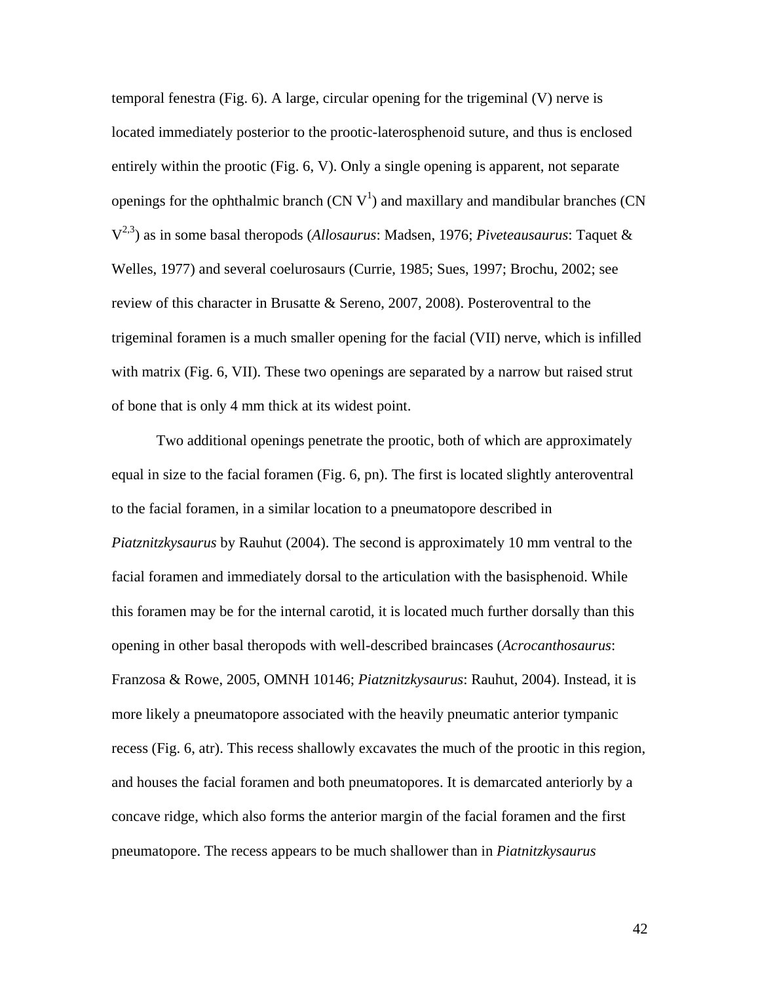temporal fenestra (Fig. 6). A large, circular opening for the trigeminal (V) nerve is located immediately posterior to the prootic-laterosphenoid suture, and thus is enclosed entirely within the prootic (Fig. 6, V). Only a single opening is apparent, not separate openings for the ophthalmic branch  $(CN V<sup>1</sup>)$  and maxillary and mandibular branches  $(CN)$ V2,3) as in some basal theropods (*Allosaurus*: Madsen, 1976; *Piveteausaurus*: Taquet & Welles, 1977) and several coelurosaurs (Currie, 1985; Sues, 1997; Brochu, 2002; see review of this character in Brusatte & Sereno, 2007, 2008). Posteroventral to the trigeminal foramen is a much smaller opening for the facial (VII) nerve, which is infilled with matrix (Fig. 6, VII). These two openings are separated by a narrow but raised strut of bone that is only 4 mm thick at its widest point.

Two additional openings penetrate the prootic, both of which are approximately equal in size to the facial foramen (Fig. 6, pn). The first is located slightly anteroventral to the facial foramen, in a similar location to a pneumatopore described in *Piatznitzkysaurus* by Rauhut (2004). The second is approximately 10 mm ventral to the facial foramen and immediately dorsal to the articulation with the basisphenoid. While this foramen may be for the internal carotid, it is located much further dorsally than this opening in other basal theropods with well-described braincases (*Acrocanthosaurus*: Franzosa & Rowe, 2005, OMNH 10146; *Piatznitzkysaurus*: Rauhut, 2004). Instead, it is more likely a pneumatopore associated with the heavily pneumatic anterior tympanic recess (Fig. 6, atr). This recess shallowly excavates the much of the prootic in this region, and houses the facial foramen and both pneumatopores. It is demarcated anteriorly by a concave ridge, which also forms the anterior margin of the facial foramen and the first pneumatopore. The recess appears to be much shallower than in *Piatnitzkysaurus*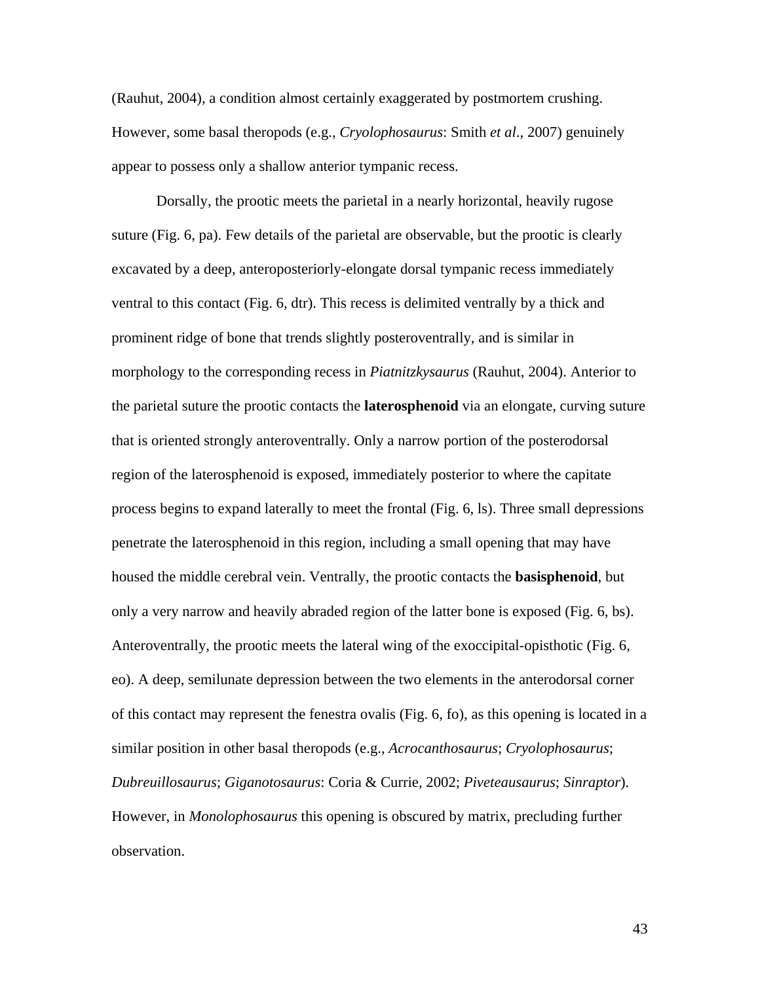(Rauhut, 2004), a condition almost certainly exaggerated by postmortem crushing. However, some basal theropods (e.g., *Cryolophosaurus*: Smith *et al*., 2007) genuinely appear to possess only a shallow anterior tympanic recess.

Dorsally, the prootic meets the parietal in a nearly horizontal, heavily rugose suture (Fig. 6, pa). Few details of the parietal are observable, but the prootic is clearly excavated by a deep, anteroposteriorly-elongate dorsal tympanic recess immediately ventral to this contact (Fig. 6, dtr). This recess is delimited ventrally by a thick and prominent ridge of bone that trends slightly posteroventrally, and is similar in morphology to the corresponding recess in *Piatnitzkysaurus* (Rauhut, 2004). Anterior to the parietal suture the prootic contacts the **laterosphenoid** via an elongate, curving suture that is oriented strongly anteroventrally. Only a narrow portion of the posterodorsal region of the laterosphenoid is exposed, immediately posterior to where the capitate process begins to expand laterally to meet the frontal (Fig. 6, ls). Three small depressions penetrate the laterosphenoid in this region, including a small opening that may have housed the middle cerebral vein. Ventrally, the prootic contacts the **basisphenoid**, but only a very narrow and heavily abraded region of the latter bone is exposed (Fig. 6, bs). Anteroventrally, the prootic meets the lateral wing of the exoccipital-opisthotic (Fig. 6, eo). A deep, semilunate depression between the two elements in the anterodorsal corner of this contact may represent the fenestra ovalis (Fig. 6, fo), as this opening is located in a similar position in other basal theropods (e.g., *Acrocanthosaurus*; *Cryolophosaurus*; *Dubreuillosaurus*; *Giganotosaurus*: Coria & Currie, 2002; *Piveteausaurus*; *Sinraptor*). However, in *Monolophosaurus* this opening is obscured by matrix, precluding further observation.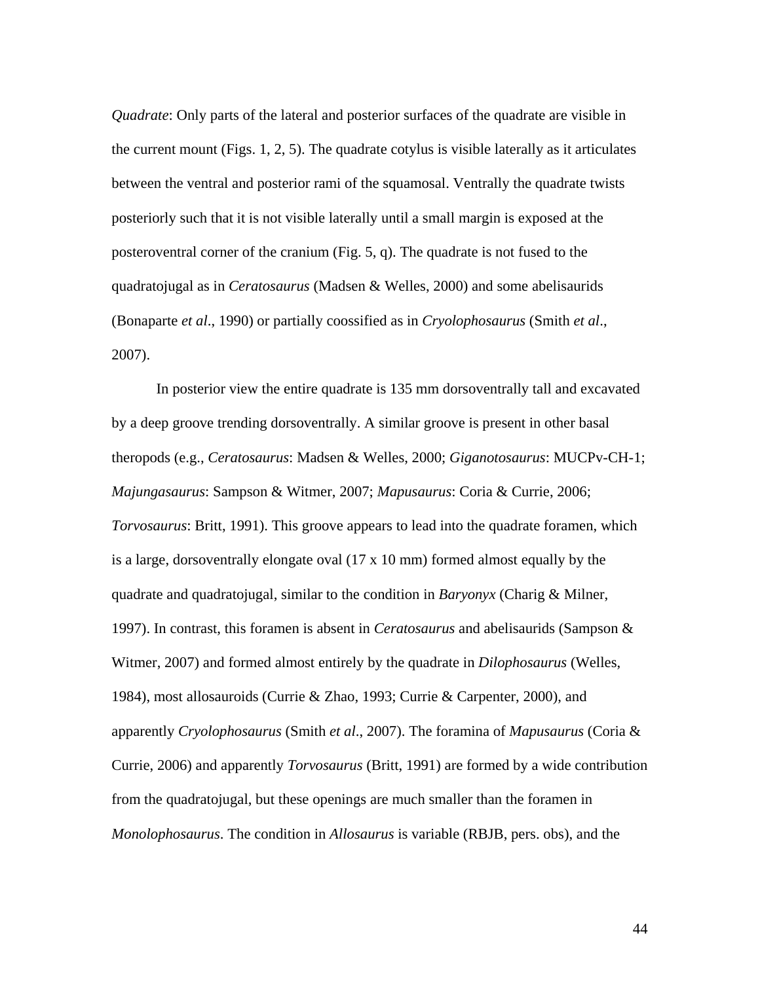*Quadrate*: Only parts of the lateral and posterior surfaces of the quadrate are visible in the current mount (Figs. 1, 2, 5). The quadrate cotylus is visible laterally as it articulates between the ventral and posterior rami of the squamosal. Ventrally the quadrate twists posteriorly such that it is not visible laterally until a small margin is exposed at the posteroventral corner of the cranium (Fig. 5, q). The quadrate is not fused to the quadratojugal as in *Ceratosaurus* (Madsen & Welles, 2000) and some abelisaurids (Bonaparte *et al*., 1990) or partially coossified as in *Cryolophosaurus* (Smith *et al*., 2007).

In posterior view the entire quadrate is 135 mm dorsoventrally tall and excavated by a deep groove trending dorsoventrally. A similar groove is present in other basal theropods (e.g., *Ceratosaurus*: Madsen & Welles, 2000; *Giganotosaurus*: MUCPv-CH-1; *Majungasaurus*: Sampson & Witmer, 2007; *Mapusaurus*: Coria & Currie, 2006; *Torvosaurus*: Britt, 1991). This groove appears to lead into the quadrate foramen, which is a large, dorsoventrally elongate oval (17 x 10 mm) formed almost equally by the quadrate and quadratojugal, similar to the condition in *Baryonyx* (Charig & Milner, 1997). In contrast, this foramen is absent in *Ceratosaurus* and abelisaurids (Sampson & Witmer, 2007) and formed almost entirely by the quadrate in *Dilophosaurus* (Welles, 1984), most allosauroids (Currie & Zhao, 1993; Currie & Carpenter, 2000), and apparently *Cryolophosaurus* (Smith *et al*., 2007). The foramina of *Mapusaurus* (Coria & Currie, 2006) and apparently *Torvosaurus* (Britt, 1991) are formed by a wide contribution from the quadratojugal, but these openings are much smaller than the foramen in *Monolophosaurus*. The condition in *Allosaurus* is variable (RBJB, pers. obs), and the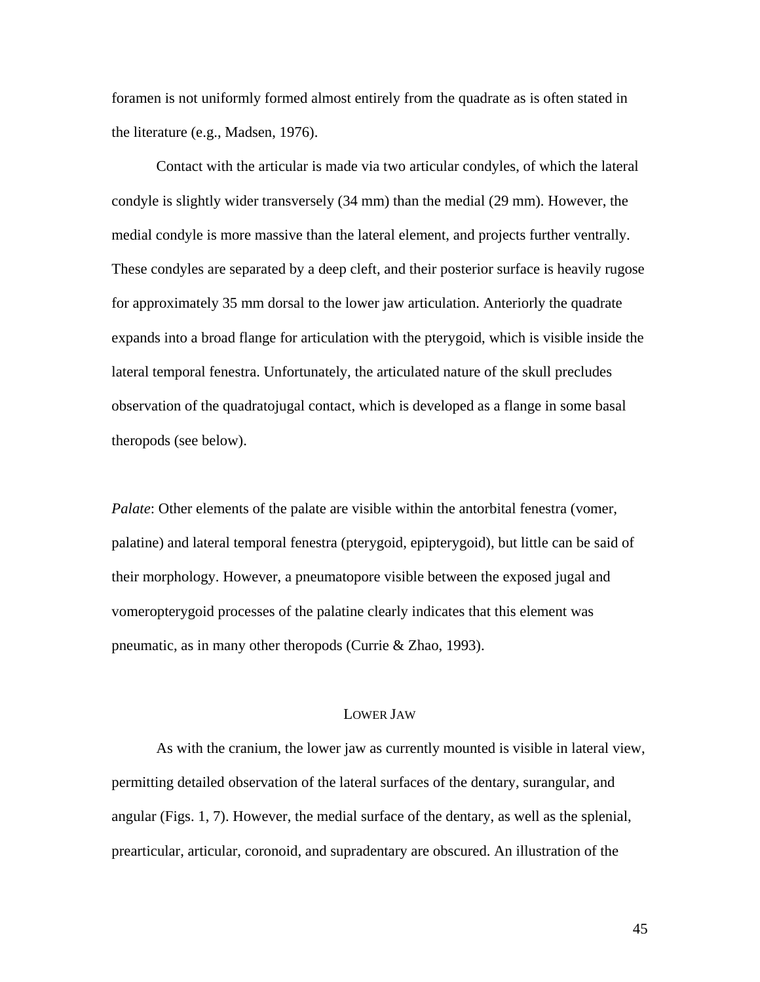foramen is not uniformly formed almost entirely from the quadrate as is often stated in the literature (e.g., Madsen, 1976).

Contact with the articular is made via two articular condyles, of which the lateral condyle is slightly wider transversely (34 mm) than the medial (29 mm). However, the medial condyle is more massive than the lateral element, and projects further ventrally. These condyles are separated by a deep cleft, and their posterior surface is heavily rugose for approximately 35 mm dorsal to the lower jaw articulation. Anteriorly the quadrate expands into a broad flange for articulation with the pterygoid, which is visible inside the lateral temporal fenestra. Unfortunately, the articulated nature of the skull precludes observation of the quadratojugal contact, which is developed as a flange in some basal theropods (see below).

*Palate*: Other elements of the palate are visible within the antorbital fenestra (vomer, palatine) and lateral temporal fenestra (pterygoid, epipterygoid), but little can be said of their morphology. However, a pneumatopore visible between the exposed jugal and vomeropterygoid processes of the palatine clearly indicates that this element was pneumatic, as in many other theropods (Currie & Zhao, 1993).

## LOWER JAW

As with the cranium, the lower jaw as currently mounted is visible in lateral view, permitting detailed observation of the lateral surfaces of the dentary, surangular, and angular (Figs. 1, 7). However, the medial surface of the dentary, as well as the splenial, prearticular, articular, coronoid, and supradentary are obscured. An illustration of the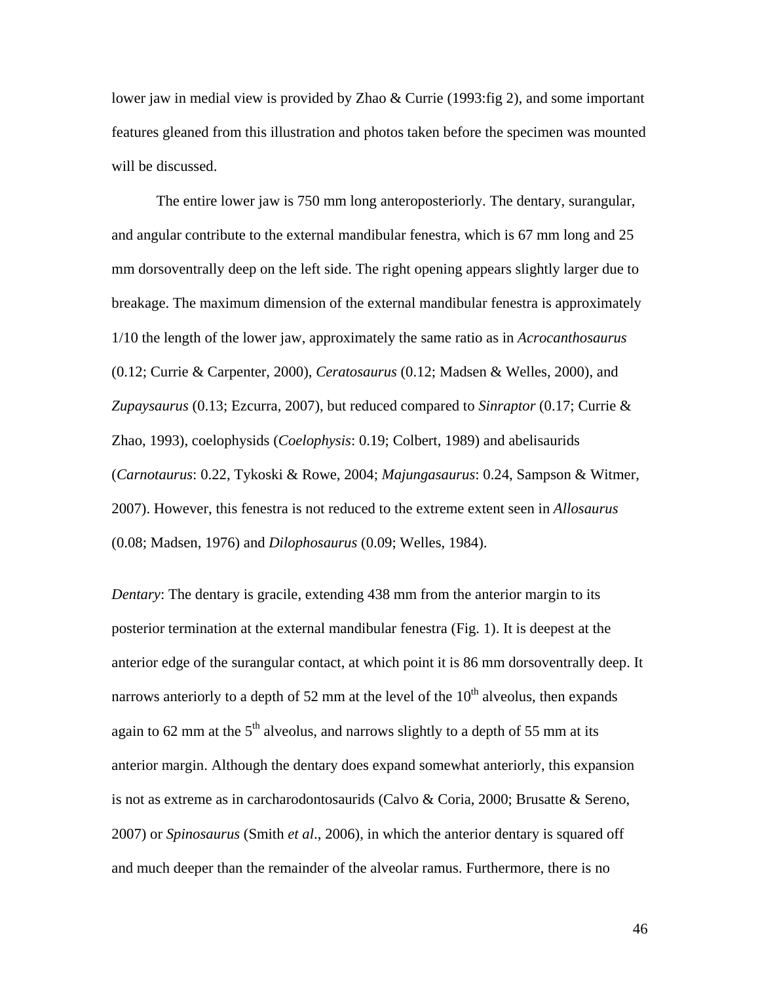lower jaw in medial view is provided by Zhao & Currie (1993:fig 2), and some important features gleaned from this illustration and photos taken before the specimen was mounted will be discussed.

The entire lower jaw is 750 mm long anteroposteriorly. The dentary, surangular, and angular contribute to the external mandibular fenestra, which is 67 mm long and 25 mm dorsoventrally deep on the left side. The right opening appears slightly larger due to breakage. The maximum dimension of the external mandibular fenestra is approximately 1/10 the length of the lower jaw, approximately the same ratio as in *Acrocanthosaurus* (0.12; Currie & Carpenter, 2000), *Ceratosaurus* (0.12; Madsen & Welles, 2000), and *Zupaysaurus* (0.13; Ezcurra, 2007), but reduced compared to *Sinraptor* (0.17; Currie & Zhao, 1993), coelophysids (*Coelophysis*: 0.19; Colbert, 1989) and abelisaurids (*Carnotaurus*: 0.22, Tykoski & Rowe, 2004; *Majungasaurus*: 0.24, Sampson & Witmer, 2007). However, this fenestra is not reduced to the extreme extent seen in *Allosaurus* (0.08; Madsen, 1976) and *Dilophosaurus* (0.09; Welles, 1984).

*Dentary*: The dentary is gracile, extending 438 mm from the anterior margin to its posterior termination at the external mandibular fenestra (Fig. 1). It is deepest at the anterior edge of the surangular contact, at which point it is 86 mm dorsoventrally deep. It narrows anteriorly to a depth of 52 mm at the level of the  $10<sup>th</sup>$  alveolus, then expands again to 62 mm at the  $5<sup>th</sup>$  alveolus, and narrows slightly to a depth of 55 mm at its anterior margin. Although the dentary does expand somewhat anteriorly, this expansion is not as extreme as in carcharodontosaurids (Calvo & Coria, 2000; Brusatte & Sereno, 2007) or *Spinosaurus* (Smith *et al*., 2006), in which the anterior dentary is squared off and much deeper than the remainder of the alveolar ramus. Furthermore, there is no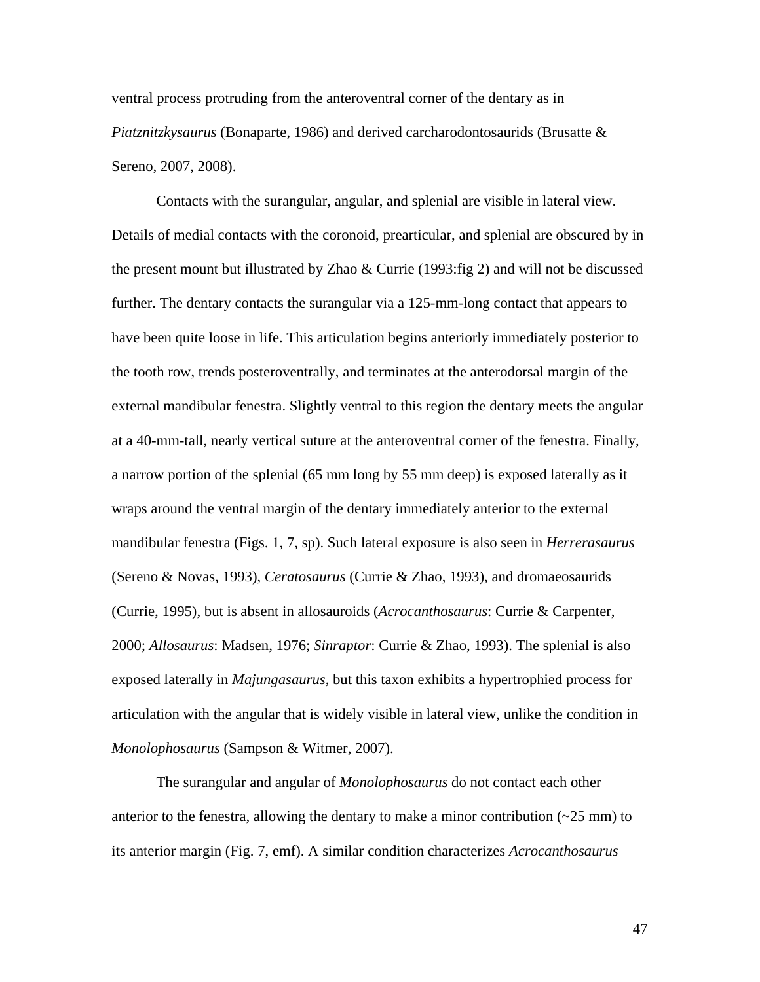ventral process protruding from the anteroventral corner of the dentary as in *Piatznitzkysaurus* (Bonaparte, 1986) and derived carcharodontosaurids (Brusatte & Sereno, 2007, 2008).

Contacts with the surangular, angular, and splenial are visible in lateral view. Details of medial contacts with the coronoid, prearticular, and splenial are obscured by in the present mount but illustrated by Zhao & Currie (1993:fig 2) and will not be discussed further. The dentary contacts the surangular via a 125-mm-long contact that appears to have been quite loose in life. This articulation begins anteriorly immediately posterior to the tooth row, trends posteroventrally, and terminates at the anterodorsal margin of the external mandibular fenestra. Slightly ventral to this region the dentary meets the angular at a 40-mm-tall, nearly vertical suture at the anteroventral corner of the fenestra. Finally, a narrow portion of the splenial (65 mm long by 55 mm deep) is exposed laterally as it wraps around the ventral margin of the dentary immediately anterior to the external mandibular fenestra (Figs. 1, 7, sp). Such lateral exposure is also seen in *Herrerasaurus* (Sereno & Novas, 1993), *Ceratosaurus* (Currie & Zhao, 1993), and dromaeosaurids (Currie, 1995), but is absent in allosauroids (*Acrocanthosaurus*: Currie & Carpenter, 2000; *Allosaurus*: Madsen, 1976; *Sinraptor*: Currie & Zhao, 1993). The splenial is also exposed laterally in *Majungasaurus*, but this taxon exhibits a hypertrophied process for articulation with the angular that is widely visible in lateral view, unlike the condition in *Monolophosaurus* (Sampson & Witmer, 2007).

The surangular and angular of *Monolophosaurus* do not contact each other anterior to the fenestra, allowing the dentary to make a minor contribution  $(-25 \text{ mm})$  to its anterior margin (Fig. 7, emf). A similar condition characterizes *Acrocanthosaurus*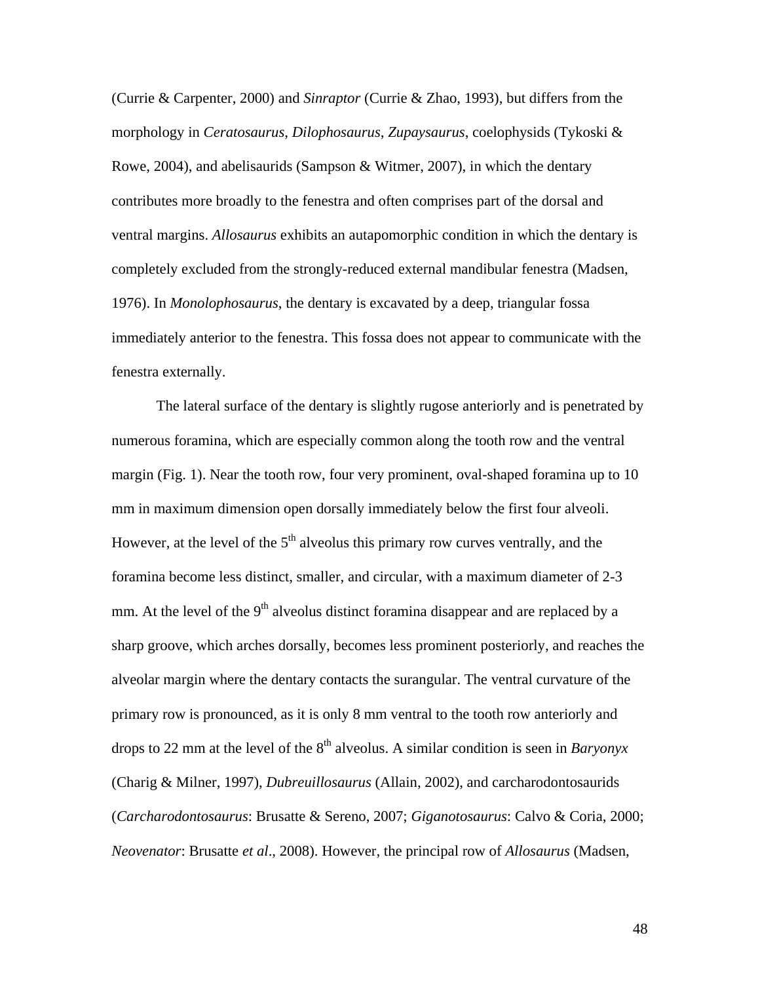(Currie & Carpenter, 2000) and *Sinraptor* (Currie & Zhao, 1993), but differs from the morphology in *Ceratosaurus*, *Dilophosaurus*, *Zupaysaurus*, coelophysids (Tykoski & Rowe, 2004), and abelisaurids (Sampson & Witmer, 2007), in which the dentary contributes more broadly to the fenestra and often comprises part of the dorsal and ventral margins. *Allosaurus* exhibits an autapomorphic condition in which the dentary is completely excluded from the strongly-reduced external mandibular fenestra (Madsen, 1976). In *Monolophosaurus*, the dentary is excavated by a deep, triangular fossa immediately anterior to the fenestra. This fossa does not appear to communicate with the fenestra externally.

The lateral surface of the dentary is slightly rugose anteriorly and is penetrated by numerous foramina, which are especially common along the tooth row and the ventral margin (Fig. 1). Near the tooth row, four very prominent, oval-shaped foramina up to 10 mm in maximum dimension open dorsally immediately below the first four alveoli. However, at the level of the  $5<sup>th</sup>$  alveolus this primary row curves ventrally, and the foramina become less distinct, smaller, and circular, with a maximum diameter of 2-3 mm. At the level of the  $9<sup>th</sup>$  alveolus distinct foramina disappear and are replaced by a sharp groove, which arches dorsally, becomes less prominent posteriorly, and reaches the alveolar margin where the dentary contacts the surangular. The ventral curvature of the primary row is pronounced, as it is only 8 mm ventral to the tooth row anteriorly and drops to 22 mm at the level of the  $8<sup>th</sup>$  alveolus. A similar condition is seen in *Baryonyx* (Charig & Milner, 1997), *Dubreuillosaurus* (Allain, 2002), and carcharodontosaurids (*Carcharodontosaurus*: Brusatte & Sereno, 2007; *Giganotosaurus*: Calvo & Coria, 2000; *Neovenator*: Brusatte *et al*., 2008). However, the principal row of *Allosaurus* (Madsen,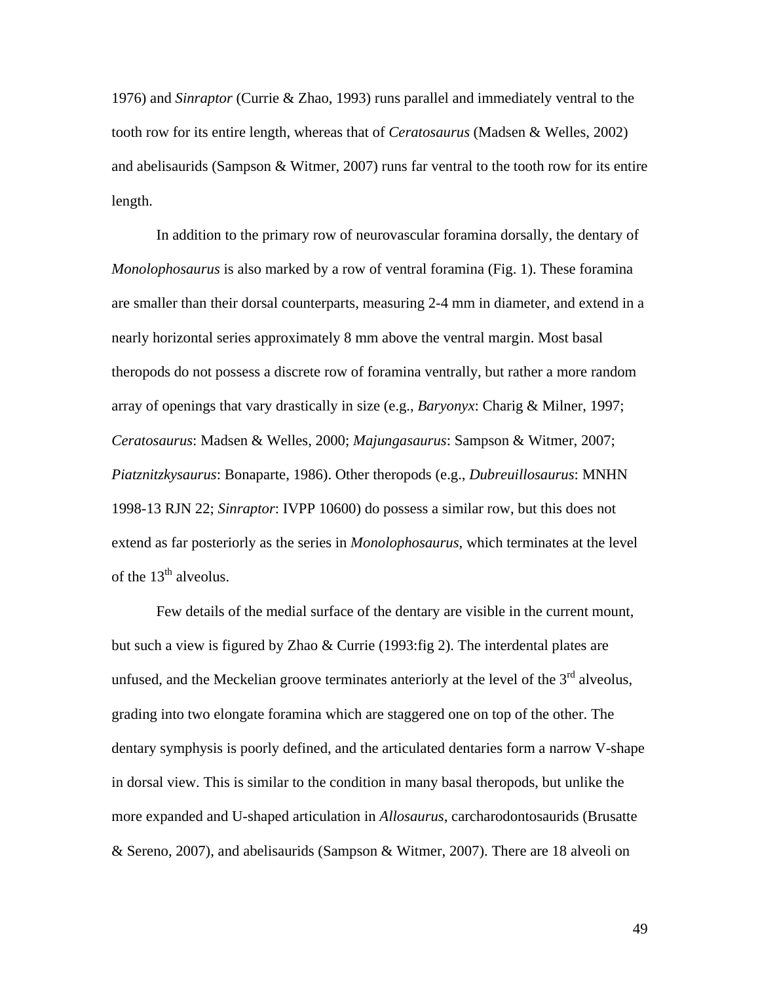1976) and *Sinraptor* (Currie & Zhao, 1993) runs parallel and immediately ventral to the tooth row for its entire length, whereas that of *Ceratosaurus* (Madsen & Welles, 2002) and abelisaurids (Sampson & Witmer, 2007) runs far ventral to the tooth row for its entire length.

In addition to the primary row of neurovascular foramina dorsally, the dentary of *Monolophosaurus* is also marked by a row of ventral foramina (Fig. 1). These foramina are smaller than their dorsal counterparts, measuring 2-4 mm in diameter, and extend in a nearly horizontal series approximately 8 mm above the ventral margin. Most basal theropods do not possess a discrete row of foramina ventrally, but rather a more random array of openings that vary drastically in size (e.g., *Baryonyx*: Charig & Milner, 1997; *Ceratosaurus*: Madsen & Welles, 2000; *Majungasaurus*: Sampson & Witmer, 2007; *Piatznitzkysaurus*: Bonaparte, 1986). Other theropods (e.g., *Dubreuillosaurus*: MNHN 1998-13 RJN 22; *Sinraptor*: IVPP 10600) do possess a similar row, but this does not extend as far posteriorly as the series in *Monolophosaurus*, which terminates at the level of the  $13<sup>th</sup>$  alveolus.

Few details of the medial surface of the dentary are visible in the current mount, but such a view is figured by Zhao & Currie (1993:fig 2). The interdental plates are unfused, and the Meckelian groove terminates anteriorly at the level of the  $3<sup>rd</sup>$  alveolus, grading into two elongate foramina which are staggered one on top of the other. The dentary symphysis is poorly defined, and the articulated dentaries form a narrow V-shape in dorsal view. This is similar to the condition in many basal theropods, but unlike the more expanded and U-shaped articulation in *Allosaurus*, carcharodontosaurids (Brusatte & Sereno, 2007), and abelisaurids (Sampson & Witmer, 2007). There are 18 alveoli on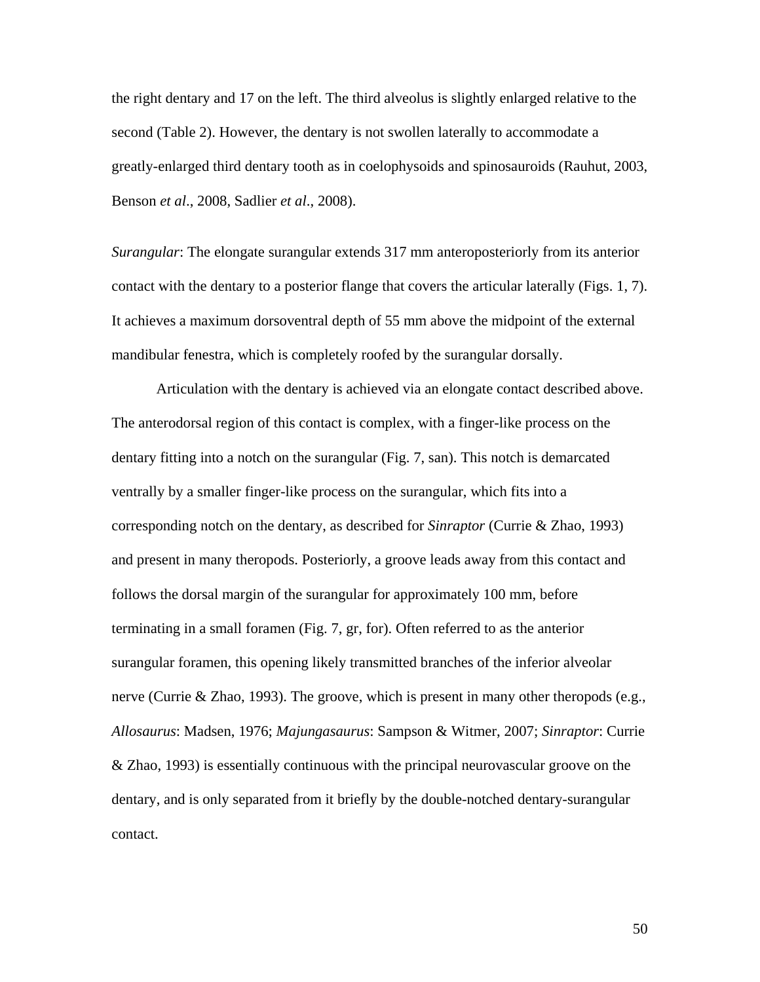the right dentary and 17 on the left. The third alveolus is slightly enlarged relative to the second (Table 2). However, the dentary is not swollen laterally to accommodate a greatly-enlarged third dentary tooth as in coelophysoids and spinosauroids (Rauhut, 2003, Benson *et al*., 2008, Sadlier *et al*., 2008).

*Surangular*: The elongate surangular extends 317 mm anteroposteriorly from its anterior contact with the dentary to a posterior flange that covers the articular laterally (Figs. 1, 7). It achieves a maximum dorsoventral depth of 55 mm above the midpoint of the external mandibular fenestra, which is completely roofed by the surangular dorsally.

Articulation with the dentary is achieved via an elongate contact described above. The anterodorsal region of this contact is complex, with a finger-like process on the dentary fitting into a notch on the surangular (Fig. 7, san). This notch is demarcated ventrally by a smaller finger-like process on the surangular, which fits into a corresponding notch on the dentary, as described for *Sinraptor* (Currie & Zhao, 1993) and present in many theropods. Posteriorly, a groove leads away from this contact and follows the dorsal margin of the surangular for approximately 100 mm, before terminating in a small foramen (Fig. 7, gr, for). Often referred to as the anterior surangular foramen, this opening likely transmitted branches of the inferior alveolar nerve (Currie & Zhao, 1993). The groove, which is present in many other theropods (e.g., *Allosaurus*: Madsen, 1976; *Majungasaurus*: Sampson & Witmer, 2007; *Sinraptor*: Currie & Zhao, 1993) is essentially continuous with the principal neurovascular groove on the dentary, and is only separated from it briefly by the double-notched dentary-surangular contact.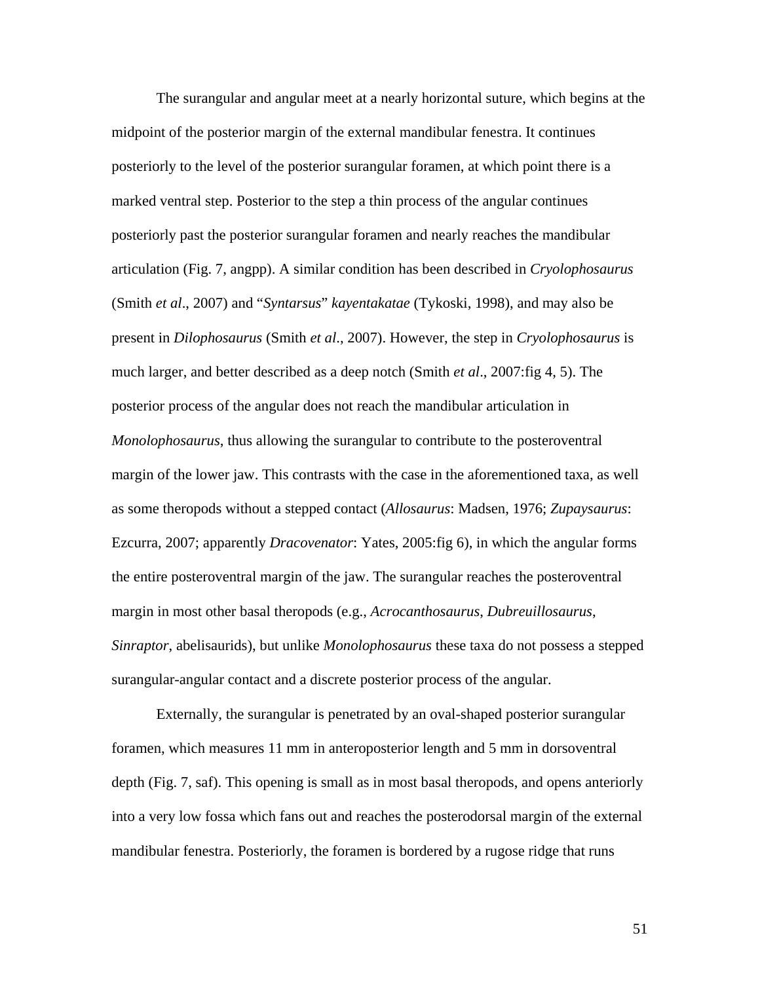The surangular and angular meet at a nearly horizontal suture, which begins at the midpoint of the posterior margin of the external mandibular fenestra. It continues posteriorly to the level of the posterior surangular foramen, at which point there is a marked ventral step. Posterior to the step a thin process of the angular continues posteriorly past the posterior surangular foramen and nearly reaches the mandibular articulation (Fig. 7, angpp). A similar condition has been described in *Cryolophosaurus* (Smith *et al*., 2007) and "*Syntarsus*" *kayentakatae* (Tykoski, 1998), and may also be present in *Dilophosaurus* (Smith *et al*., 2007). However, the step in *Cryolophosaurus* is much larger, and better described as a deep notch (Smith *et al*., 2007:fig 4, 5). The posterior process of the angular does not reach the mandibular articulation in *Monolophosaurus*, thus allowing the surangular to contribute to the posteroventral margin of the lower jaw. This contrasts with the case in the aforementioned taxa, as well as some theropods without a stepped contact (*Allosaurus*: Madsen, 1976; *Zupaysaurus*: Ezcurra, 2007; apparently *Dracovenator*: Yates, 2005:fig 6), in which the angular forms the entire posteroventral margin of the jaw. The surangular reaches the posteroventral margin in most other basal theropods (e.g., *Acrocanthosaurus*, *Dubreuillosaurus*, *Sinraptor*, abelisaurids), but unlike *Monolophosaurus* these taxa do not possess a stepped surangular-angular contact and a discrete posterior process of the angular.

Externally, the surangular is penetrated by an oval-shaped posterior surangular foramen, which measures 11 mm in anteroposterior length and 5 mm in dorsoventral depth (Fig. 7, saf). This opening is small as in most basal theropods, and opens anteriorly into a very low fossa which fans out and reaches the posterodorsal margin of the external mandibular fenestra. Posteriorly, the foramen is bordered by a rugose ridge that runs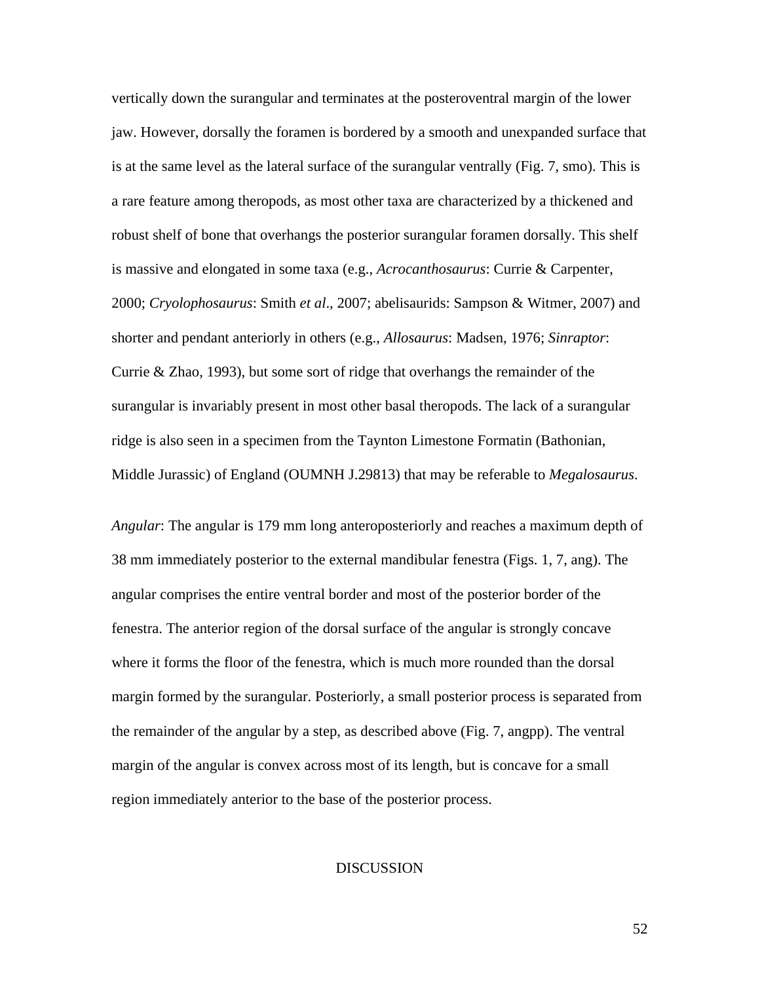vertically down the surangular and terminates at the posteroventral margin of the lower jaw. However, dorsally the foramen is bordered by a smooth and unexpanded surface that is at the same level as the lateral surface of the surangular ventrally (Fig. 7, smo). This is a rare feature among theropods, as most other taxa are characterized by a thickened and robust shelf of bone that overhangs the posterior surangular foramen dorsally. This shelf is massive and elongated in some taxa (e.g., *Acrocanthosaurus*: Currie & Carpenter, 2000; *Cryolophosaurus*: Smith *et al*., 2007; abelisaurids: Sampson & Witmer, 2007) and shorter and pendant anteriorly in others (e.g., *Allosaurus*: Madsen, 1976; *Sinraptor*: Currie & Zhao, 1993), but some sort of ridge that overhangs the remainder of the surangular is invariably present in most other basal theropods. The lack of a surangular ridge is also seen in a specimen from the Taynton Limestone Formatin (Bathonian, Middle Jurassic) of England (OUMNH J.29813) that may be referable to *Megalosaurus*.

*Angular*: The angular is 179 mm long anteroposteriorly and reaches a maximum depth of 38 mm immediately posterior to the external mandibular fenestra (Figs. 1, 7, ang). The angular comprises the entire ventral border and most of the posterior border of the fenestra. The anterior region of the dorsal surface of the angular is strongly concave where it forms the floor of the fenestra, which is much more rounded than the dorsal margin formed by the surangular. Posteriorly, a small posterior process is separated from the remainder of the angular by a step, as described above (Fig. 7, angpp). The ventral margin of the angular is convex across most of its length, but is concave for a small region immediately anterior to the base of the posterior process.

## **DISCUSSION**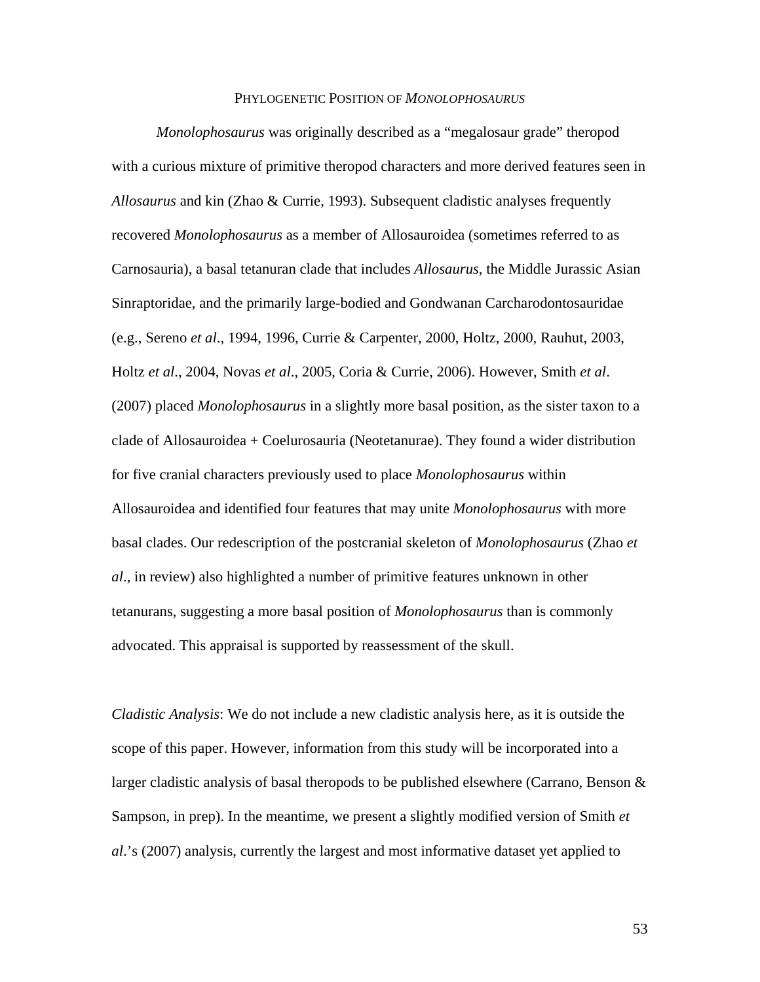#### PHYLOGENETIC POSITION OF *MONOLOPHOSAURUS*

*Monolophosaurus* was originally described as a "megalosaur grade" theropod with a curious mixture of primitive theropod characters and more derived features seen in *Allosaurus* and kin (Zhao & Currie, 1993). Subsequent cladistic analyses frequently recovered *Monolophosaurus* as a member of Allosauroidea (sometimes referred to as Carnosauria), a basal tetanuran clade that includes *Allosaurus*, the Middle Jurassic Asian Sinraptoridae, and the primarily large-bodied and Gondwanan Carcharodontosauridae (e.g., Sereno *et al*., 1994, 1996, Currie & Carpenter, 2000, Holtz, 2000, Rauhut, 2003, Holtz *et al*., 2004, Novas *et al*., 2005, Coria & Currie, 2006). However, Smith *et al*. (2007) placed *Monolophosaurus* in a slightly more basal position, as the sister taxon to a clade of Allosauroidea + Coelurosauria (Neotetanurae). They found a wider distribution for five cranial characters previously used to place *Monolophosaurus* within Allosauroidea and identified four features that may unite *Monolophosaurus* with more basal clades. Our redescription of the postcranial skeleton of *Monolophosaurus* (Zhao *et al*., in review) also highlighted a number of primitive features unknown in other tetanurans, suggesting a more basal position of *Monolophosaurus* than is commonly advocated. This appraisal is supported by reassessment of the skull.

*Cladistic Analysis*: We do not include a new cladistic analysis here, as it is outside the scope of this paper. However, information from this study will be incorporated into a larger cladistic analysis of basal theropods to be published elsewhere (Carrano, Benson  $\&$ Sampson, in prep). In the meantime, we present a slightly modified version of Smith *et al*.'s (2007) analysis, currently the largest and most informative dataset yet applied to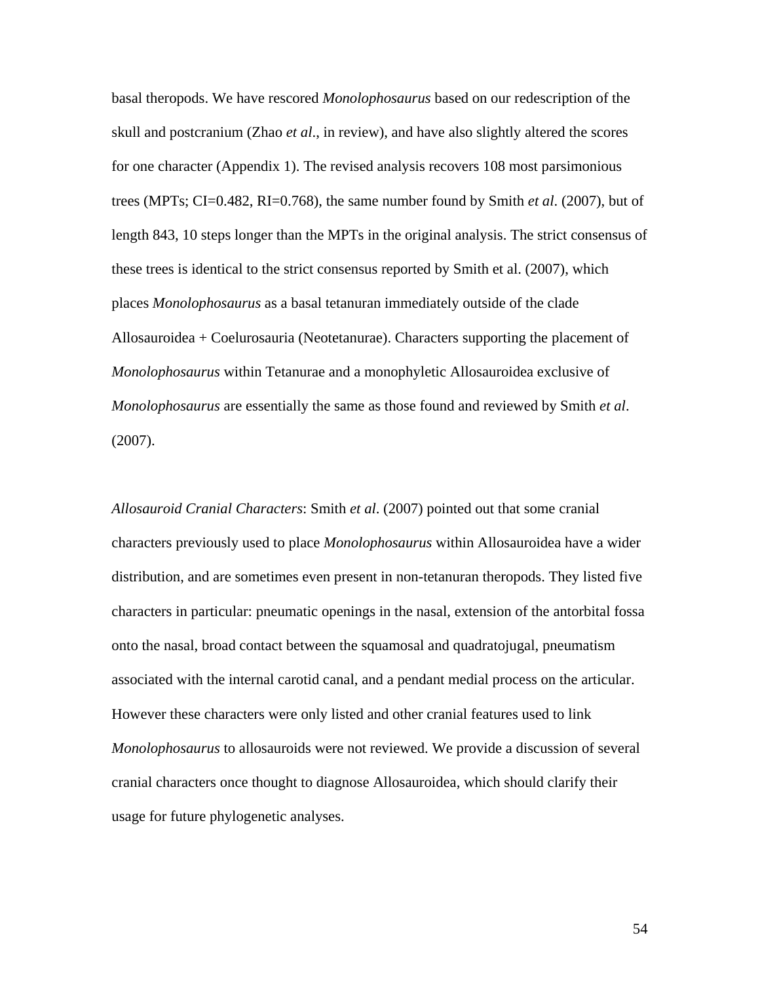basal theropods. We have rescored *Monolophosaurus* based on our redescription of the skull and postcranium (Zhao *et al*., in review), and have also slightly altered the scores for one character (Appendix 1). The revised analysis recovers 108 most parsimonious trees (MPTs; CI=0.482, RI=0.768), the same number found by Smith *et al*. (2007), but of length 843, 10 steps longer than the MPTs in the original analysis. The strict consensus of these trees is identical to the strict consensus reported by Smith et al. (2007), which places *Monolophosaurus* as a basal tetanuran immediately outside of the clade Allosauroidea + Coelurosauria (Neotetanurae). Characters supporting the placement of *Monolophosaurus* within Tetanurae and a monophyletic Allosauroidea exclusive of *Monolophosaurus* are essentially the same as those found and reviewed by Smith *et al*. (2007).

*Allosauroid Cranial Characters*: Smith *et al*. (2007) pointed out that some cranial characters previously used to place *Monolophosaurus* within Allosauroidea have a wider distribution, and are sometimes even present in non-tetanuran theropods. They listed five characters in particular: pneumatic openings in the nasal, extension of the antorbital fossa onto the nasal, broad contact between the squamosal and quadratojugal, pneumatism associated with the internal carotid canal, and a pendant medial process on the articular. However these characters were only listed and other cranial features used to link *Monolophosaurus* to allosauroids were not reviewed. We provide a discussion of several cranial characters once thought to diagnose Allosauroidea, which should clarify their usage for future phylogenetic analyses.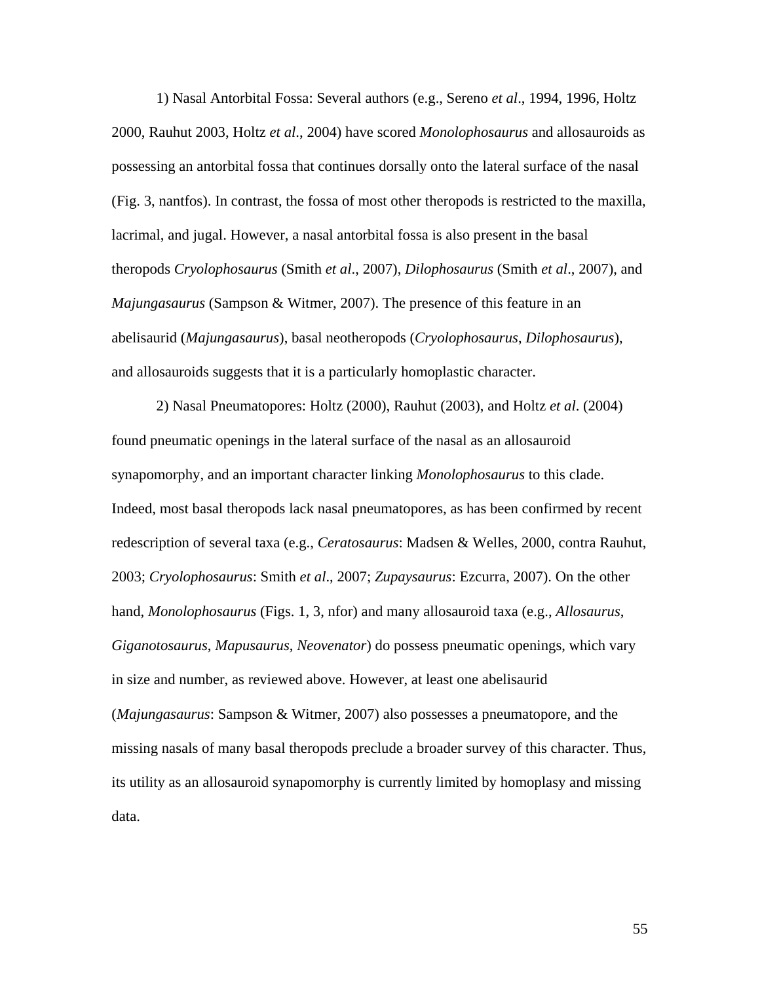1) Nasal Antorbital Fossa: Several authors (e.g., Sereno *et al*., 1994, 1996, Holtz 2000, Rauhut 2003, Holtz *et al*., 2004) have scored *Monolophosaurus* and allosauroids as possessing an antorbital fossa that continues dorsally onto the lateral surface of the nasal (Fig. 3, nantfos). In contrast, the fossa of most other theropods is restricted to the maxilla, lacrimal, and jugal. However, a nasal antorbital fossa is also present in the basal theropods *Cryolophosaurus* (Smith *et al*., 2007), *Dilophosaurus* (Smith *et al*., 2007), and *Majungasaurus* (Sampson & Witmer, 2007). The presence of this feature in an abelisaurid (*Majungasaurus*), basal neotheropods (*Cryolophosaurus*, *Dilophosaurus*), and allosauroids suggests that it is a particularly homoplastic character.

2) Nasal Pneumatopores: Holtz (2000), Rauhut (2003), and Holtz *et al*. (2004) found pneumatic openings in the lateral surface of the nasal as an allosauroid synapomorphy, and an important character linking *Monolophosaurus* to this clade. Indeed, most basal theropods lack nasal pneumatopores, as has been confirmed by recent redescription of several taxa (e.g., *Ceratosaurus*: Madsen & Welles, 2000, contra Rauhut, 2003; *Cryolophosaurus*: Smith *et al*., 2007; *Zupaysaurus*: Ezcurra, 2007). On the other hand, *Monolophosaurus* (Figs. 1, 3, nfor) and many allosauroid taxa (e.g., *Allosaurus*, *Giganotosaurus*, *Mapusaurus*, *Neovenator*) do possess pneumatic openings, which vary in size and number, as reviewed above. However, at least one abelisaurid (*Majungasaurus*: Sampson & Witmer, 2007) also possesses a pneumatopore, and the missing nasals of many basal theropods preclude a broader survey of this character. Thus, its utility as an allosauroid synapomorphy is currently limited by homoplasy and missing data.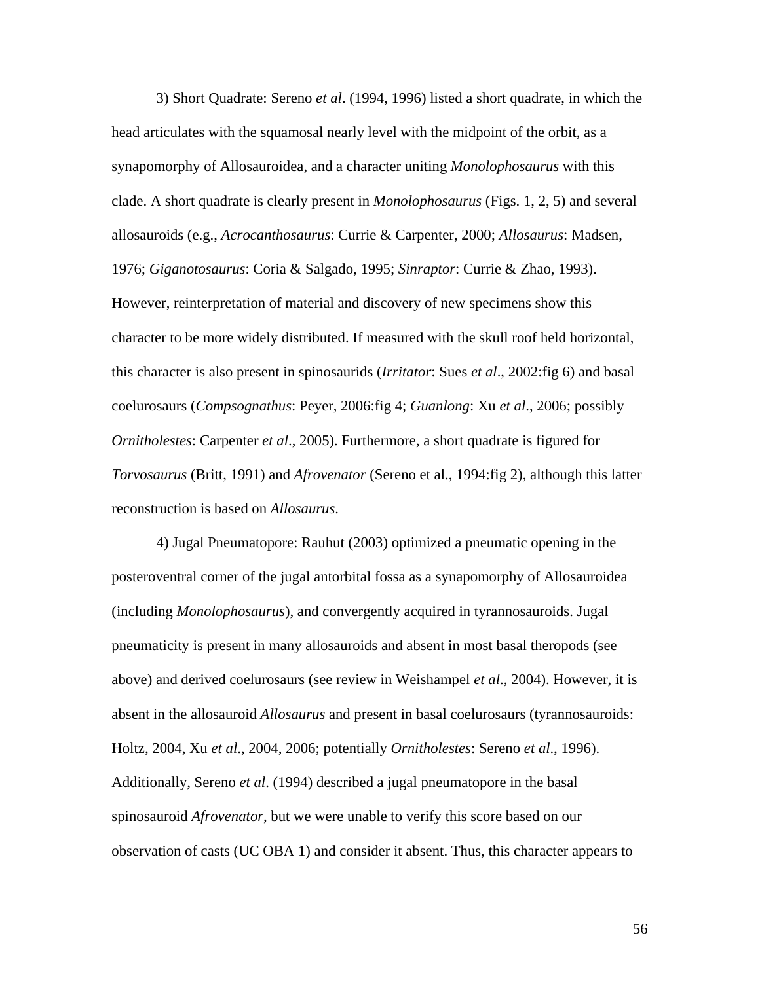3) Short Quadrate: Sereno *et al*. (1994, 1996) listed a short quadrate, in which the head articulates with the squamosal nearly level with the midpoint of the orbit, as a synapomorphy of Allosauroidea, and a character uniting *Monolophosaurus* with this clade. A short quadrate is clearly present in *Monolophosaurus* (Figs. 1, 2, 5) and several allosauroids (e.g., *Acrocanthosaurus*: Currie & Carpenter, 2000; *Allosaurus*: Madsen, 1976; *Giganotosaurus*: Coria & Salgado, 1995; *Sinraptor*: Currie & Zhao, 1993). However, reinterpretation of material and discovery of new specimens show this character to be more widely distributed. If measured with the skull roof held horizontal, this character is also present in spinosaurids (*Irritator*: Sues *et al*., 2002:fig 6) and basal coelurosaurs (*Compsognathus*: Peyer, 2006:fig 4; *Guanlong*: Xu *et al*., 2006; possibly *Ornitholestes*: Carpenter *et al*., 2005). Furthermore, a short quadrate is figured for *Torvosaurus* (Britt, 1991) and *Afrovenator* (Sereno et al., 1994:fig 2), although this latter reconstruction is based on *Allosaurus*.

4) Jugal Pneumatopore: Rauhut (2003) optimized a pneumatic opening in the posteroventral corner of the jugal antorbital fossa as a synapomorphy of Allosauroidea (including *Monolophosaurus*), and convergently acquired in tyrannosauroids. Jugal pneumaticity is present in many allosauroids and absent in most basal theropods (see above) and derived coelurosaurs (see review in Weishampel *et al*., 2004). However, it is absent in the allosauroid *Allosaurus* and present in basal coelurosaurs (tyrannosauroids: Holtz, 2004, Xu *et al*., 2004, 2006; potentially *Ornitholestes*: Sereno *et al*., 1996). Additionally, Sereno *et al*. (1994) described a jugal pneumatopore in the basal spinosauroid *Afrovenator*, but we were unable to verify this score based on our observation of casts (UC OBA 1) and consider it absent. Thus, this character appears to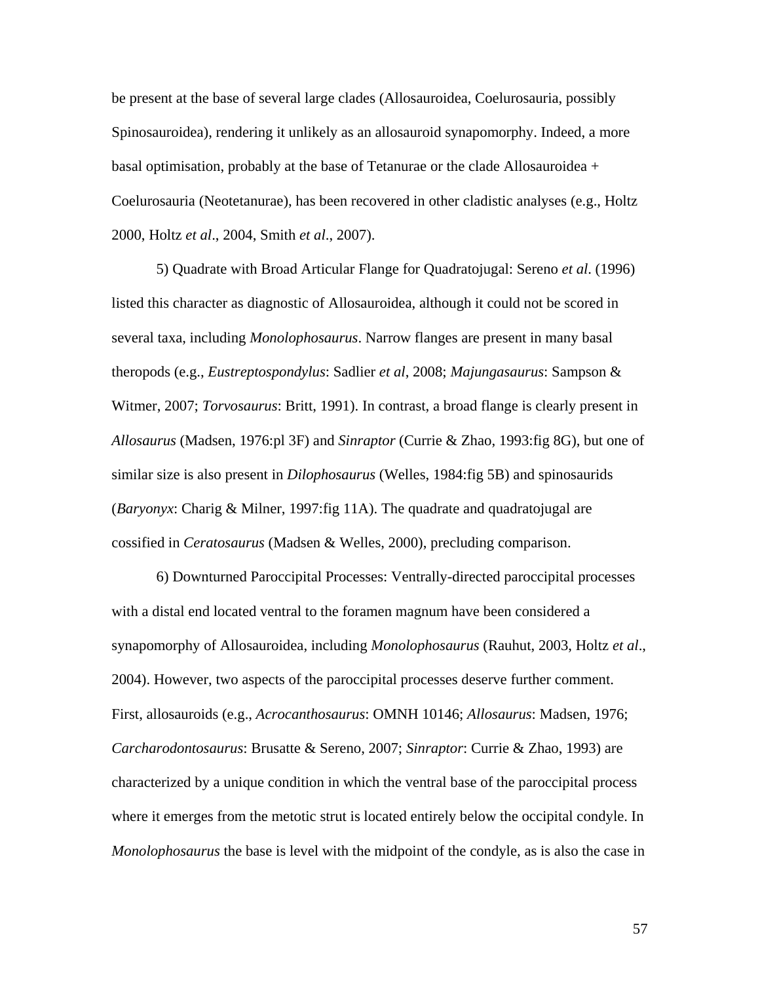be present at the base of several large clades (Allosauroidea, Coelurosauria, possibly Spinosauroidea), rendering it unlikely as an allosauroid synapomorphy. Indeed, a more basal optimisation, probably at the base of Tetanurae or the clade Allosauroidea + Coelurosauria (Neotetanurae), has been recovered in other cladistic analyses (e.g., Holtz 2000, Holtz *et al*., 2004, Smith *et al*., 2007).

5) Quadrate with Broad Articular Flange for Quadratojugal: Sereno *et al*. (1996) listed this character as diagnostic of Allosauroidea, although it could not be scored in several taxa, including *Monolophosaurus*. Narrow flanges are present in many basal theropods (e.g., *Eustreptospondylus*: Sadlier *et al*, 2008; *Majungasaurus*: Sampson & Witmer, 2007; *Torvosaurus*: Britt, 1991). In contrast, a broad flange is clearly present in *Allosaurus* (Madsen, 1976:pl 3F) and *Sinraptor* (Currie & Zhao, 1993:fig 8G), but one of similar size is also present in *Dilophosaurus* (Welles, 1984:fig 5B) and spinosaurids (*Baryonyx*: Charig & Milner, 1997:fig 11A). The quadrate and quadratojugal are cossified in *Ceratosaurus* (Madsen & Welles, 2000), precluding comparison.

6) Downturned Paroccipital Processes: Ventrally-directed paroccipital processes with a distal end located ventral to the foramen magnum have been considered a synapomorphy of Allosauroidea, including *Monolophosaurus* (Rauhut, 2003, Holtz *et al*., 2004). However, two aspects of the paroccipital processes deserve further comment. First, allosauroids (e.g., *Acrocanthosaurus*: OMNH 10146; *Allosaurus*: Madsen, 1976; *Carcharodontosaurus*: Brusatte & Sereno, 2007; *Sinraptor*: Currie & Zhao, 1993) are characterized by a unique condition in which the ventral base of the paroccipital process where it emerges from the metotic strut is located entirely below the occipital condyle. In *Monolophosaurus* the base is level with the midpoint of the condyle, as is also the case in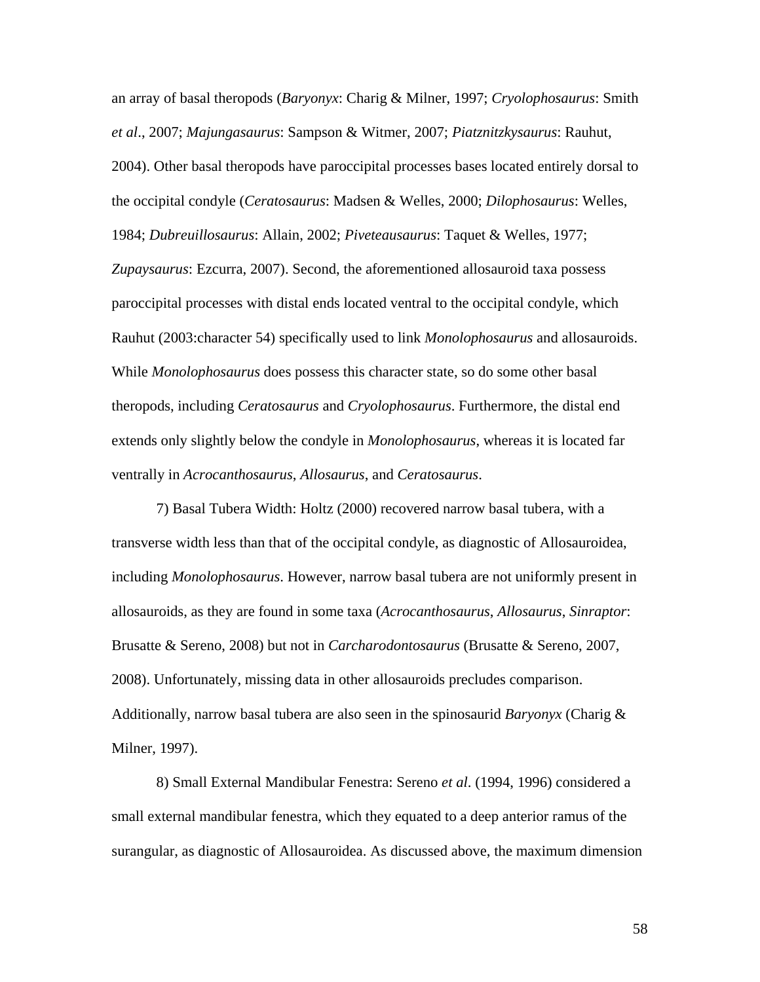an array of basal theropods (*Baryonyx*: Charig & Milner, 1997; *Cryolophosaurus*: Smith *et al*., 2007; *Majungasaurus*: Sampson & Witmer, 2007; *Piatznitzkysaurus*: Rauhut, 2004). Other basal theropods have paroccipital processes bases located entirely dorsal to the occipital condyle (*Ceratosaurus*: Madsen & Welles, 2000; *Dilophosaurus*: Welles, 1984; *Dubreuillosaurus*: Allain, 2002; *Piveteausaurus*: Taquet & Welles, 1977; *Zupaysaurus*: Ezcurra, 2007). Second, the aforementioned allosauroid taxa possess paroccipital processes with distal ends located ventral to the occipital condyle, which Rauhut (2003:character 54) specifically used to link *Monolophosaurus* and allosauroids. While *Monolophosaurus* does possess this character state, so do some other basal theropods, including *Ceratosaurus* and *Cryolophosaurus*. Furthermore, the distal end extends only slightly below the condyle in *Monolophosaurus*, whereas it is located far ventrally in *Acrocanthosaurus*, *Allosaurus*, and *Ceratosaurus*.

7) Basal Tubera Width: Holtz (2000) recovered narrow basal tubera, with a transverse width less than that of the occipital condyle, as diagnostic of Allosauroidea, including *Monolophosaurus*. However, narrow basal tubera are not uniformly present in allosauroids, as they are found in some taxa (*Acrocanthosaurus*, *Allosaurus*, *Sinraptor*: Brusatte & Sereno, 2008) but not in *Carcharodontosaurus* (Brusatte & Sereno, 2007, 2008). Unfortunately, missing data in other allosauroids precludes comparison. Additionally, narrow basal tubera are also seen in the spinosaurid *Baryonyx* (Charig & Milner, 1997).

8) Small External Mandibular Fenestra: Sereno *et al*. (1994, 1996) considered a small external mandibular fenestra, which they equated to a deep anterior ramus of the surangular, as diagnostic of Allosauroidea. As discussed above, the maximum dimension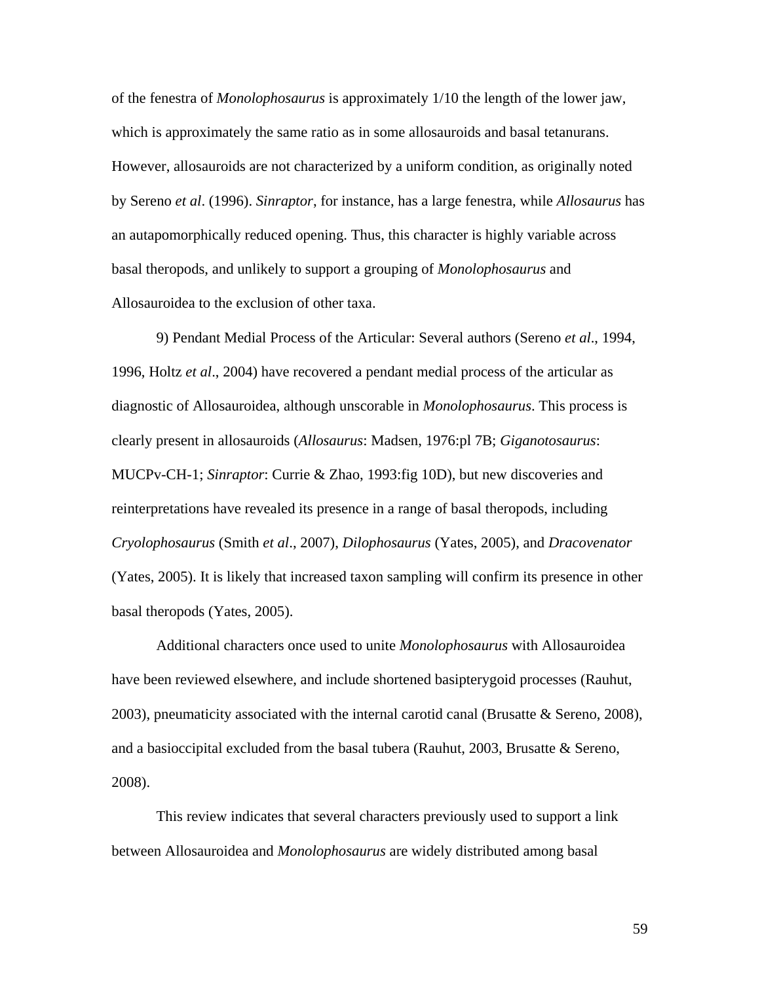of the fenestra of *Monolophosaurus* is approximately 1/10 the length of the lower jaw, which is approximately the same ratio as in some allosauroids and basal tetanurans. However, allosauroids are not characterized by a uniform condition, as originally noted by Sereno *et al*. (1996). *Sinraptor*, for instance, has a large fenestra, while *Allosaurus* has an autapomorphically reduced opening. Thus, this character is highly variable across basal theropods, and unlikely to support a grouping of *Monolophosaurus* and Allosauroidea to the exclusion of other taxa.

9) Pendant Medial Process of the Articular: Several authors (Sereno *et al*., 1994, 1996, Holtz *et al*., 2004) have recovered a pendant medial process of the articular as diagnostic of Allosauroidea, although unscorable in *Monolophosaurus*. This process is clearly present in allosauroids (*Allosaurus*: Madsen, 1976:pl 7B; *Giganotosaurus*: MUCPv-CH-1; *Sinraptor*: Currie & Zhao, 1993:fig 10D), but new discoveries and reinterpretations have revealed its presence in a range of basal theropods, including *Cryolophosaurus* (Smith *et al*., 2007), *Dilophosaurus* (Yates, 2005), and *Dracovenator* (Yates, 2005). It is likely that increased taxon sampling will confirm its presence in other basal theropods (Yates, 2005).

Additional characters once used to unite *Monolophosaurus* with Allosauroidea have been reviewed elsewhere, and include shortened basipterygoid processes (Rauhut,  $2003$ ), pneumaticity associated with the internal carotid canal (Brusatte & Sereno, 2008), and a basioccipital excluded from the basal tubera (Rauhut, 2003, Brusatte  $\&$  Sereno, 2008).

This review indicates that several characters previously used to support a link between Allosauroidea and *Monolophosaurus* are widely distributed among basal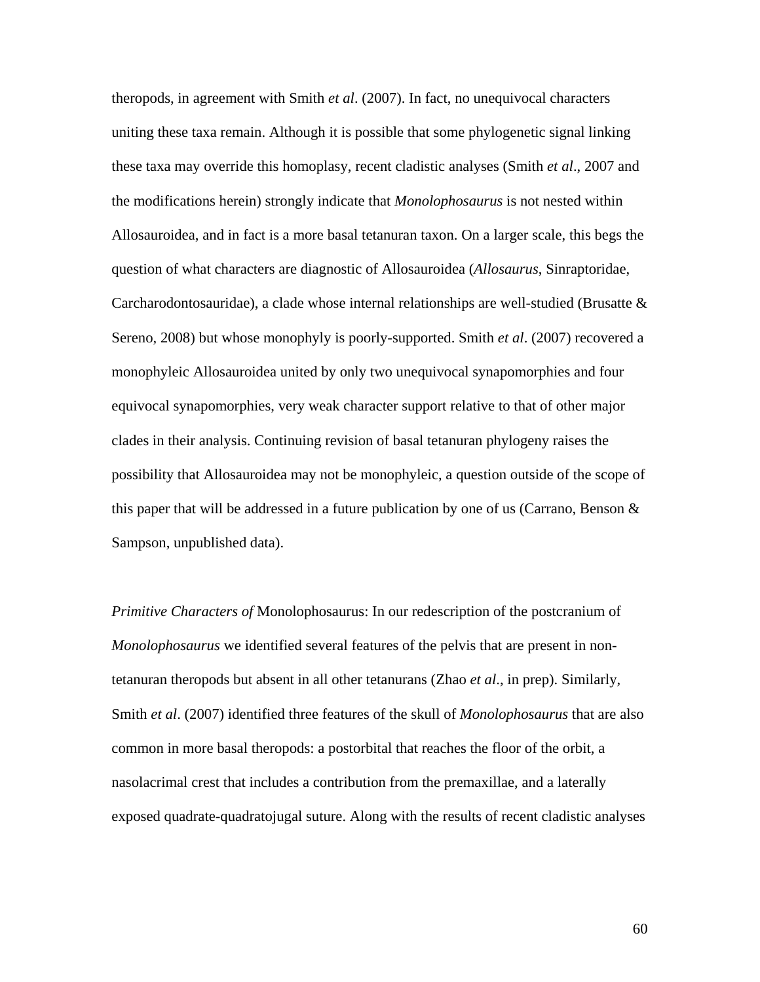theropods, in agreement with Smith *et al*. (2007). In fact, no unequivocal characters uniting these taxa remain. Although it is possible that some phylogenetic signal linking these taxa may override this homoplasy, recent cladistic analyses (Smith *et al*., 2007 and the modifications herein) strongly indicate that *Monolophosaurus* is not nested within Allosauroidea, and in fact is a more basal tetanuran taxon. On a larger scale, this begs the question of what characters are diagnostic of Allosauroidea (*Allosaurus*, Sinraptoridae, Carcharodontosauridae), a clade whose internal relationships are well-studied (Brusatte  $\&$ Sereno, 2008) but whose monophyly is poorly-supported. Smith *et al*. (2007) recovered a monophyleic Allosauroidea united by only two unequivocal synapomorphies and four equivocal synapomorphies, very weak character support relative to that of other major clades in their analysis. Continuing revision of basal tetanuran phylogeny raises the possibility that Allosauroidea may not be monophyleic, a question outside of the scope of this paper that will be addressed in a future publication by one of us (Carrano, Benson  $\&$ Sampson, unpublished data).

*Primitive Characters of* Monolophosaurus: In our redescription of the postcranium of *Monolophosaurus* we identified several features of the pelvis that are present in nontetanuran theropods but absent in all other tetanurans (Zhao *et al*., in prep). Similarly, Smith *et al*. (2007) identified three features of the skull of *Monolophosaurus* that are also common in more basal theropods: a postorbital that reaches the floor of the orbit, a nasolacrimal crest that includes a contribution from the premaxillae, and a laterally exposed quadrate-quadratojugal suture. Along with the results of recent cladistic analyses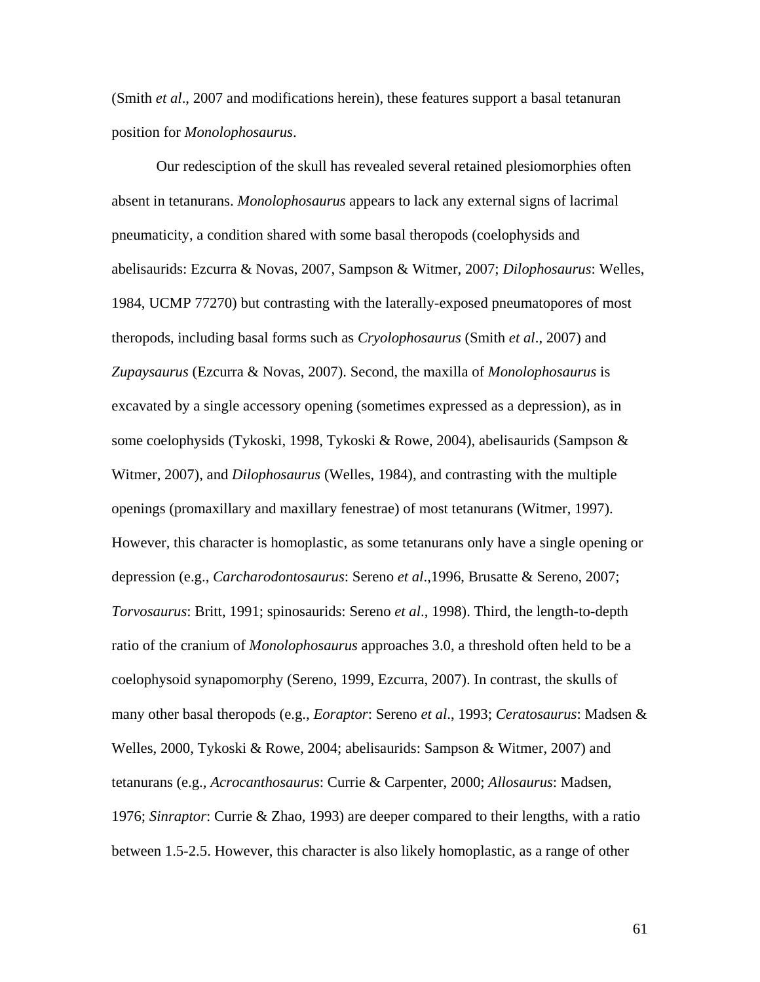(Smith *et al*., 2007 and modifications herein), these features support a basal tetanuran position for *Monolophosaurus*.

Our redesciption of the skull has revealed several retained plesiomorphies often absent in tetanurans. *Monolophosaurus* appears to lack any external signs of lacrimal pneumaticity, a condition shared with some basal theropods (coelophysids and abelisaurids: Ezcurra & Novas, 2007, Sampson & Witmer, 2007; *Dilophosaurus*: Welles, 1984, UCMP 77270) but contrasting with the laterally-exposed pneumatopores of most theropods, including basal forms such as *Cryolophosaurus* (Smith *et al*., 2007) and *Zupaysaurus* (Ezcurra & Novas, 2007). Second, the maxilla of *Monolophosaurus* is excavated by a single accessory opening (sometimes expressed as a depression), as in some coelophysids (Tykoski, 1998, Tykoski & Rowe, 2004), abelisaurids (Sampson & Witmer, 2007), and *Dilophosaurus* (Welles, 1984), and contrasting with the multiple openings (promaxillary and maxillary fenestrae) of most tetanurans (Witmer, 1997). However, this character is homoplastic, as some tetanurans only have a single opening or depression (e.g., *Carcharodontosaurus*: Sereno *et al*.,1996, Brusatte & Sereno, 2007; *Torvosaurus*: Britt, 1991; spinosaurids: Sereno *et al*., 1998). Third, the length-to-depth ratio of the cranium of *Monolophosaurus* approaches 3.0, a threshold often held to be a coelophysoid synapomorphy (Sereno, 1999, Ezcurra, 2007). In contrast, the skulls of many other basal theropods (e.g., *Eoraptor*: Sereno *et al*., 1993; *Ceratosaurus*: Madsen & Welles, 2000, Tykoski & Rowe, 2004; abelisaurids: Sampson & Witmer, 2007) and tetanurans (e.g., *Acrocanthosaurus*: Currie & Carpenter, 2000; *Allosaurus*: Madsen, 1976; *Sinraptor*: Currie & Zhao, 1993) are deeper compared to their lengths, with a ratio between 1.5-2.5. However, this character is also likely homoplastic, as a range of other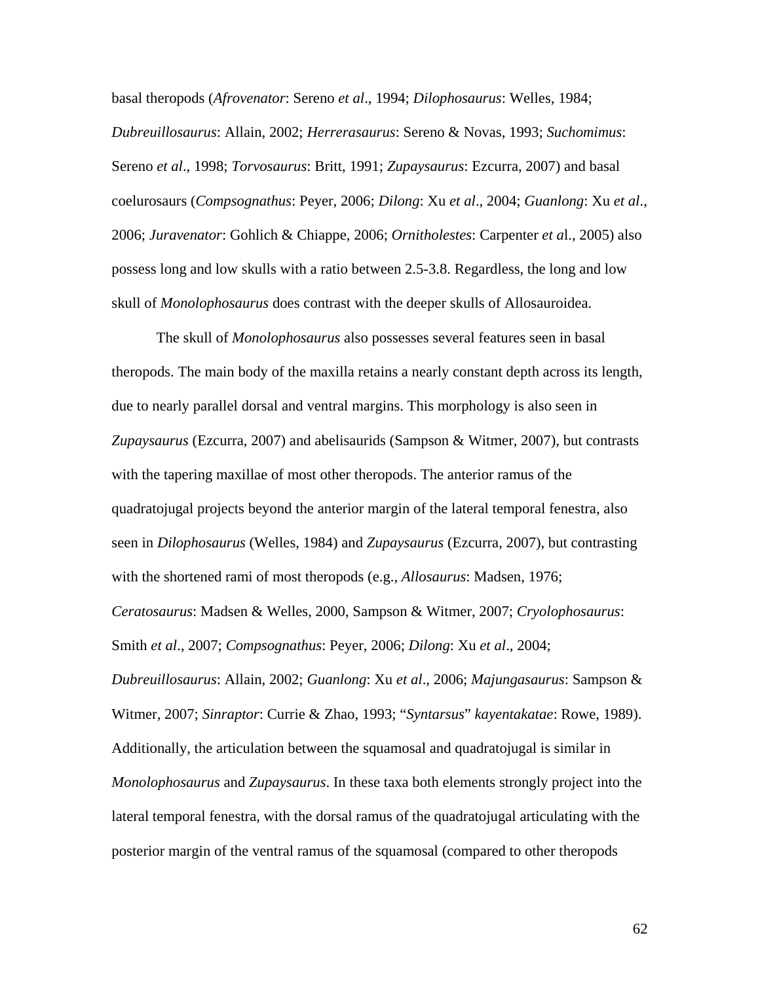basal theropods (*Afrovenator*: Sereno *et al*., 1994; *Dilophosaurus*: Welles, 1984; *Dubreuillosaurus*: Allain, 2002; *Herrerasaurus*: Sereno & Novas, 1993; *Suchomimus*: Sereno *et al*., 1998; *Torvosaurus*: Britt, 1991; *Zupaysaurus*: Ezcurra, 2007) and basal coelurosaurs (*Compsognathus*: Peyer, 2006; *Dilong*: Xu *et al*., 2004; *Guanlong*: Xu *et al*., 2006; *Juravenator*: Gohlich & Chiappe, 2006; *Ornitholestes*: Carpenter *et a*l., 2005) also possess long and low skulls with a ratio between 2.5-3.8. Regardless, the long and low skull of *Monolophosaurus* does contrast with the deeper skulls of Allosauroidea.

The skull of *Monolophosaurus* also possesses several features seen in basal theropods. The main body of the maxilla retains a nearly constant depth across its length, due to nearly parallel dorsal and ventral margins. This morphology is also seen in *Zupaysaurus* (Ezcurra, 2007) and abelisaurids (Sampson & Witmer, 2007), but contrasts with the tapering maxillae of most other theropods. The anterior ramus of the quadratojugal projects beyond the anterior margin of the lateral temporal fenestra, also seen in *Dilophosaurus* (Welles, 1984) and *Zupaysaurus* (Ezcurra, 2007), but contrasting with the shortened rami of most theropods (e.g., *Allosaurus*: Madsen, 1976; *Ceratosaurus*: Madsen & Welles, 2000, Sampson & Witmer, 2007; *Cryolophosaurus*: Smith *et al*., 2007; *Compsognathus*: Peyer, 2006; *Dilong*: Xu *et al*., 2004; *Dubreuillosaurus*: Allain, 2002; *Guanlong*: Xu *et al*., 2006; *Majungasaurus*: Sampson & Witmer, 2007; *Sinraptor*: Currie & Zhao, 1993; "*Syntarsus*" *kayentakatae*: Rowe, 1989). Additionally, the articulation between the squamosal and quadratojugal is similar in *Monolophosaurus* and *Zupaysaurus*. In these taxa both elements strongly project into the lateral temporal fenestra, with the dorsal ramus of the quadratojugal articulating with the posterior margin of the ventral ramus of the squamosal (compared to other theropods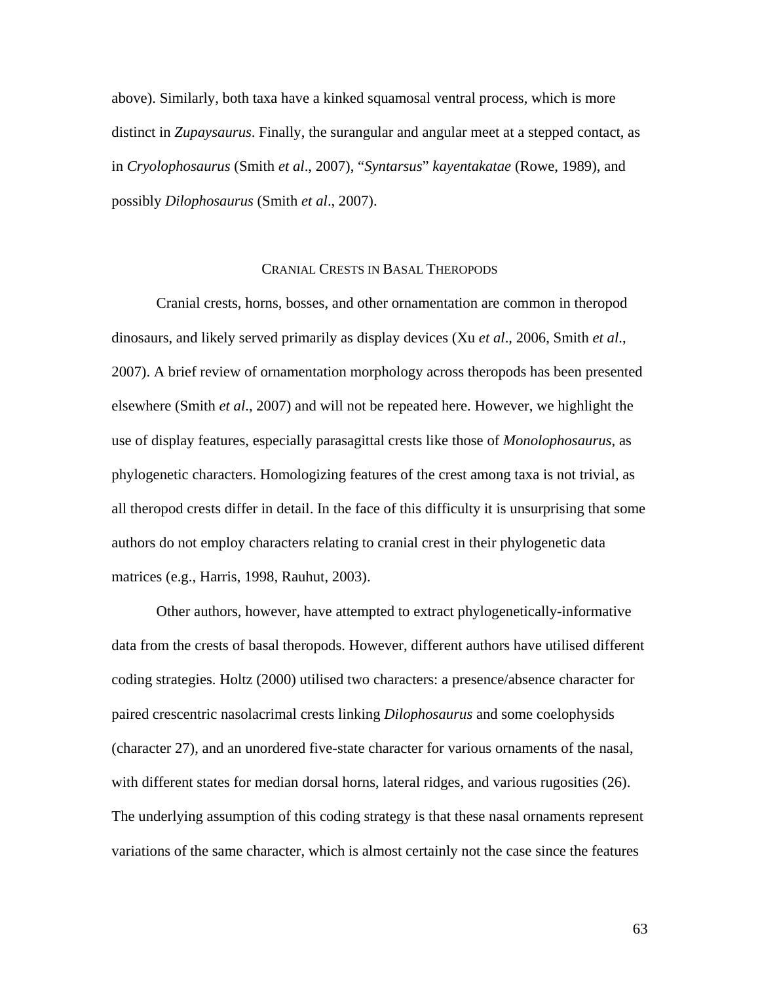above). Similarly, both taxa have a kinked squamosal ventral process, which is more distinct in *Zupaysaurus*. Finally, the surangular and angular meet at a stepped contact, as in *Cryolophosaurus* (Smith *et al*., 2007), "*Syntarsus*" *kayentakatae* (Rowe, 1989), and possibly *Dilophosaurus* (Smith *et al*., 2007).

## CRANIAL CRESTS IN BASAL THEROPODS

Cranial crests, horns, bosses, and other ornamentation are common in theropod dinosaurs, and likely served primarily as display devices (Xu *et al*., 2006, Smith *et al*., 2007). A brief review of ornamentation morphology across theropods has been presented elsewhere (Smith *et al*., 2007) and will not be repeated here. However, we highlight the use of display features, especially parasagittal crests like those of *Monolophosaurus*, as phylogenetic characters. Homologizing features of the crest among taxa is not trivial, as all theropod crests differ in detail. In the face of this difficulty it is unsurprising that some authors do not employ characters relating to cranial crest in their phylogenetic data matrices (e.g., Harris, 1998, Rauhut, 2003).

Other authors, however, have attempted to extract phylogenetically-informative data from the crests of basal theropods. However, different authors have utilised different coding strategies. Holtz (2000) utilised two characters: a presence/absence character for paired crescentric nasolacrimal crests linking *Dilophosaurus* and some coelophysids (character 27), and an unordered five-state character for various ornaments of the nasal, with different states for median dorsal horns, lateral ridges, and various rugosities (26). The underlying assumption of this coding strategy is that these nasal ornaments represent variations of the same character, which is almost certainly not the case since the features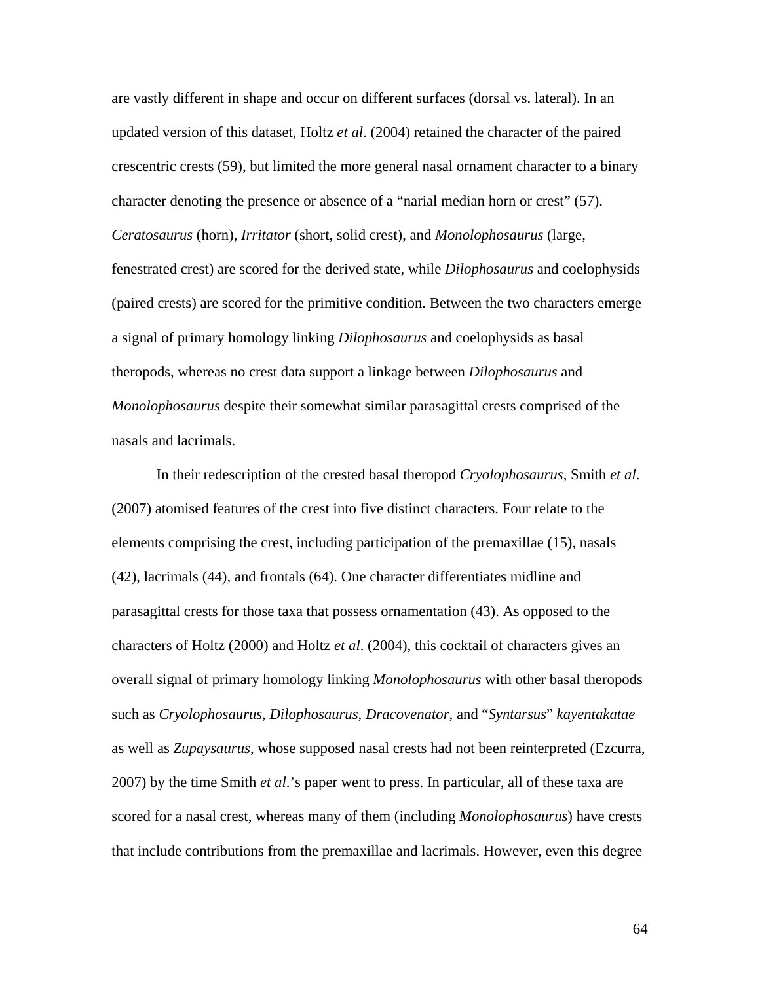are vastly different in shape and occur on different surfaces (dorsal vs. lateral). In an updated version of this dataset, Holtz *et al*. (2004) retained the character of the paired crescentric crests (59), but limited the more general nasal ornament character to a binary character denoting the presence or absence of a "narial median horn or crest" (57). *Ceratosaurus* (horn), *Irritator* (short, solid crest), and *Monolophosaurus* (large, fenestrated crest) are scored for the derived state, while *Dilophosaurus* and coelophysids (paired crests) are scored for the primitive condition. Between the two characters emerge a signal of primary homology linking *Dilophosaurus* and coelophysids as basal theropods, whereas no crest data support a linkage between *Dilophosaurus* and *Monolophosaurus* despite their somewhat similar parasagittal crests comprised of the nasals and lacrimals.

In their redescription of the crested basal theropod *Cryolophosaurus*, Smith *et al*. (2007) atomised features of the crest into five distinct characters. Four relate to the elements comprising the crest, including participation of the premaxillae (15), nasals (42), lacrimals (44), and frontals (64). One character differentiates midline and parasagittal crests for those taxa that possess ornamentation (43). As opposed to the characters of Holtz (2000) and Holtz *et al*. (2004), this cocktail of characters gives an overall signal of primary homology linking *Monolophosaurus* with other basal theropods such as *Cryolophosaurus*, *Dilophosaurus*, *Dracovenator*, and "*Syntarsus*" *kayentakatae* as well as *Zupaysaurus*, whose supposed nasal crests had not been reinterpreted (Ezcurra, 2007) by the time Smith *et al*.'s paper went to press. In particular, all of these taxa are scored for a nasal crest, whereas many of them (including *Monolophosaurus*) have crests that include contributions from the premaxillae and lacrimals. However, even this degree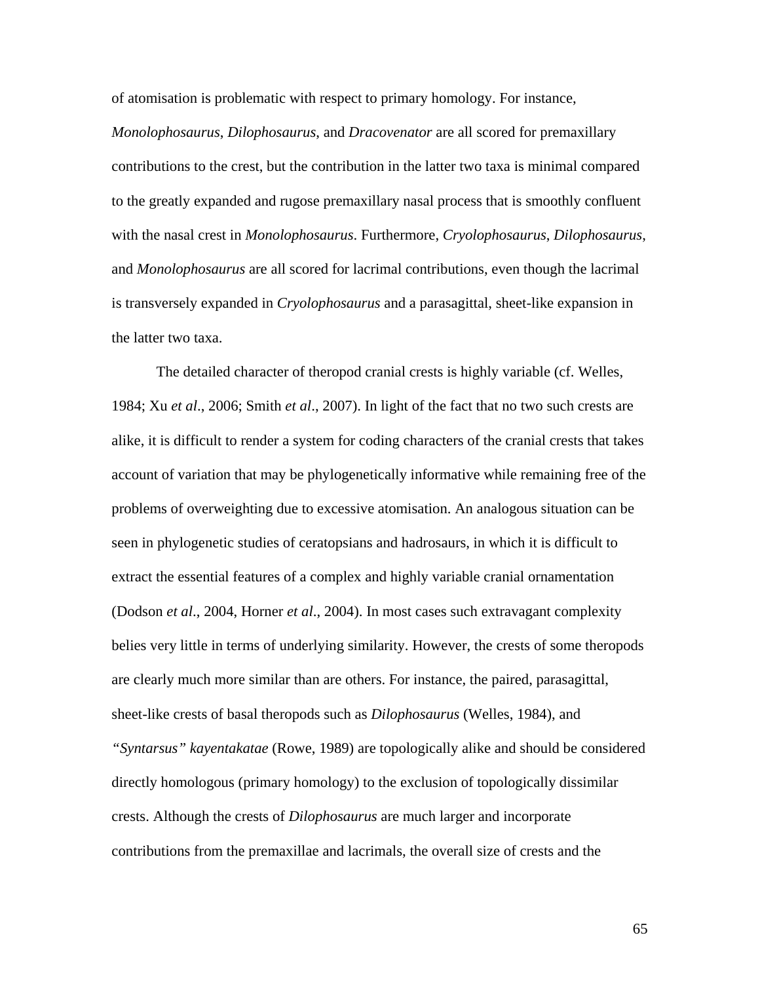of atomisation is problematic with respect to primary homology. For instance,

*Monolophosaurus*, *Dilophosaurus*, and *Dracovenator* are all scored for premaxillary contributions to the crest, but the contribution in the latter two taxa is minimal compared to the greatly expanded and rugose premaxillary nasal process that is smoothly confluent with the nasal crest in *Monolophosaurus*. Furthermore, *Cryolophosaurus*, *Dilophosaurus*, and *Monolophosaurus* are all scored for lacrimal contributions, even though the lacrimal is transversely expanded in *Cryolophosaurus* and a parasagittal, sheet-like expansion in the latter two taxa.

The detailed character of theropod cranial crests is highly variable (cf. Welles, 1984; Xu *et al*., 2006; Smith *et al*., 2007). In light of the fact that no two such crests are alike, it is difficult to render a system for coding characters of the cranial crests that takes account of variation that may be phylogenetically informative while remaining free of the problems of overweighting due to excessive atomisation. An analogous situation can be seen in phylogenetic studies of ceratopsians and hadrosaurs, in which it is difficult to extract the essential features of a complex and highly variable cranial ornamentation (Dodson *et al*., 2004, Horner *et al*., 2004). In most cases such extravagant complexity belies very little in terms of underlying similarity. However, the crests of some theropods are clearly much more similar than are others. For instance, the paired, parasagittal, sheet-like crests of basal theropods such as *Dilophosaurus* (Welles, 1984), and *"Syntarsus" kayentakatae* (Rowe, 1989) are topologically alike and should be considered directly homologous (primary homology) to the exclusion of topologically dissimilar crests. Although the crests of *Dilophosaurus* are much larger and incorporate contributions from the premaxillae and lacrimals, the overall size of crests and the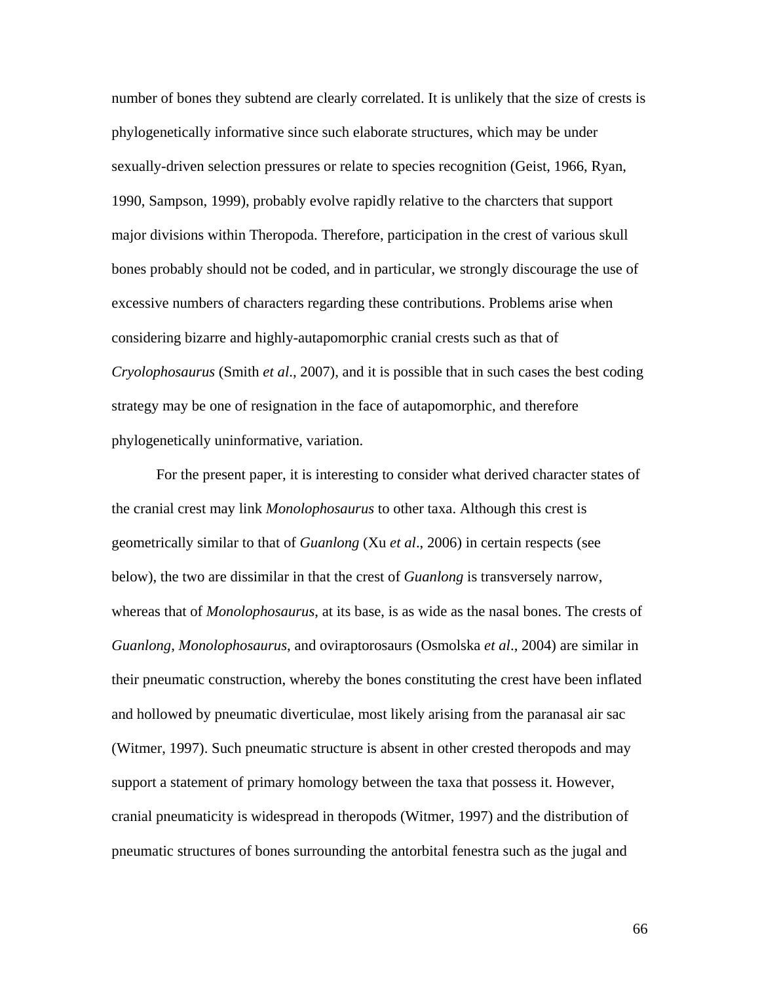number of bones they subtend are clearly correlated. It is unlikely that the size of crests is phylogenetically informative since such elaborate structures, which may be under sexually-driven selection pressures or relate to species recognition (Geist, 1966, Ryan, 1990, Sampson, 1999), probably evolve rapidly relative to the charcters that support major divisions within Theropoda. Therefore, participation in the crest of various skull bones probably should not be coded, and in particular, we strongly discourage the use of excessive numbers of characters regarding these contributions. Problems arise when considering bizarre and highly-autapomorphic cranial crests such as that of *Cryolophosaurus* (Smith *et al*., 2007), and it is possible that in such cases the best coding strategy may be one of resignation in the face of autapomorphic, and therefore phylogenetically uninformative, variation.

For the present paper, it is interesting to consider what derived character states of the cranial crest may link *Monolophosaurus* to other taxa. Although this crest is geometrically similar to that of *Guanlong* (Xu *et al*., 2006) in certain respects (see below), the two are dissimilar in that the crest of *Guanlong* is transversely narrow, whereas that of *Monolophosaurus*, at its base, is as wide as the nasal bones. The crests of *Guanlong*, *Monolophosaurus*, and oviraptorosaurs (Osmolska *et al*., 2004) are similar in their pneumatic construction, whereby the bones constituting the crest have been inflated and hollowed by pneumatic diverticulae, most likely arising from the paranasal air sac (Witmer, 1997). Such pneumatic structure is absent in other crested theropods and may support a statement of primary homology between the taxa that possess it. However, cranial pneumaticity is widespread in theropods (Witmer, 1997) and the distribution of pneumatic structures of bones surrounding the antorbital fenestra such as the jugal and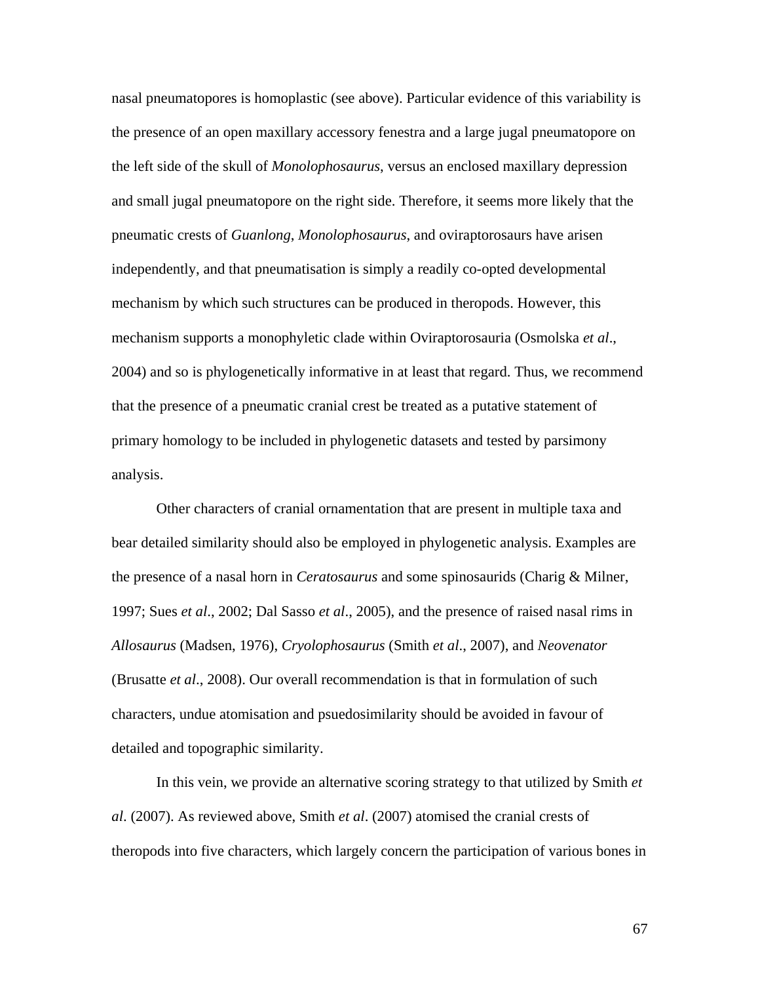nasal pneumatopores is homoplastic (see above). Particular evidence of this variability is the presence of an open maxillary accessory fenestra and a large jugal pneumatopore on the left side of the skull of *Monolophosaurus*, versus an enclosed maxillary depression and small jugal pneumatopore on the right side. Therefore, it seems more likely that the pneumatic crests of *Guanlong*, *Monolophosaurus*, and oviraptorosaurs have arisen independently, and that pneumatisation is simply a readily co-opted developmental mechanism by which such structures can be produced in theropods. However, this mechanism supports a monophyletic clade within Oviraptorosauria (Osmolska *et al*., 2004) and so is phylogenetically informative in at least that regard. Thus, we recommend that the presence of a pneumatic cranial crest be treated as a putative statement of primary homology to be included in phylogenetic datasets and tested by parsimony analysis.

Other characters of cranial ornamentation that are present in multiple taxa and bear detailed similarity should also be employed in phylogenetic analysis. Examples are the presence of a nasal horn in *Ceratosaurus* and some spinosaurids (Charig & Milner, 1997; Sues *et al*., 2002; Dal Sasso *et al*., 2005), and the presence of raised nasal rims in *Allosaurus* (Madsen, 1976), *Cryolophosaurus* (Smith *et al*., 2007), and *Neovenator* (Brusatte *et al*., 2008). Our overall recommendation is that in formulation of such characters, undue atomisation and psuedosimilarity should be avoided in favour of detailed and topographic similarity.

In this vein, we provide an alternative scoring strategy to that utilized by Smith *et al*. (2007). As reviewed above, Smith *et al*. (2007) atomised the cranial crests of theropods into five characters, which largely concern the participation of various bones in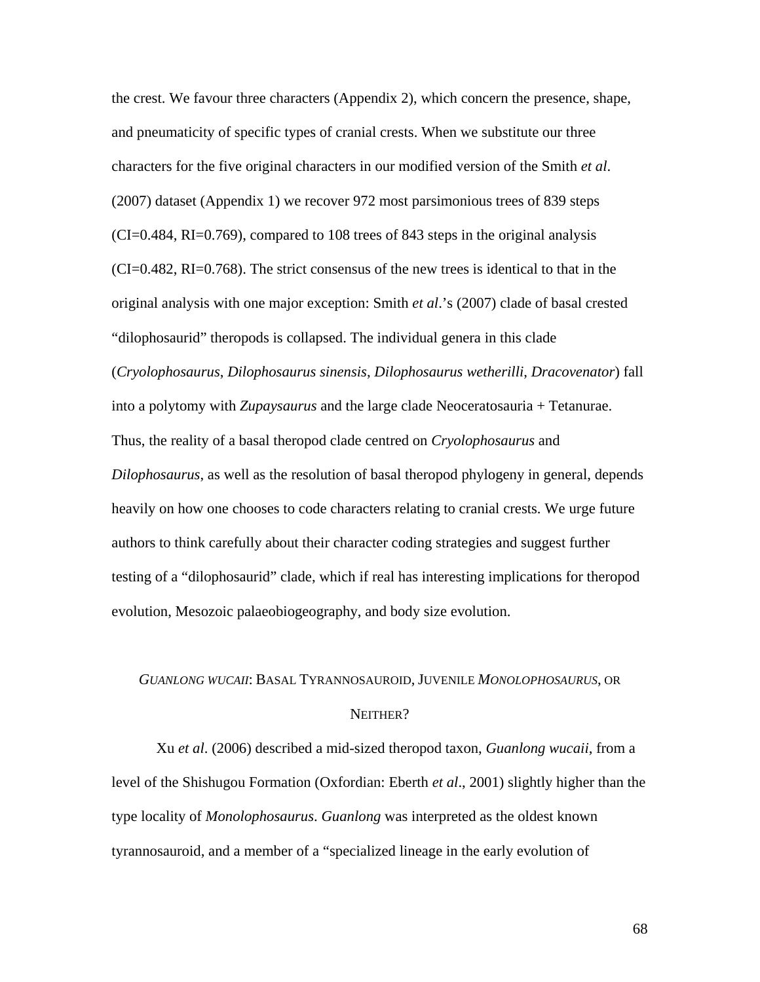the crest. We favour three characters (Appendix 2), which concern the presence, shape, and pneumaticity of specific types of cranial crests. When we substitute our three characters for the five original characters in our modified version of the Smith *et al*. (2007) dataset (Appendix 1) we recover 972 most parsimonious trees of 839 steps  $(CI=0.484, RI=0.769)$ , compared to 108 trees of 843 steps in the original analysis (CI=0.482, RI=0.768). The strict consensus of the new trees is identical to that in the original analysis with one major exception: Smith *et al*.'s (2007) clade of basal crested "dilophosaurid" theropods is collapsed. The individual genera in this clade (*Cryolophosaurus*, *Dilophosaurus sinensis*, *Dilophosaurus wetherilli*, *Dracovenator*) fall into a polytomy with *Zupaysaurus* and the large clade Neoceratosauria + Tetanurae. Thus, the reality of a basal theropod clade centred on *Cryolophosaurus* and *Dilophosaurus*, as well as the resolution of basal theropod phylogeny in general, depends heavily on how one chooses to code characters relating to cranial crests. We urge future authors to think carefully about their character coding strategies and suggest further testing of a "dilophosaurid" clade, which if real has interesting implications for theropod evolution, Mesozoic palaeobiogeography, and body size evolution.

# *GUANLONG WUCAII*: BASAL TYRANNOSAUROID, JUVENILE *MONOLOPHOSAURUS*, OR NEITHER?

Xu *et al*. (2006) described a mid-sized theropod taxon, *Guanlong wucaii*, from a level of the Shishugou Formation (Oxfordian: Eberth *et al*., 2001) slightly higher than the type locality of *Monolophosaurus*. *Guanlong* was interpreted as the oldest known tyrannosauroid, and a member of a "specialized lineage in the early evolution of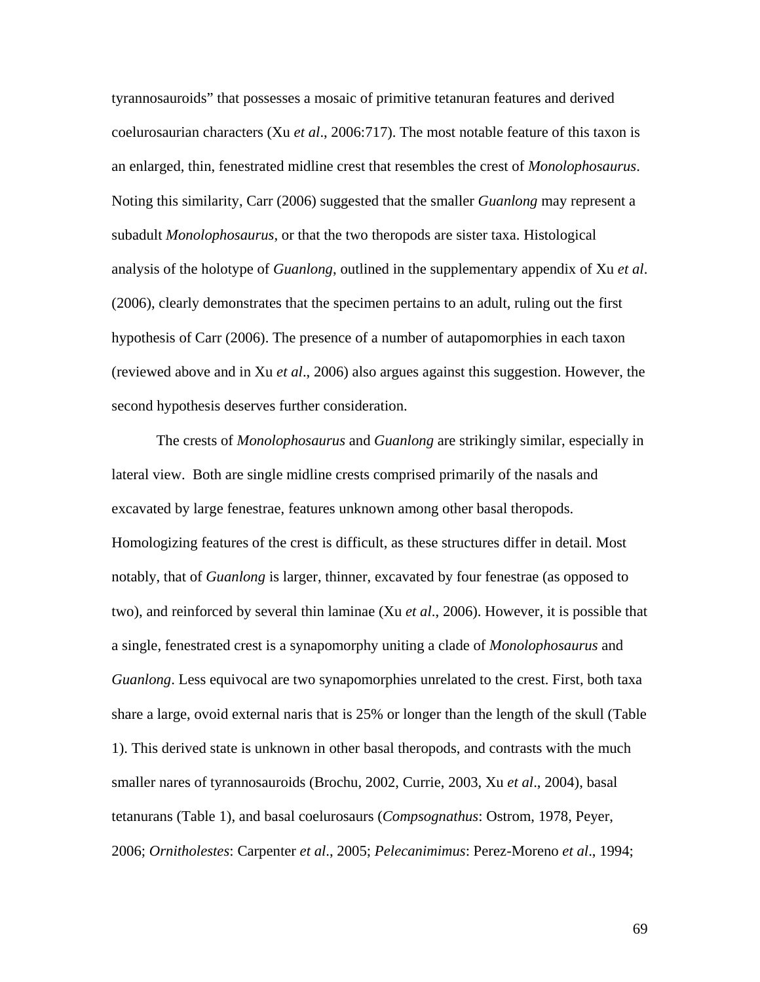tyrannosauroids" that possesses a mosaic of primitive tetanuran features and derived coelurosaurian characters (Xu *et al*., 2006:717). The most notable feature of this taxon is an enlarged, thin, fenestrated midline crest that resembles the crest of *Monolophosaurus*. Noting this similarity, Carr (2006) suggested that the smaller *Guanlong* may represent a subadult *Monolophosaurus*, or that the two theropods are sister taxa. Histological analysis of the holotype of *Guanlong*, outlined in the supplementary appendix of Xu *et al*. (2006), clearly demonstrates that the specimen pertains to an adult, ruling out the first hypothesis of Carr (2006). The presence of a number of autapomorphies in each taxon (reviewed above and in Xu *et al*., 2006) also argues against this suggestion. However, the second hypothesis deserves further consideration.

The crests of *Monolophosaurus* and *Guanlong* are strikingly similar, especially in lateral view. Both are single midline crests comprised primarily of the nasals and excavated by large fenestrae, features unknown among other basal theropods. Homologizing features of the crest is difficult, as these structures differ in detail. Most notably, that of *Guanlong* is larger, thinner, excavated by four fenestrae (as opposed to two), and reinforced by several thin laminae (Xu *et al*., 2006). However, it is possible that a single, fenestrated crest is a synapomorphy uniting a clade of *Monolophosaurus* and *Guanlong*. Less equivocal are two synapomorphies unrelated to the crest. First, both taxa share a large, ovoid external naris that is 25% or longer than the length of the skull (Table 1). This derived state is unknown in other basal theropods, and contrasts with the much smaller nares of tyrannosauroids (Brochu, 2002, Currie, 2003, Xu *et al*., 2004), basal tetanurans (Table 1), and basal coelurosaurs (*Compsognathus*: Ostrom, 1978, Peyer, 2006; *Ornitholestes*: Carpenter *et al*., 2005; *Pelecanimimus*: Perez-Moreno *et al*., 1994;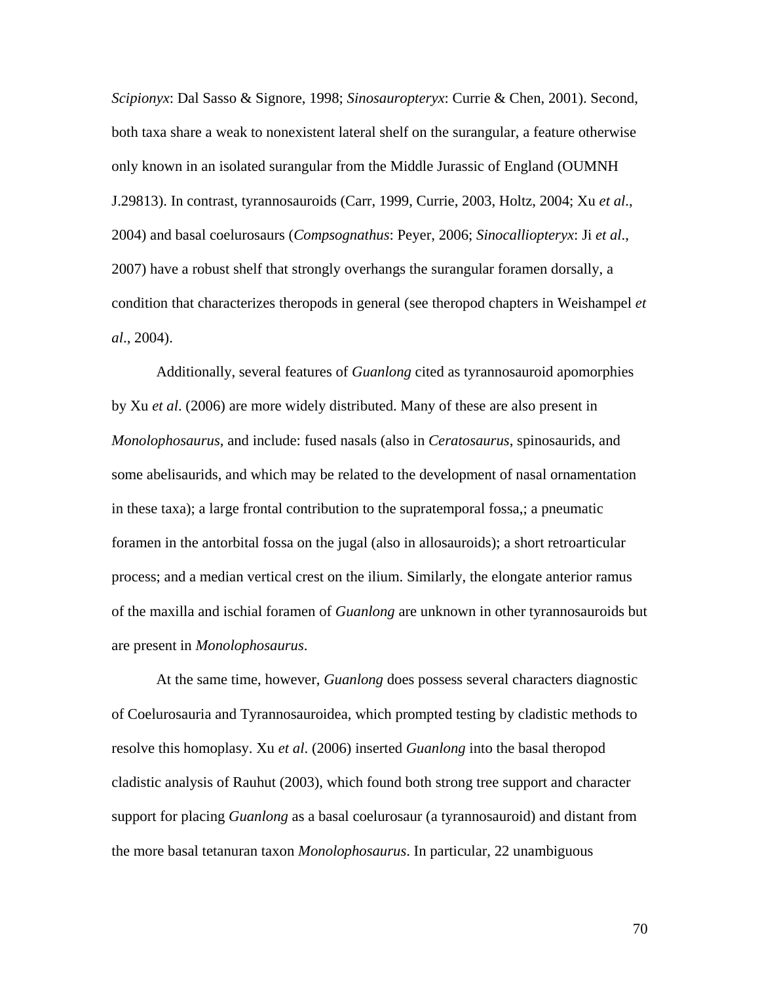*Scipionyx*: Dal Sasso & Signore, 1998; *Sinosauropteryx*: Currie & Chen, 2001). Second, both taxa share a weak to nonexistent lateral shelf on the surangular, a feature otherwise only known in an isolated surangular from the Middle Jurassic of England (OUMNH J.29813). In contrast, tyrannosauroids (Carr, 1999, Currie, 2003, Holtz, 2004; Xu *et al*., 2004) and basal coelurosaurs (*Compsognathus*: Peyer, 2006; *Sinocalliopteryx*: Ji *et al*., 2007) have a robust shelf that strongly overhangs the surangular foramen dorsally, a condition that characterizes theropods in general (see theropod chapters in Weishampel *et al*., 2004).

Additionally, several features of *Guanlong* cited as tyrannosauroid apomorphies by Xu *et al*. (2006) are more widely distributed. Many of these are also present in *Monolophosaurus*, and include: fused nasals (also in *Ceratosaurus*, spinosaurids, and some abelisaurids, and which may be related to the development of nasal ornamentation in these taxa); a large frontal contribution to the supratemporal fossa,; a pneumatic foramen in the antorbital fossa on the jugal (also in allosauroids); a short retroarticular process; and a median vertical crest on the ilium. Similarly, the elongate anterior ramus of the maxilla and ischial foramen of *Guanlong* are unknown in other tyrannosauroids but are present in *Monolophosaurus*.

At the same time, however, *Guanlong* does possess several characters diagnostic of Coelurosauria and Tyrannosauroidea, which prompted testing by cladistic methods to resolve this homoplasy. Xu *et al*. (2006) inserted *Guanlong* into the basal theropod cladistic analysis of Rauhut (2003), which found both strong tree support and character support for placing *Guanlong* as a basal coelurosaur (a tyrannosauroid) and distant from the more basal tetanuran taxon *Monolophosaurus*. In particular, 22 unambiguous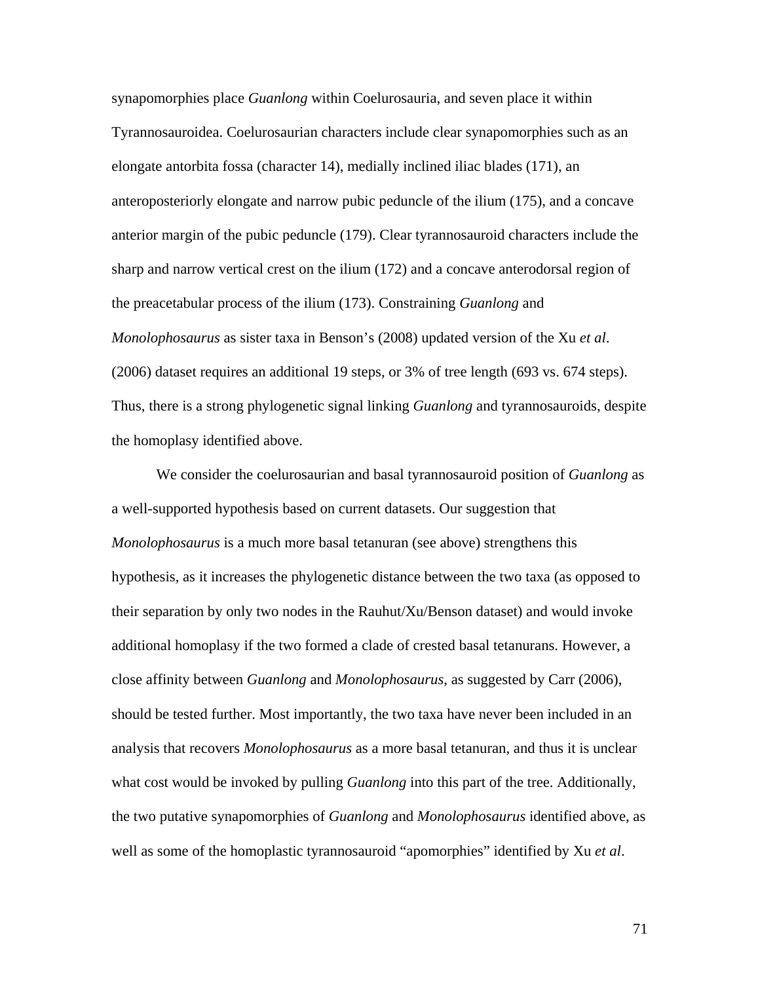synapomorphies place *Guanlong* within Coelurosauria, and seven place it within Tyrannosauroidea. Coelurosaurian characters include clear synapomorphies such as an elongate antorbita fossa (character 14), medially inclined iliac blades (171), an anteroposteriorly elongate and narrow pubic peduncle of the ilium (175), and a concave anterior margin of the pubic peduncle (179). Clear tyrannosauroid characters include the sharp and narrow vertical crest on the ilium (172) and a concave anterodorsal region of the preacetabular process of the ilium (173). Constraining *Guanlong* and *Monolophosaurus* as sister taxa in Benson's (2008) updated version of the Xu *et al*. (2006) dataset requires an additional 19 steps, or 3% of tree length (693 vs. 674 steps). Thus, there is a strong phylogenetic signal linking *Guanlong* and tyrannosauroids, despite the homoplasy identified above.

We consider the coelurosaurian and basal tyrannosauroid position of *Guanlong* as a well-supported hypothesis based on current datasets. Our suggestion that *Monolophosaurus* is a much more basal tetanuran (see above) strengthens this hypothesis, as it increases the phylogenetic distance between the two taxa (as opposed to their separation by only two nodes in the Rauhut/Xu/Benson dataset) and would invoke additional homoplasy if the two formed a clade of crested basal tetanurans. However, a close affinity between *Guanlong* and *Monolophosaurus*, as suggested by Carr (2006), should be tested further. Most importantly, the two taxa have never been included in an analysis that recovers *Monolophosaurus* as a more basal tetanuran, and thus it is unclear what cost would be invoked by pulling *Guanlong* into this part of the tree. Additionally, the two putative synapomorphies of *Guanlong* and *Monolophosaurus* identified above, as well as some of the homoplastic tyrannosauroid "apomorphies" identified by Xu *et al*.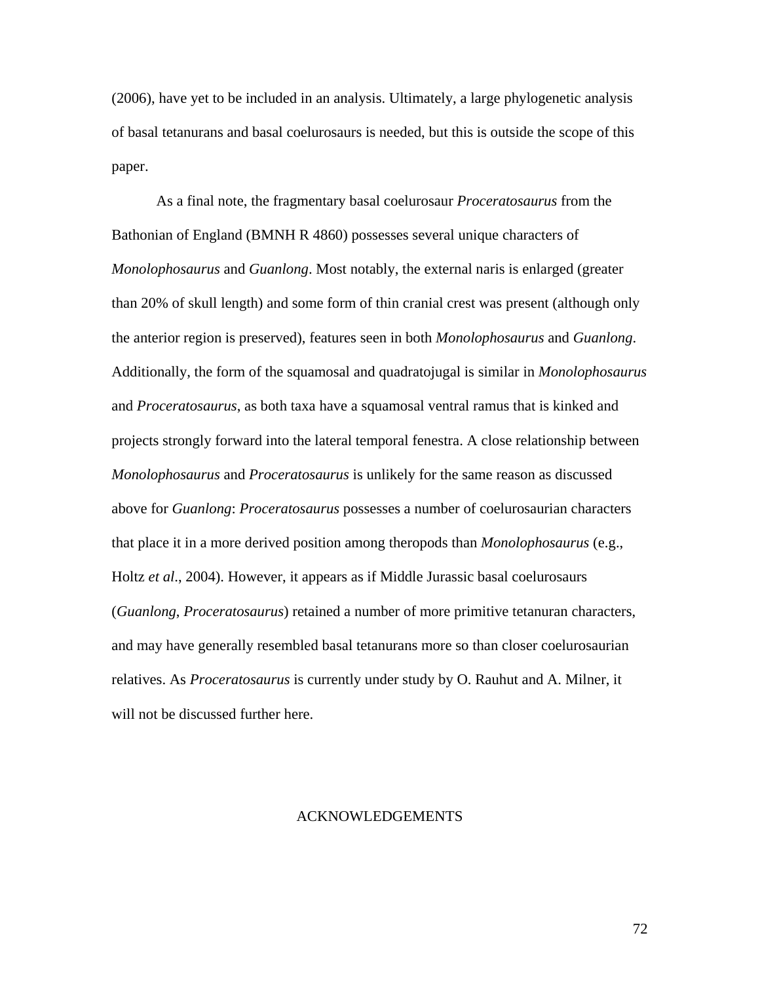(2006), have yet to be included in an analysis. Ultimately, a large phylogenetic analysis of basal tetanurans and basal coelurosaurs is needed, but this is outside the scope of this paper.

As a final note, the fragmentary basal coelurosaur *Proceratosaurus* from the Bathonian of England (BMNH R 4860) possesses several unique characters of *Monolophosaurus* and *Guanlong*. Most notably, the external naris is enlarged (greater than 20% of skull length) and some form of thin cranial crest was present (although only the anterior region is preserved), features seen in both *Monolophosaurus* and *Guanlong*. Additionally, the form of the squamosal and quadratojugal is similar in *Monolophosaurus* and *Proceratosaurus*, as both taxa have a squamosal ventral ramus that is kinked and projects strongly forward into the lateral temporal fenestra. A close relationship between *Monolophosaurus* and *Proceratosaurus* is unlikely for the same reason as discussed above for *Guanlong*: *Proceratosaurus* possesses a number of coelurosaurian characters that place it in a more derived position among theropods than *Monolophosaurus* (e.g., Holtz *et al*., 2004). However, it appears as if Middle Jurassic basal coelurosaurs (*Guanlong*, *Proceratosaurus*) retained a number of more primitive tetanuran characters, and may have generally resembled basal tetanurans more so than closer coelurosaurian relatives. As *Proceratosaurus* is currently under study by O. Rauhut and A. Milner, it will not be discussed further here.

## ACKNOWLEDGEMENTS

72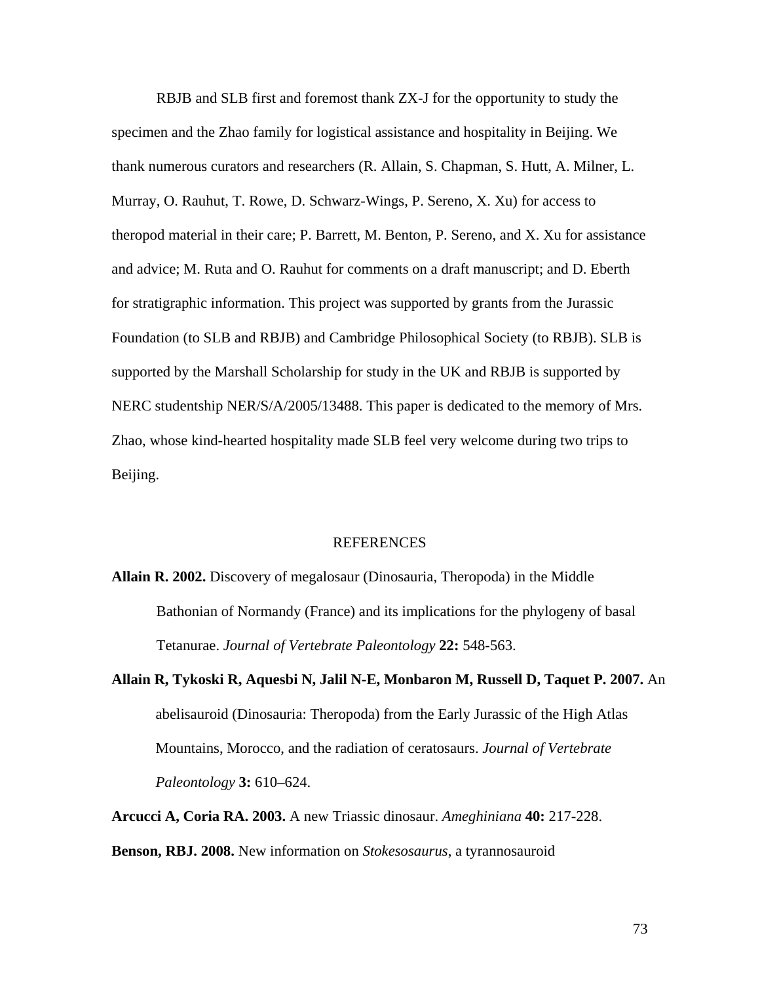RBJB and SLB first and foremost thank ZX-J for the opportunity to study the specimen and the Zhao family for logistical assistance and hospitality in Beijing. We thank numerous curators and researchers (R. Allain, S. Chapman, S. Hutt, A. Milner, L. Murray, O. Rauhut, T. Rowe, D. Schwarz-Wings, P. Sereno, X. Xu) for access to theropod material in their care; P. Barrett, M. Benton, P. Sereno, and X. Xu for assistance and advice; M. Ruta and O. Rauhut for comments on a draft manuscript; and D. Eberth for stratigraphic information. This project was supported by grants from the Jurassic Foundation (to SLB and RBJB) and Cambridge Philosophical Society (to RBJB). SLB is supported by the Marshall Scholarship for study in the UK and RBJB is supported by NERC studentship NER/S/A/2005/13488. This paper is dedicated to the memory of Mrs. Zhao, whose kind-hearted hospitality made SLB feel very welcome during two trips to Beijing.

#### REFERENCES

- **Allain R. 2002.** Discovery of megalosaur (Dinosauria, Theropoda) in the Middle Bathonian of Normandy (France) and its implications for the phylogeny of basal Tetanurae. *Journal of Vertebrate Paleontology* **22:** 548-563.
- **Allain R, Tykoski R, Aquesbi N, Jalil N-E, Monbaron M, Russell D, Taquet P. 2007.** An abelisauroid (Dinosauria: Theropoda) from the Early Jurassic of the High Atlas Mountains, Morocco, and the radiation of ceratosaurs. *Journal of Vertebrate Paleontology* **3:** 610–624.

**Arcucci A, Coria RA. 2003.** A new Triassic dinosaur. *Ameghiniana* **40:** 217-228.

#### **Benson, RBJ. 2008.** New information on *Stokesosaurus*, a tyrannosauroid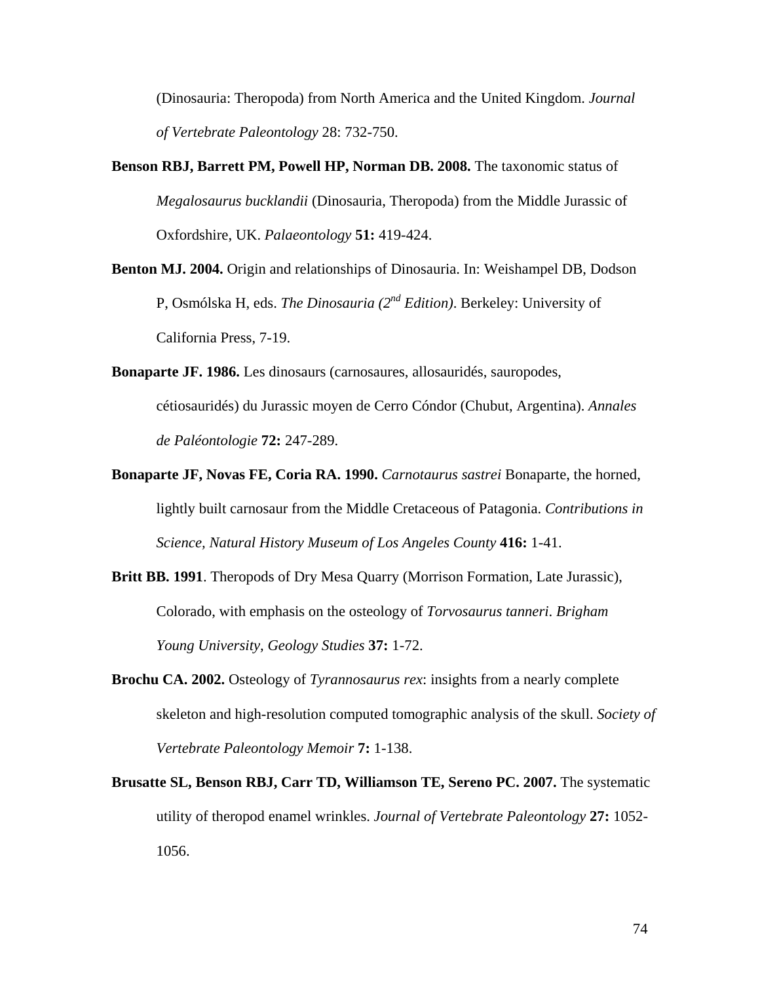(Dinosauria: Theropoda) from North America and the United Kingdom. *Journal of Vertebrate Paleontology* 28: 732-750.

- **Benson RBJ, Barrett PM, Powell HP, Norman DB. 2008.** The taxonomic status of *Megalosaurus bucklandii* (Dinosauria, Theropoda) from the Middle Jurassic of Oxfordshire, UK. *Palaeontology* **51:** 419-424.
- **Benton MJ. 2004.** Origin and relationships of Dinosauria. In: Weishampel DB, Dodson P, Osmólska H, eds. *The Dinosauria (2nd Edition)*. Berkeley: University of California Press, 7-19.
- **Bonaparte JF. 1986.** Les dinosaurs (carnosaures, allosauridés, sauropodes, cétiosauridés) du Jurassic moyen de Cerro Cóndor (Chubut, Argentina). *Annales de Paléontologie* **72:** 247-289.
- **Bonaparte JF, Novas FE, Coria RA. 1990.** *Carnotaurus sastrei* Bonaparte, the horned, lightly built carnosaur from the Middle Cretaceous of Patagonia. *Contributions in Science, Natural History Museum of Los Angeles County* **416:** 1-41.
- **Britt BB. 1991**. Theropods of Dry Mesa Quarry (Morrison Formation, Late Jurassic), Colorado, with emphasis on the osteology of *Torvosaurus tanneri*. *Brigham Young University, Geology Studies* **37:** 1-72.
- **Brochu CA. 2002.** Osteology of *Tyrannosaurus rex*: insights from a nearly complete skeleton and high-resolution computed tomographic analysis of the skull. *Society of Vertebrate Paleontology Memoir* **7:** 1-138.
- **Brusatte SL, Benson RBJ, Carr TD, Williamson TE, Sereno PC. 2007.** The systematic utility of theropod enamel wrinkles. *Journal of Vertebrate Paleontology* **27:** 1052- 1056.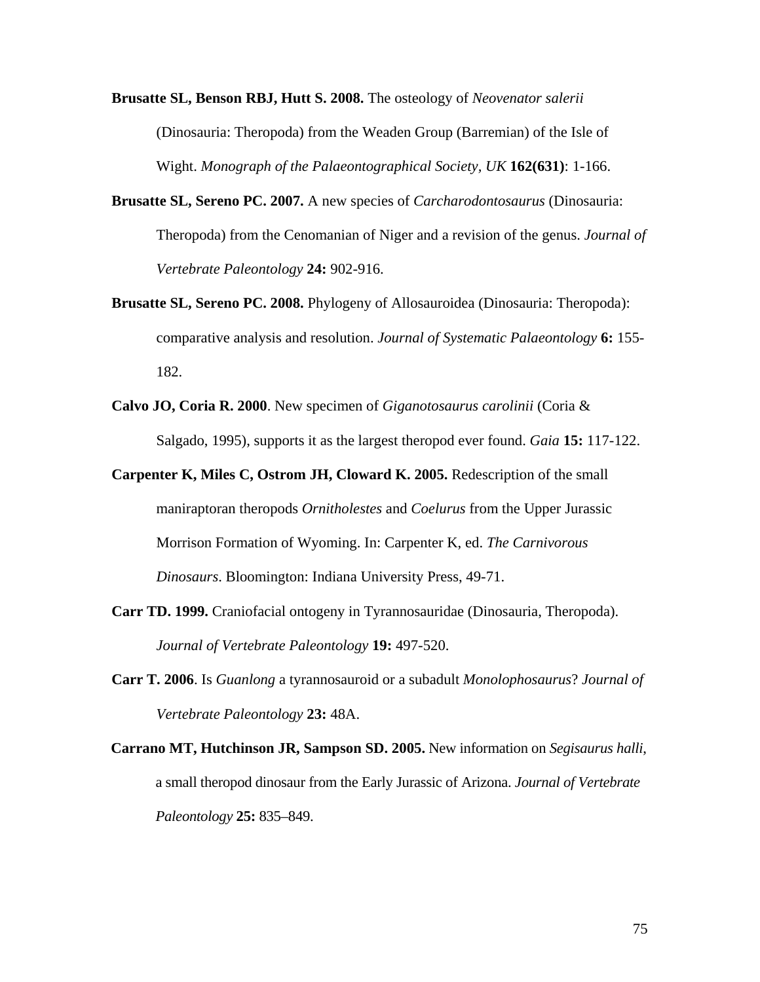- **Brusatte SL, Benson RBJ, Hutt S. 2008.** The osteology of *Neovenator salerii* (Dinosauria: Theropoda) from the Weaden Group (Barremian) of the Isle of Wight. *Monograph of the Palaeontographical Society, UK* **162(631)**: 1-166.
- **Brusatte SL, Sereno PC. 2007.** A new species of *Carcharodontosaurus* (Dinosauria: Theropoda) from the Cenomanian of Niger and a revision of the genus. *Journal of Vertebrate Paleontology* **24:** 902-916.
- **Brusatte SL, Sereno PC. 2008.** Phylogeny of Allosauroidea (Dinosauria: Theropoda): comparative analysis and resolution. *Journal of Systematic Palaeontology* **6:** 155- 182.
- **Calvo JO, Coria R. 2000**. New specimen of *Giganotosaurus carolinii* (Coria & Salgado, 1995), supports it as the largest theropod ever found. *Gaia* **15:** 117-122.
- **Carpenter K, Miles C, Ostrom JH, Cloward K. 2005.** Redescription of the small maniraptoran theropods *Ornitholestes* and *Coelurus* from the Upper Jurassic Morrison Formation of Wyoming. In: Carpenter K, ed. *The Carnivorous Dinosaurs*. Bloomington: Indiana University Press, 49-71.
- **Carr TD. 1999.** Craniofacial ontogeny in Tyrannosauridae (Dinosauria, Theropoda). *Journal of Vertebrate Paleontology* **19:** 497-520.
- **Carr T. 2006**. Is *Guanlong* a tyrannosauroid or a subadult *Monolophosaurus*? *Journal of Vertebrate Paleontology* **23:** 48A.
- **Carrano MT, Hutchinson JR, Sampson SD. 2005.** New information on *Segisaurus halli*, a small theropod dinosaur from the Early Jurassic of Arizona. *Journal of Vertebrate Paleontology* **25:** 835–849.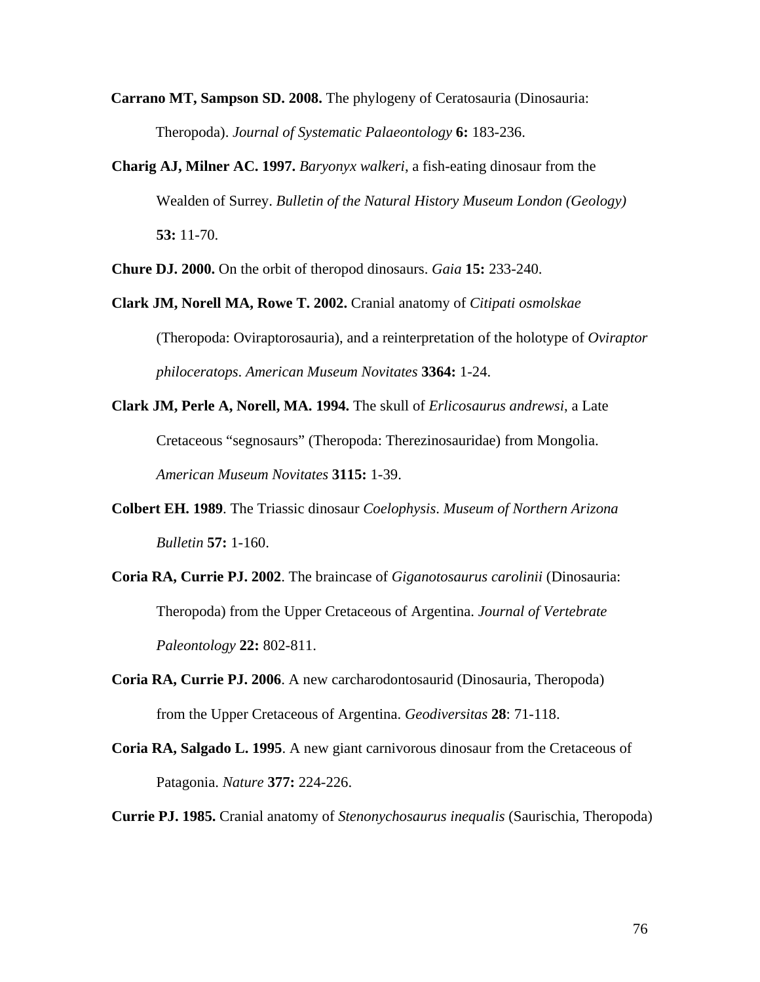**Carrano MT, Sampson SD. 2008.** The phylogeny of Ceratosauria (Dinosauria: Theropoda). *Journal of Systematic Palaeontology* **6:** 183-236.

**Charig AJ, Milner AC. 1997.** *Baryonyx walkeri*, a fish-eating dinosaur from the Wealden of Surrey. *Bulletin of the Natural History Museum London (Geology)* **53:** 11-70.

**Chure DJ. 2000.** On the orbit of theropod dinosaurs. *Gaia* **15:** 233-240.

- **Clark JM, Norell MA, Rowe T. 2002.** Cranial anatomy of *Citipati osmolskae* (Theropoda: Oviraptorosauria), and a reinterpretation of the holotype of *Oviraptor philoceratops*. *American Museum Novitates* **3364:** 1-24.
- **Clark JM, Perle A, Norell, MA. 1994.** The skull of *Erlicosaurus andrewsi*, a Late Cretaceous "segnosaurs" (Theropoda: Therezinosauridae) from Mongolia. *American Museum Novitates* **3115:** 1-39.
- **Colbert EH. 1989**. The Triassic dinosaur *Coelophysis*. *Museum of Northern Arizona Bulletin* **57:** 1-160.
- **Coria RA, Currie PJ. 2002**. The braincase of *Giganotosaurus carolinii* (Dinosauria: Theropoda) from the Upper Cretaceous of Argentina. *Journal of Vertebrate Paleontology* **22:** 802-811.
- **Coria RA, Currie PJ. 2006**. A new carcharodontosaurid (Dinosauria, Theropoda) from the Upper Cretaceous of Argentina. *Geodiversitas* **28**: 71-118.
- **Coria RA, Salgado L. 1995**. A new giant carnivorous dinosaur from the Cretaceous of Patagonia. *Nature* **377:** 224-226.
- **Currie PJ. 1985.** Cranial anatomy of *Stenonychosaurus inequalis* (Saurischia, Theropoda)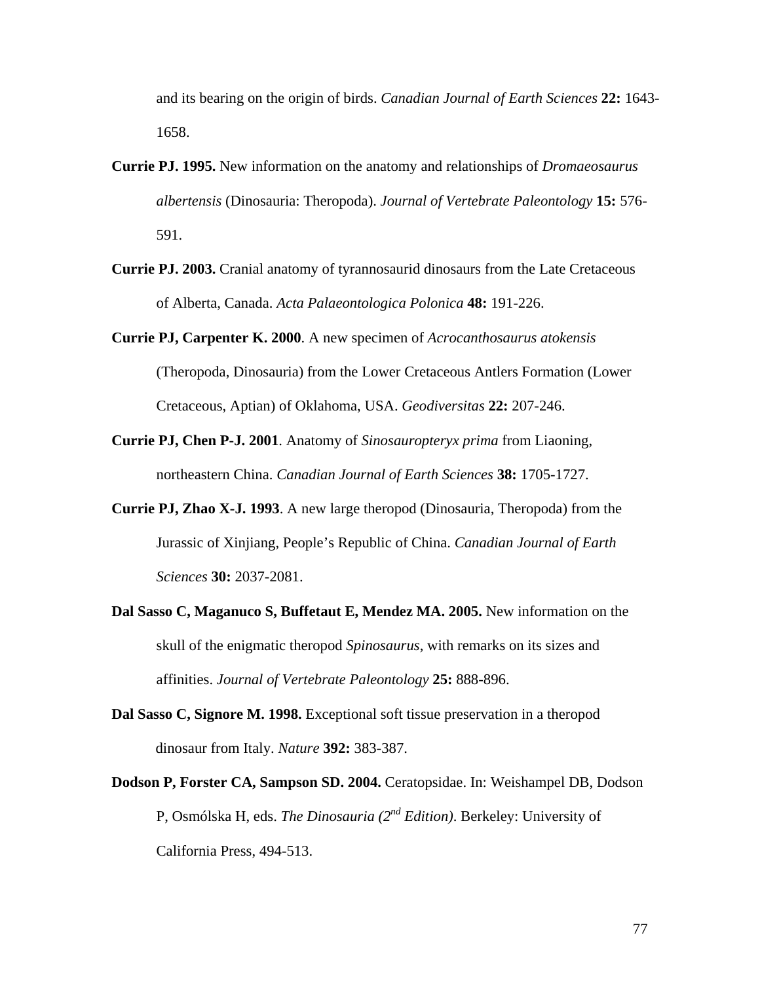and its bearing on the origin of birds. *Canadian Journal of Earth Sciences* **22:** 1643- 1658.

- **Currie PJ. 1995.** New information on the anatomy and relationships of *Dromaeosaurus albertensis* (Dinosauria: Theropoda). *Journal of Vertebrate Paleontology* **15:** 576- 591.
- **Currie PJ. 2003.** Cranial anatomy of tyrannosaurid dinosaurs from the Late Cretaceous of Alberta, Canada. *Acta Palaeontologica Polonica* **48:** 191-226.
- **Currie PJ, Carpenter K. 2000**. A new specimen of *Acrocanthosaurus atokensis* (Theropoda, Dinosauria) from the Lower Cretaceous Antlers Formation (Lower Cretaceous, Aptian) of Oklahoma, USA. *Geodiversitas* **22:** 207-246.
- **Currie PJ, Chen P-J. 2001**. Anatomy of *Sinosauropteryx prima* from Liaoning, northeastern China. *Canadian Journal of Earth Sciences* **38:** 1705-1727.
- **Currie PJ, Zhao X-J. 1993**. A new large theropod (Dinosauria, Theropoda) from the Jurassic of Xinjiang, People's Republic of China. *Canadian Journal of Earth Sciences* **30:** 2037-2081.
- **Dal Sasso C, Maganuco S, Buffetaut E, Mendez MA. 2005.** New information on the skull of the enigmatic theropod *Spinosaurus*, with remarks on its sizes and affinities. *Journal of Vertebrate Paleontology* **25:** 888-896.
- **Dal Sasso C, Signore M. 1998.** Exceptional soft tissue preservation in a theropod dinosaur from Italy. *Nature* **392:** 383-387.
- **Dodson P, Forster CA, Sampson SD. 2004.** Ceratopsidae. In: Weishampel DB, Dodson P, Osmólska H, eds. *The Dinosauria (2nd Edition)*. Berkeley: University of California Press, 494-513.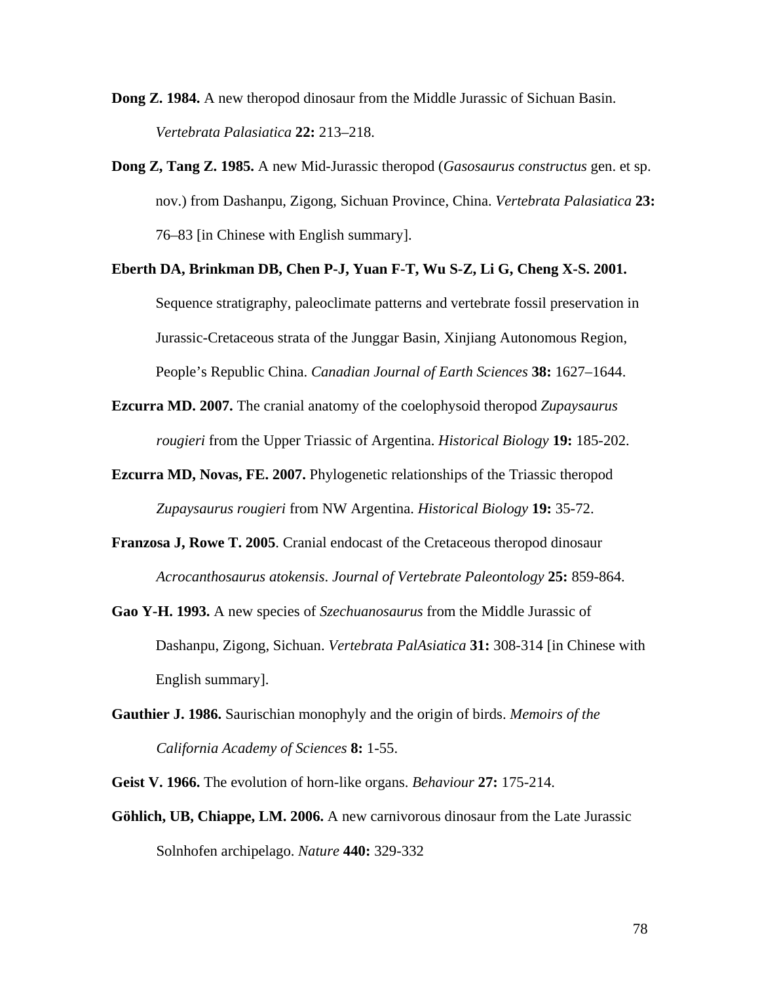**Dong Z. 1984.** A new theropod dinosaur from the Middle Jurassic of Sichuan Basin. *Vertebrata Palasiatica* **22:** 213–218.

- **Dong Z, Tang Z. 1985.** A new Mid-Jurassic theropod (*Gasosaurus constructus* gen. et sp. nov.) from Dashanpu, Zigong, Sichuan Province, China. *Vertebrata Palasiatica* **23:** 76–83 [in Chinese with English summary].
- **Eberth DA, Brinkman DB, Chen P-J, Yuan F-T, Wu S-Z, Li G, Cheng X-S. 2001.** Sequence stratigraphy, paleoclimate patterns and vertebrate fossil preservation in Jurassic-Cretaceous strata of the Junggar Basin, Xinjiang Autonomous Region, People's Republic China. *Canadian Journal of Earth Sciences* **38:** 1627–1644.
- **Ezcurra MD. 2007.** The cranial anatomy of the coelophysoid theropod *Zupaysaurus rougieri* from the Upper Triassic of Argentina. *Historical Biology* **19:** 185-202.
- **Ezcurra MD, Novas, FE. 2007.** Phylogenetic relationships of the Triassic theropod *Zupaysaurus rougieri* from NW Argentina. *Historical Biology* **19:** 35-72.
- **Franzosa J, Rowe T. 2005**. Cranial endocast of the Cretaceous theropod dinosaur *Acrocanthosaurus atokensis*. *Journal of Vertebrate Paleontology* **25:** 859-864.
- **Gao Y-H. 1993.** A new species of *Szechuanosaurus* from the Middle Jurassic of Dashanpu, Zigong, Sichuan. *Vertebrata PalAsiatica* **31:** 308-314 [in Chinese with English summary].
- **Gauthier J. 1986.** Saurischian monophyly and the origin of birds. *Memoirs of the California Academy of Sciences* **8:** 1-55.

**Geist V. 1966.** The evolution of horn-like organs. *Behaviour* **27:** 175-214.

**Göhlich, UB, Chiappe, LM. 2006.** A new carnivorous dinosaur from the Late Jurassic Solnhofen archipelago. *Nature* **440:** 329-332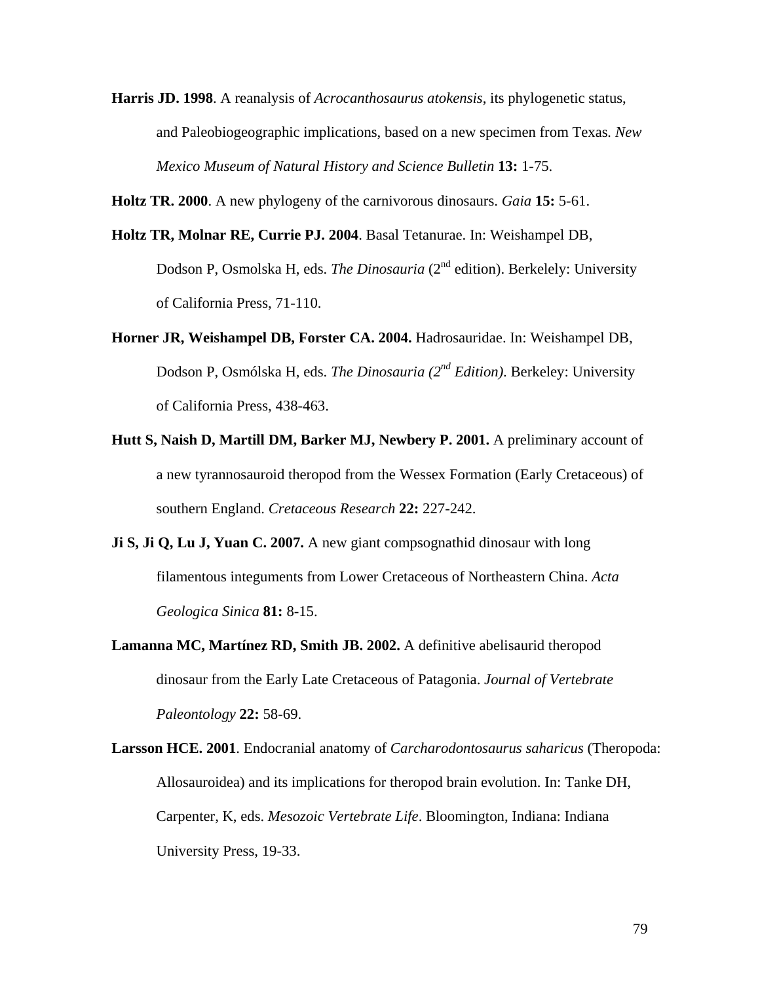**Harris JD. 1998**. A reanalysis of *Acrocanthosaurus atokensis*, its phylogenetic status, and Paleobiogeographic implications, based on a new specimen from Texas*. New Mexico Museum of Natural History and Science Bulletin* **13:** 1-75.

**Holtz TR. 2000**. A new phylogeny of the carnivorous dinosaurs. *Gaia* **15:** 5-61.

- **Holtz TR, Molnar RE, Currie PJ. 2004**. Basal Tetanurae. In: Weishampel DB, Dodson P, Osmolska H, eds. *The Dinosauria* (2nd edition). Berkelely: University of California Press, 71-110.
- **Horner JR, Weishampel DB, Forster CA. 2004.** Hadrosauridae. In: Weishampel DB, Dodson P, Osmólska H, eds. *The Dinosauria (2nd Edition)*. Berkeley: University of California Press, 438-463.
- **Hutt S, Naish D, Martill DM, Barker MJ, Newbery P. 2001.** A preliminary account of a new tyrannosauroid theropod from the Wessex Formation (Early Cretaceous) of southern England. *Cretaceous Research* **22:** 227-242.
- **Ji S, Ji Q, Lu J, Yuan C. 2007.** A new giant compsognathid dinosaur with long filamentous integuments from Lower Cretaceous of Northeastern China. *Acta Geologica Sinica* **81:** 8-15.
- **Lamanna MC, Martínez RD, Smith JB. 2002.** A definitive abelisaurid theropod dinosaur from the Early Late Cretaceous of Patagonia. *Journal of Vertebrate Paleontology* **22:** 58-69.
- **Larsson HCE. 2001**. Endocranial anatomy of *Carcharodontosaurus saharicus* (Theropoda: Allosauroidea) and its implications for theropod brain evolution. In: Tanke DH, Carpenter, K, eds. *Mesozoic Vertebrate Life*. Bloomington, Indiana: Indiana University Press, 19-33.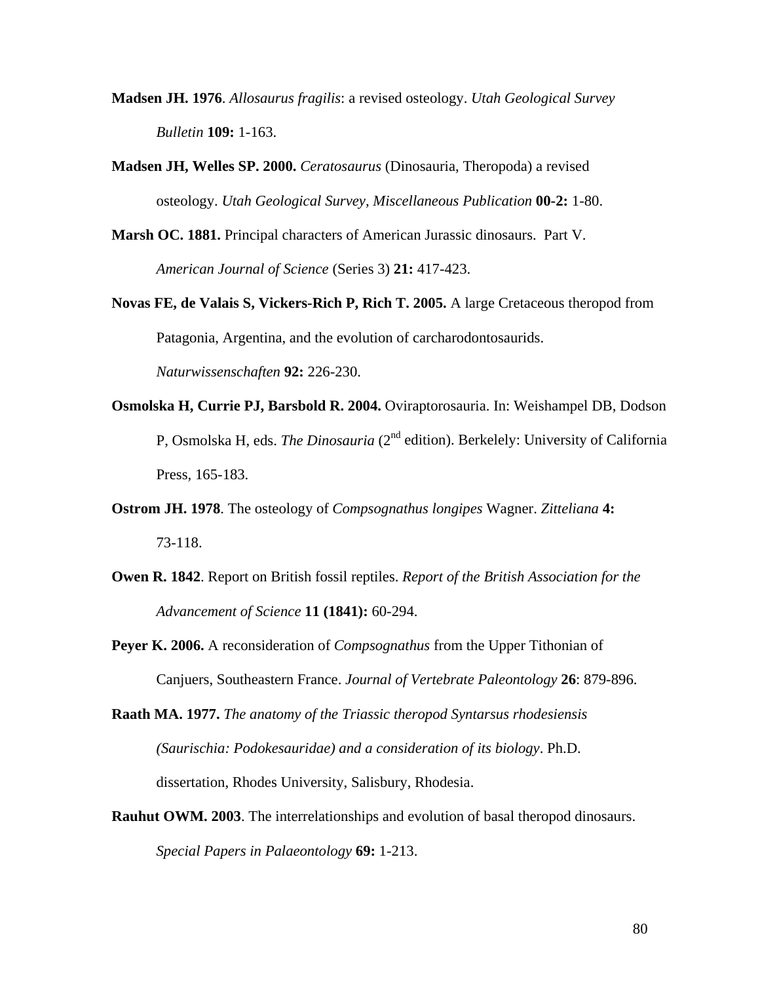- **Madsen JH. 1976**. *Allosaurus fragilis*: a revised osteology. *Utah Geological Survey Bulletin* **109:** 1-163.
- **Madsen JH, Welles SP. 2000.** *Ceratosaurus* (Dinosauria, Theropoda) a revised osteology. *Utah Geological Survey, Miscellaneous Publication* **00-2:** 1-80.
- **Marsh OC. 1881.** Principal characters of American Jurassic dinosaurs. Part V. *American Journal of Science* (Series 3) **21:** 417-423.
- **Novas FE, de Valais S, Vickers-Rich P, Rich T. 2005.** A large Cretaceous theropod from Patagonia, Argentina, and the evolution of carcharodontosaurids. *Naturwissenschaften* **92:** 226-230.
- **Osmolska H, Currie PJ, Barsbold R. 2004.** Oviraptorosauria. In: Weishampel DB, Dodson P, Osmolska H, eds. *The Dinosauria* (2nd edition). Berkelely: University of California Press, 165-183.
- **Ostrom JH. 1978**. The osteology of *Compsognathus longipes* Wagner. *Zitteliana* **4:** 73-118.
- **Owen R. 1842**. Report on British fossil reptiles. *Report of the British Association for the Advancement of Science* **11 (1841):** 60-294.
- **Peyer K. 2006.** A reconsideration of *Compsognathus* from the Upper Tithonian of Canjuers, Southeastern France. *Journal of Vertebrate Paleontology* **26**: 879-896.

**Raath MA. 1977.** *The anatomy of the Triassic theropod Syntarsus rhodesiensis (Saurischia: Podokesauridae) and a consideration of its biology*. Ph.D. dissertation, Rhodes University, Salisbury, Rhodesia.

**Rauhut OWM. 2003**. The interrelationships and evolution of basal theropod dinosaurs. *Special Papers in Palaeontology* **69:** 1-213.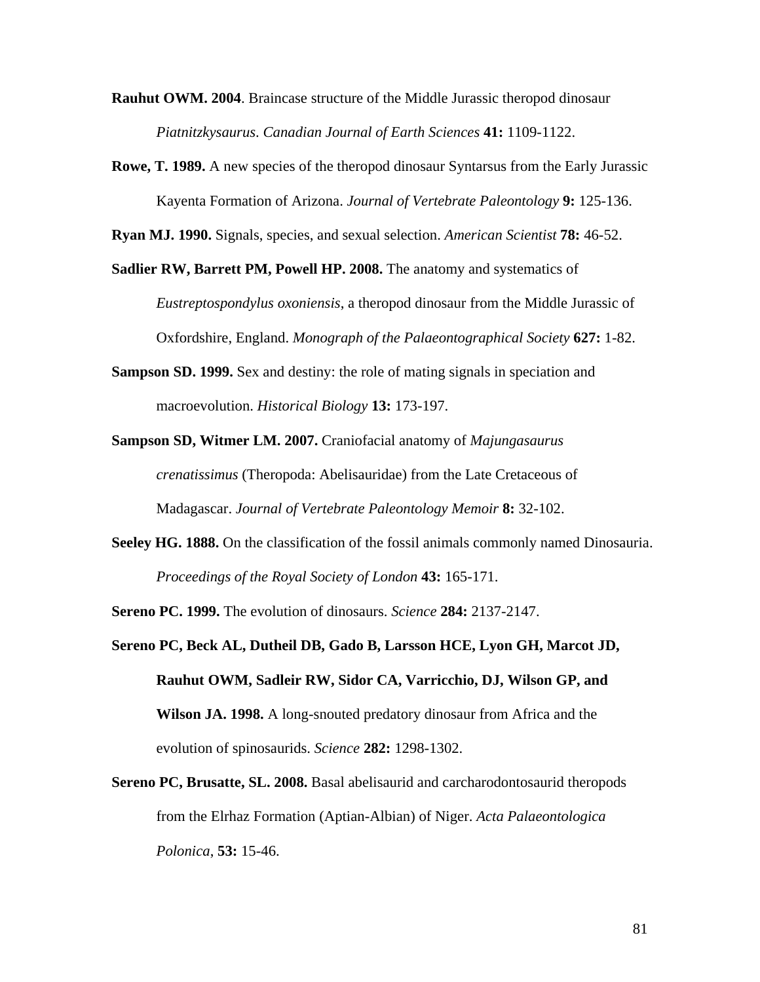**Rauhut OWM. 2004**. Braincase structure of the Middle Jurassic theropod dinosaur *Piatnitzkysaurus*. *Canadian Journal of Earth Sciences* **41:** 1109-1122.

**Rowe, T. 1989.** A new species of the theropod dinosaur Syntarsus from the Early Jurassic Kayenta Formation of Arizona. *Journal of Vertebrate Paleontology* **9:** 125-136.

**Ryan MJ. 1990.** Signals, species, and sexual selection. *American Scientist* **78:** 46-52.

**Sadlier RW, Barrett PM, Powell HP. 2008.** The anatomy and systematics of *Eustreptospondylus oxoniensis*, a theropod dinosaur from the Middle Jurassic of Oxfordshire, England. *Monograph of the Palaeontographical Society* **627:** 1-82.

- **Sampson SD. 1999.** Sex and destiny: the role of mating signals in speciation and macroevolution. *Historical Biology* **13:** 173-197.
- **Sampson SD, Witmer LM. 2007.** Craniofacial anatomy of *Majungasaurus crenatissimus* (Theropoda: Abelisauridae) from the Late Cretaceous of Madagascar. *Journal of Vertebrate Paleontology Memoir* **8:** 32-102.
- **Seeley HG. 1888.** On the classification of the fossil animals commonly named Dinosauria. *Proceedings of the Royal Society of London* **43:** 165-171.

**Sereno PC. 1999.** The evolution of dinosaurs. *Science* **284:** 2137-2147.

- **Sereno PC, Beck AL, Dutheil DB, Gado B, Larsson HCE, Lyon GH, Marcot JD, Rauhut OWM, Sadleir RW, Sidor CA, Varricchio, DJ, Wilson GP, and Wilson JA. 1998.** A long-snouted predatory dinosaur from Africa and the evolution of spinosaurids. *Science* **282:** 1298-1302.
- **Sereno PC, Brusatte, SL. 2008.** Basal abelisaurid and carcharodontosaurid theropods from the Elrhaz Formation (Aptian-Albian) of Niger. *Acta Palaeontologica Polonica*, **53:** 15-46.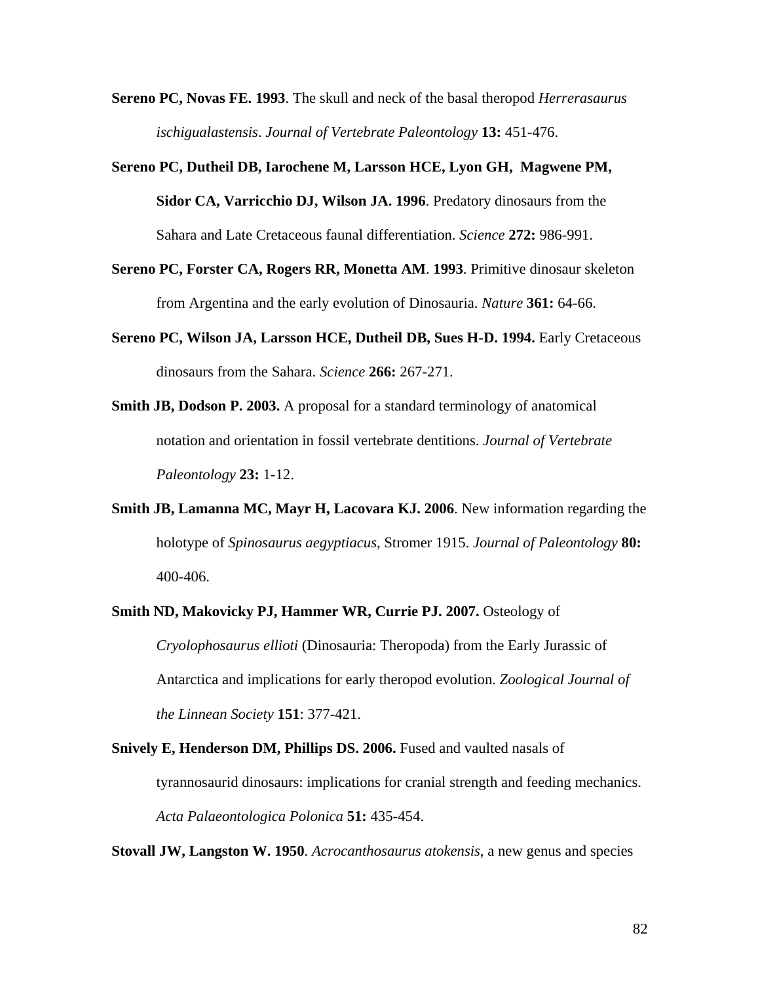- **Sereno PC, Novas FE. 1993**. The skull and neck of the basal theropod *Herrerasaurus ischigualastensis*. *Journal of Vertebrate Paleontology* **13:** 451-476.
- **Sereno PC, Dutheil DB, Iarochene M, Larsson HCE, Lyon GH, Magwene PM, Sidor CA, Varricchio DJ, Wilson JA. 1996**. Predatory dinosaurs from the Sahara and Late Cretaceous faunal differentiation. *Science* **272:** 986-991.
- **Sereno PC, Forster CA, Rogers RR, Monetta AM**. **1993**. Primitive dinosaur skeleton from Argentina and the early evolution of Dinosauria. *Nature* **361:** 64-66.
- **Sereno PC, Wilson JA, Larsson HCE, Dutheil DB, Sues H-D. 1994.** Early Cretaceous dinosaurs from the Sahara. *Science* **266:** 267-271.
- **Smith JB, Dodson P. 2003.** A proposal for a standard terminology of anatomical notation and orientation in fossil vertebrate dentitions. *Journal of Vertebrate Paleontology* **23:** 1-12.
- **Smith JB, Lamanna MC, Mayr H, Lacovara KJ. 2006**. New information regarding the holotype of *Spinosaurus aegyptiacus*, Stromer 1915. *Journal of Paleontology* **80:** 400-406.
- **Smith ND, Makovicky PJ, Hammer WR, Currie PJ. 2007.** Osteology of *Cryolophosaurus ellioti* (Dinosauria: Theropoda) from the Early Jurassic of Antarctica and implications for early theropod evolution. *Zoological Journal of the Linnean Society* **151**: 377-421.
- **Snively E, Henderson DM, Phillips DS. 2006.** Fused and vaulted nasals of tyrannosaurid dinosaurs: implications for cranial strength and feeding mechanics. *Acta Palaeontologica Polonica* **51:** 435-454.

**Stovall JW, Langston W. 1950**. *Acrocanthosaurus atokensis*, a new genus and species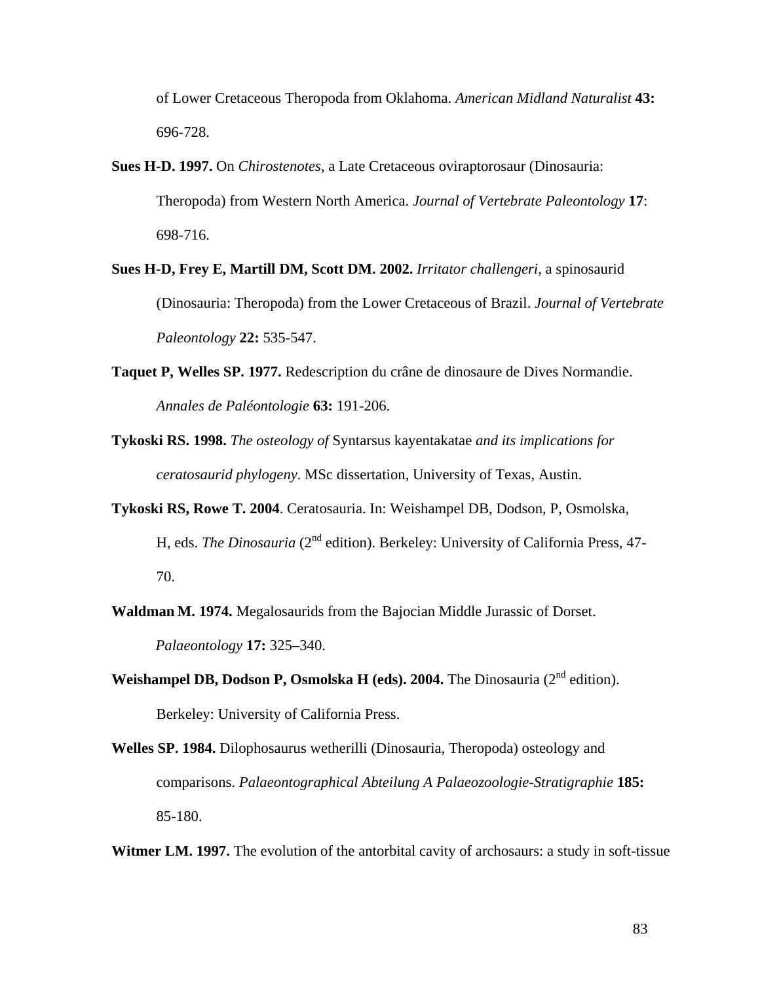of Lower Cretaceous Theropoda from Oklahoma. *American Midland Naturalist* **43:** 696-728.

- **Sues H-D. 1997.** On *Chirostenotes*, a Late Cretaceous oviraptorosaur (Dinosauria: Theropoda) from Western North America. *Journal of Vertebrate Paleontology* **17**: 698-716.
- **Sues H-D, Frey E, Martill DM, Scott DM. 2002.** *Irritator challengeri*, a spinosaurid (Dinosauria: Theropoda) from the Lower Cretaceous of Brazil. *Journal of Vertebrate Paleontology* **22:** 535-547.
- **Taquet P, Welles SP. 1977.** Redescription du crâne de dinosaure de Dives Normandie. *Annales de Paléontologie* **63:** 191-206.
- **Tykoski RS. 1998.** *The osteology of* Syntarsus kayentakatae *and its implications for ceratosaurid phylogeny*. MSc dissertation, University of Texas, Austin.
- **Tykoski RS, Rowe T. 2004**. Ceratosauria. In: Weishampel DB, Dodson, P, Osmolska, H, eds. *The Dinosauria* (2<sup>nd</sup> edition). Berkeley: University of California Press, 47-70.
- **Waldman M. 1974.** Megalosaurids from the Bajocian Middle Jurassic of Dorset. *Palaeontology* **17:** 325–340.
- **Weishampel DB, Dodson P, Osmolska H (eds). 2004.** The Dinosauria ( $2<sup>nd</sup>$  edition). Berkeley: University of California Press.
- **Welles SP. 1984.** Dilophosaurus wetherilli (Dinosauria, Theropoda) osteology and comparisons. *Palaeontographical Abteilung A Palaeozoologie-Stratigraphie* **185:** 85-180.
- **Witmer LM. 1997.** The evolution of the antorbital cavity of archosaurs: a study in soft-tissue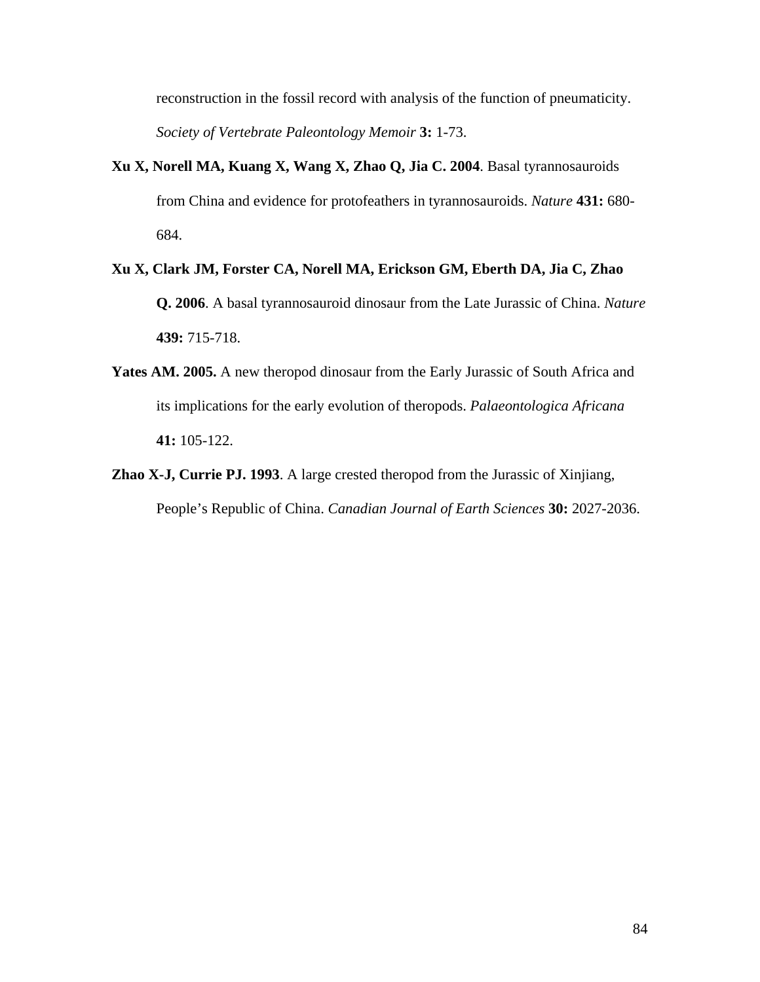reconstruction in the fossil record with analysis of the function of pneumaticity. *Society of Vertebrate Paleontology Memoir* **3:** 1-73.

- **Xu X, Norell MA, Kuang X, Wang X, Zhao Q, Jia C. 2004**. Basal tyrannosauroids from China and evidence for protofeathers in tyrannosauroids. *Nature* **431:** 680- 684.
- **Xu X, Clark JM, Forster CA, Norell MA, Erickson GM, Eberth DA, Jia C, Zhao Q. 2006**. A basal tyrannosauroid dinosaur from the Late Jurassic of China. *Nature* **439:** 715-718.
- **Yates AM. 2005.** A new theropod dinosaur from the Early Jurassic of South Africa and its implications for the early evolution of theropods. *Palaeontologica Africana* **41:** 105-122.
- **Zhao X-J, Currie PJ. 1993**. A large crested theropod from the Jurassic of Xinjiang, People's Republic of China. *Canadian Journal of Earth Sciences* **30:** 2027-2036.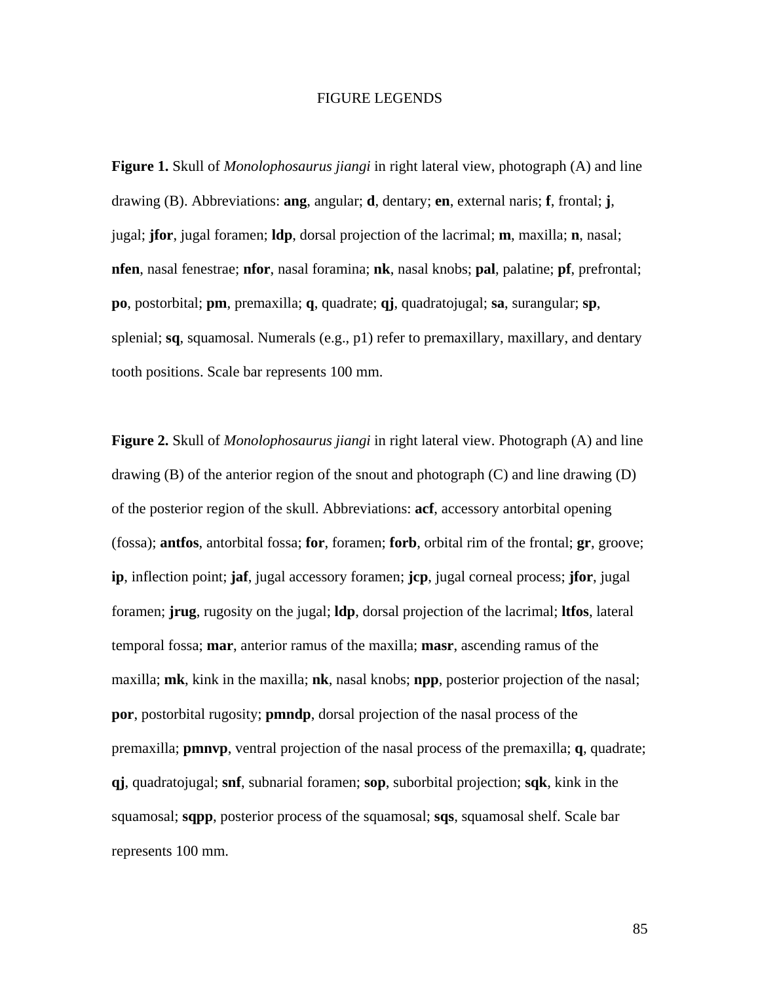## FIGURE LEGENDS

**Figure 1.** Skull of *Monolophosaurus jiangi* in right lateral view, photograph (A) and line drawing (B). Abbreviations: **ang**, angular; **d**, dentary; **en**, external naris; **f**, frontal; **j**, jugal; **jfor**, jugal foramen; **ldp**, dorsal projection of the lacrimal; **m**, maxilla; **n**, nasal; **nfen**, nasal fenestrae; **nfor**, nasal foramina; **nk**, nasal knobs; **pal**, palatine; **pf**, prefrontal; **po**, postorbital; **pm**, premaxilla; **q**, quadrate; **qj**, quadratojugal; **sa**, surangular; **sp**, splenial; **sq**, squamosal. Numerals (e.g., p1) refer to premaxillary, maxillary, and dentary tooth positions. Scale bar represents 100 mm.

**Figure 2.** Skull of *Monolophosaurus jiangi* in right lateral view. Photograph (A) and line drawing  $(B)$  of the anterior region of the snout and photograph  $(C)$  and line drawing  $(D)$ of the posterior region of the skull. Abbreviations: **acf**, accessory antorbital opening (fossa); **antfos**, antorbital fossa; **for**, foramen; **forb**, orbital rim of the frontal; **gr**, groove; **ip**, inflection point; **jaf**, jugal accessory foramen; **jcp**, jugal corneal process; **jfor**, jugal foramen; **jrug**, rugosity on the jugal; **ldp**, dorsal projection of the lacrimal; **ltfos**, lateral temporal fossa; **mar**, anterior ramus of the maxilla; **masr**, ascending ramus of the maxilla; **mk**, kink in the maxilla; **nk**, nasal knobs; **npp**, posterior projection of the nasal; **por**, postorbital rugosity; **pmndp**, dorsal projection of the nasal process of the premaxilla; **pmnvp**, ventral projection of the nasal process of the premaxilla; **q**, quadrate; **qj**, quadratojugal; **snf**, subnarial foramen; **sop**, suborbital projection; **sqk**, kink in the squamosal; **sqpp**, posterior process of the squamosal; **sqs**, squamosal shelf. Scale bar represents 100 mm.

85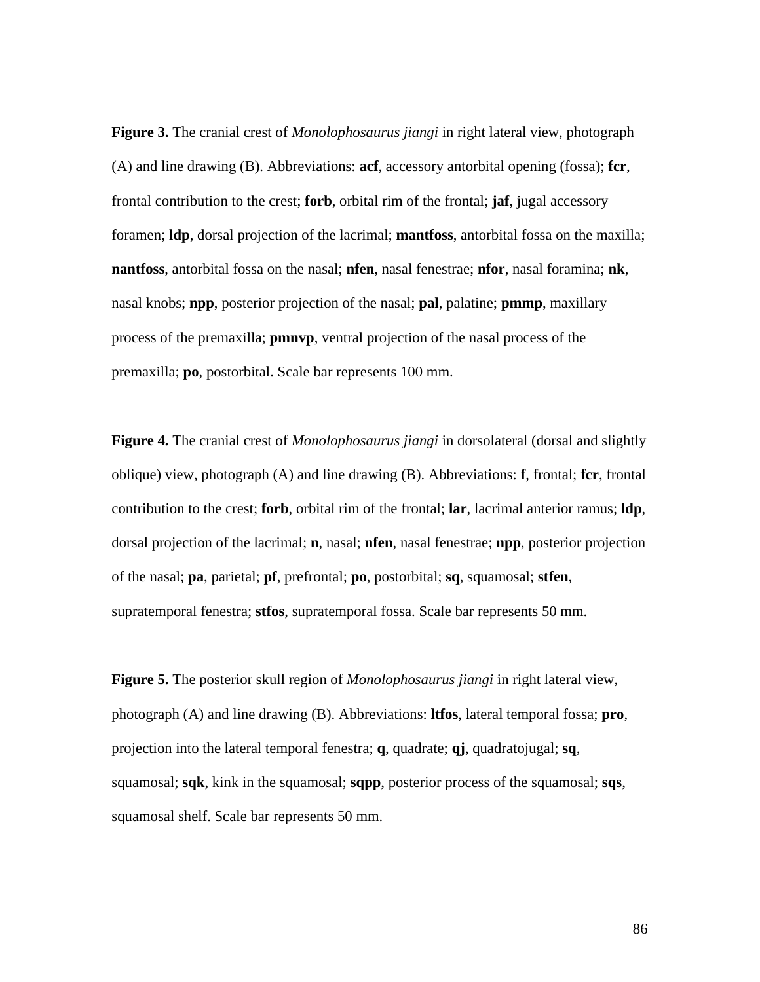**Figure 3.** The cranial crest of *Monolophosaurus jiangi* in right lateral view, photograph (A) and line drawing (B). Abbreviations: **acf**, accessory antorbital opening (fossa); **fcr**, frontal contribution to the crest; **forb**, orbital rim of the frontal; **jaf**, jugal accessory foramen; **ldp**, dorsal projection of the lacrimal; **mantfoss**, antorbital fossa on the maxilla; **nantfoss**, antorbital fossa on the nasal; **nfen**, nasal fenestrae; **nfor**, nasal foramina; **nk**, nasal knobs; **npp**, posterior projection of the nasal; **pal**, palatine; **pmmp**, maxillary process of the premaxilla; **pmnvp**, ventral projection of the nasal process of the premaxilla; **po**, postorbital. Scale bar represents 100 mm.

**Figure 4.** The cranial crest of *Monolophosaurus jiangi* in dorsolateral (dorsal and slightly oblique) view, photograph (A) and line drawing (B). Abbreviations: **f**, frontal; **fcr**, frontal contribution to the crest; **forb**, orbital rim of the frontal; **lar**, lacrimal anterior ramus; **ldp**, dorsal projection of the lacrimal; **n**, nasal; **nfen**, nasal fenestrae; **npp**, posterior projection of the nasal; **pa**, parietal; **pf**, prefrontal; **po**, postorbital; **sq**, squamosal; **stfen**, supratemporal fenestra; **stfos**, supratemporal fossa. Scale bar represents 50 mm.

**Figure 5.** The posterior skull region of *Monolophosaurus jiangi* in right lateral view, photograph (A) and line drawing (B). Abbreviations: **ltfos**, lateral temporal fossa; **pro**, projection into the lateral temporal fenestra; **q**, quadrate; **qj**, quadratojugal; **sq**, squamosal; **sqk**, kink in the squamosal; **sqpp**, posterior process of the squamosal; **sqs**, squamosal shelf. Scale bar represents 50 mm.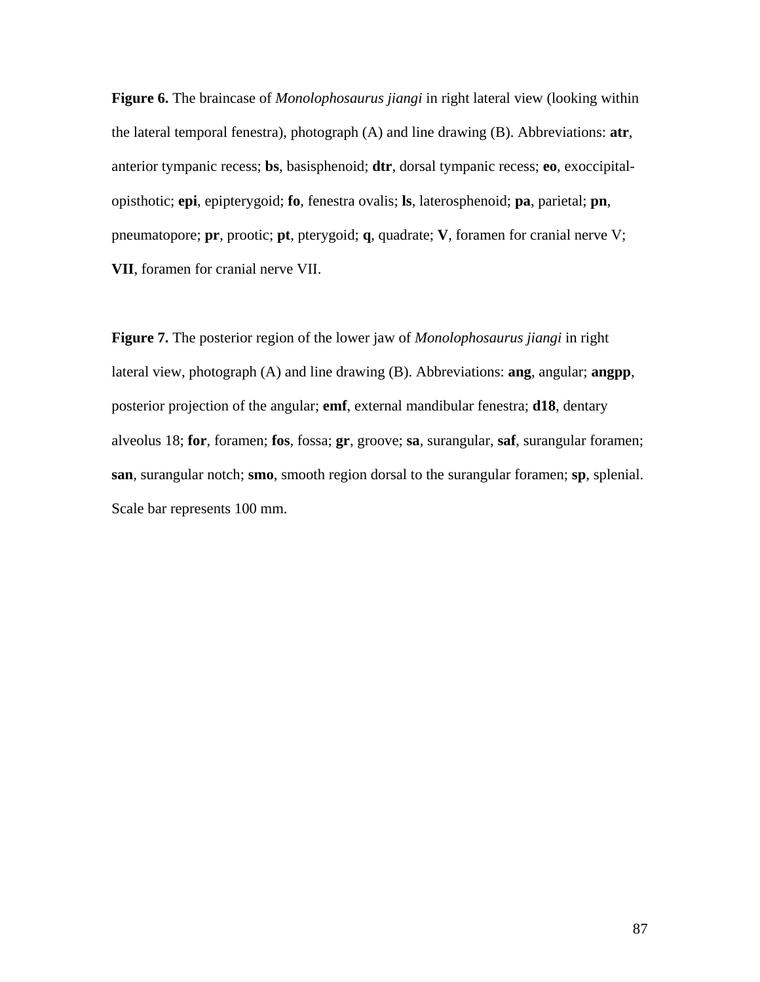**Figure 6.** The braincase of *Monolophosaurus jiangi* in right lateral view (looking within the lateral temporal fenestra), photograph (A) and line drawing (B). Abbreviations: **atr**, anterior tympanic recess; **bs**, basisphenoid; **dtr**, dorsal tympanic recess; **eo**, exoccipitalopisthotic; **epi**, epipterygoid; **fo**, fenestra ovalis; **ls**, laterosphenoid; **pa**, parietal; **pn**, pneumatopore; **pr**, prootic; **pt**, pterygoid; **q**, quadrate; **V**, foramen for cranial nerve V; **VII**, foramen for cranial nerve VII.

**Figure 7.** The posterior region of the lower jaw of *Monolophosaurus jiangi* in right lateral view, photograph (A) and line drawing (B). Abbreviations: **ang**, angular; **angpp**, posterior projection of the angular; **emf**, external mandibular fenestra; **d18**, dentary alveolus 18; **for**, foramen; **fos**, fossa; **gr**, groove; **sa**, surangular, **saf**, surangular foramen; **san**, surangular notch; **smo**, smooth region dorsal to the surangular foramen; **sp**, splenial. Scale bar represents 100 mm.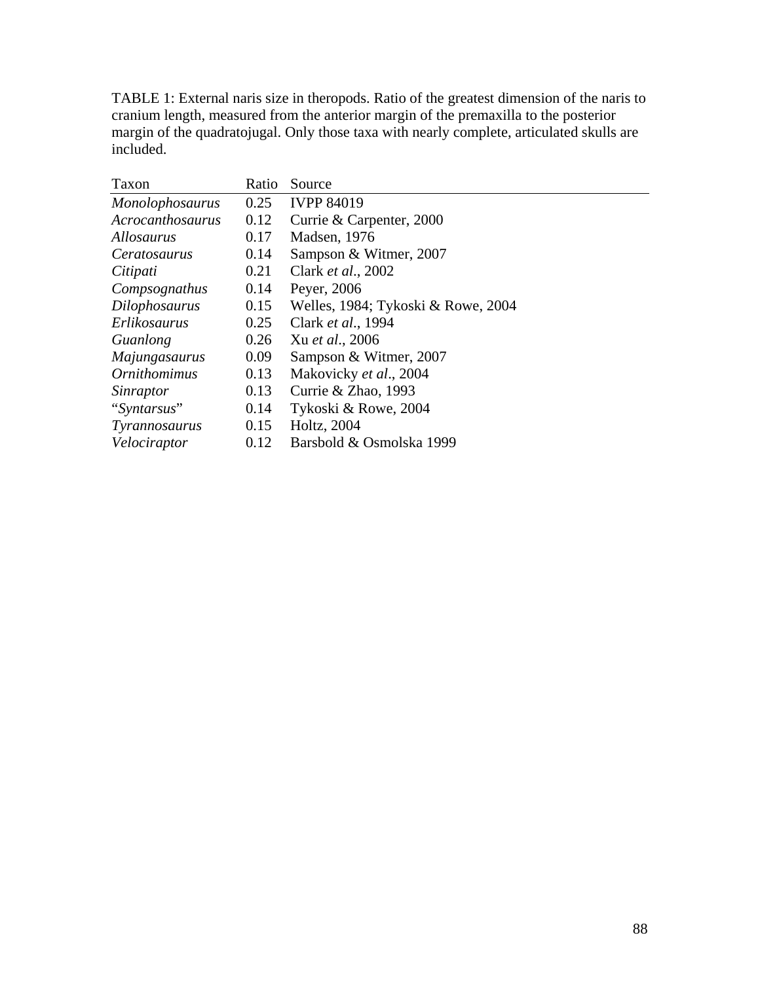TABLE 1: External naris size in theropods. Ratio of the greatest dimension of the naris to cranium length, measured from the anterior margin of the premaxilla to the posterior margin of the quadratojugal. Only those taxa with nearly complete, articulated skulls are included.

| Taxon                  | Ratio | Source                             |
|------------------------|-------|------------------------------------|
| <b>Monolophosaurus</b> | 0.25  | <b>IVPP 84019</b>                  |
| Acrocanthosaurus       | 0.12  | Currie & Carpenter, 2000           |
| <i>Allosaurus</i>      | 0.17  | Madsen, 1976                       |
| <i>Ceratosaurus</i>    | 0.14  | Sampson & Witmer, 2007             |
| Citipati               | 0.21  | Clark <i>et al.</i> , 2002         |
| Compsognathus          | 0.14  | Peyer, 2006                        |
| <b>Dilophosaurus</b>   | 0.15  | Welles, 1984; Tykoski & Rowe, 2004 |
| Erlikosaurus           | 0.25  | Clark et al., 1994                 |
| Guanlong               | 0.26  | Xu et al., 2006                    |
| Majungasaurus          | 0.09  | Sampson & Witmer, 2007             |
| <i>Ornithomimus</i>    | 0.13  | Makovicky et al., 2004             |
| Sinraptor              | 0.13  | Currie & Zhao, 1993                |
| "Syntarsus"            | 0.14  | Tykoski & Rowe, 2004               |
| Tyrannosaurus          | 0.15  | Holtz, 2004                        |
| Velociraptor           | 0.12  | Barsbold & Osmolska 1999           |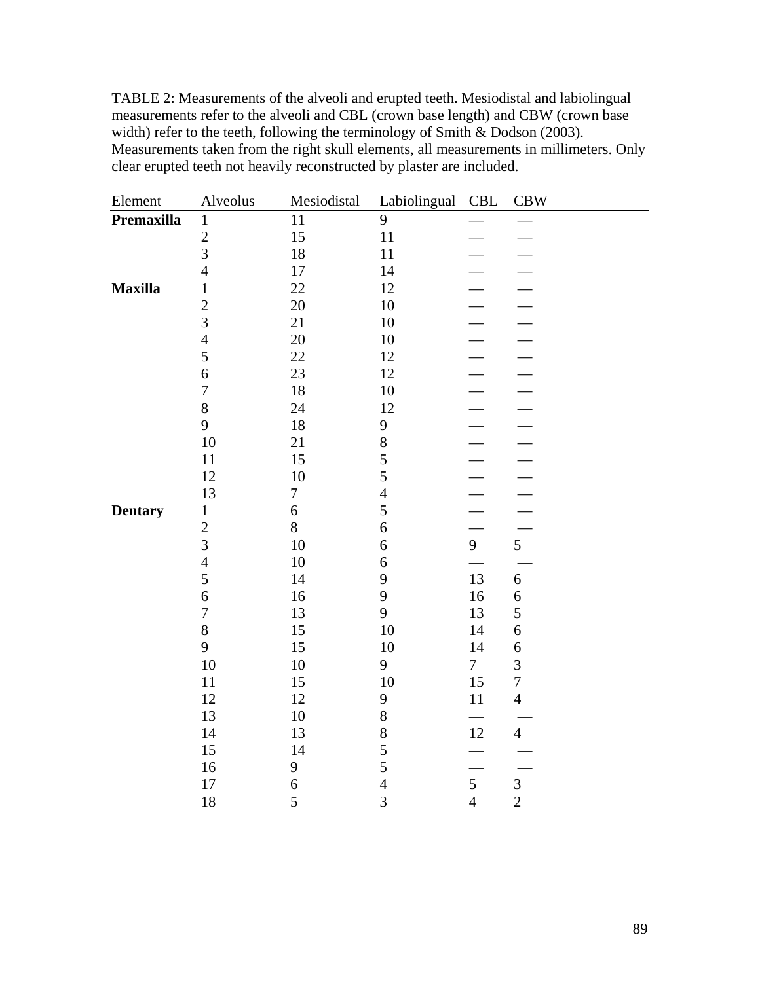TABLE 2: Measurements of the alveoli and erupted teeth. Mesiodistal and labiolingual measurements refer to the alveoli and CBL (crown base length) and CBW (crown base width) refer to the teeth, following the terminology of Smith & Dodson (2003). Measurements taken from the right skull elements, all measurements in millimeters. Only clear erupted teeth not heavily reconstructed by plaster are included.

| Element        | Alveolus         | Mesiodistal      | Labiolingual   | CBL                      | <b>CBW</b>       |
|----------------|------------------|------------------|----------------|--------------------------|------------------|
| Premaxilla     | $\mathbf{1}$     | 11               | 9              |                          |                  |
|                | $\overline{c}$   | 15               | 11             |                          |                  |
|                | $\overline{3}$   | 18               | 11             |                          |                  |
|                | $\overline{4}$   | 17               | 14             |                          |                  |
| <b>Maxilla</b> | $\mathbf{1}$     | 22               | 12             |                          |                  |
|                | $\overline{c}$   | 20               | 10             |                          |                  |
|                | 3                | 21               | 10             |                          |                  |
|                | $\overline{4}$   | 20               | 10             |                          |                  |
|                | 5                | 22               | 12             |                          |                  |
|                | 6                | 23               | 12             |                          |                  |
|                | $\boldsymbol{7}$ | 18               | $10\,$         |                          |                  |
|                | 8                | 24               | 12             |                          |                  |
|                | 9                | 18               | 9              |                          |                  |
|                | 10               | 21               | 8              |                          |                  |
|                | 11               | 15               | 5              |                          |                  |
|                | 12               | 10               | 5              |                          |                  |
|                | 13               | $\boldsymbol{7}$ | $\overline{4}$ |                          |                  |
| <b>Dentary</b> | $\,1$            | 6                | 5              | $\overline{\phantom{0}}$ |                  |
|                | $\overline{2}$   | 8                | 6              |                          |                  |
|                | 3                | 10               | 6              | 9                        | 5 <sup>5</sup>   |
|                | $\overline{4}$   | 10               | 6              |                          |                  |
|                | 5                | 14               | 9              | 13                       | $\boldsymbol{6}$ |
|                | 6                | 16               | 9              | 16                       | $\boldsymbol{6}$ |
|                | $\overline{7}$   | 13               | 9              | 13                       | 5                |
|                | 8                | 15               | 10             | 14                       | $\sqrt{6}$       |
|                | 9                | 15               | $10\,$         | 14                       | 6                |
|                | 10               | 10               | 9              | $\overline{7}$           | 3                |
|                | 11               | 15               | 10             | 15                       | $\overline{7}$   |
|                | 12               | 12               | $\mathbf{9}$   | 11                       | $\overline{4}$   |
|                | 13               | 10               | 8              |                          |                  |
|                | 14               | 13               | 8              | 12                       | $\overline{4}$   |
|                | 15               | 14               | 5              |                          |                  |
|                | 16               | 9                | 5              |                          |                  |
|                | $17\,$           | $\boldsymbol{6}$ | $\overline{4}$ | 5                        | $\mathfrak{Z}$   |
|                | 18               | 5                | $\overline{3}$ | $\overline{4}$           | $\overline{2}$   |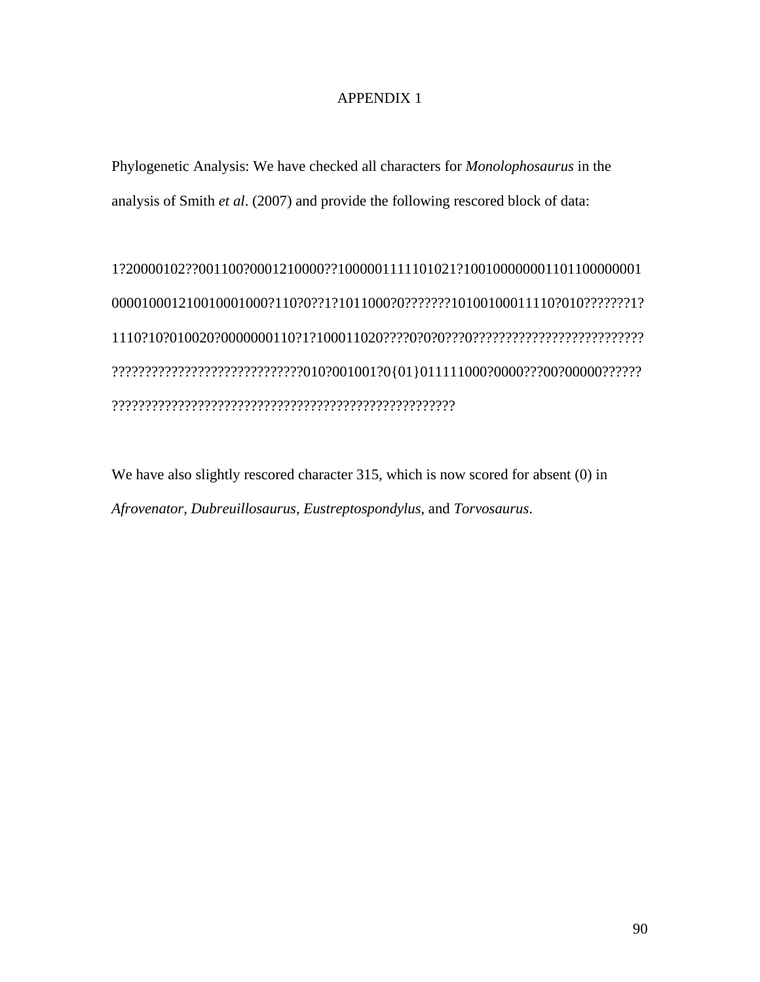# APPENDIX 1

Phylogenetic Analysis: We have checked all characters for *Monolophosaurus* in the analysis of Smith *et al*. (2007) and provide the following rescored block of data:

1?20000102??001100?0001210000??1000001111101021?100100000001101100000001 000010001210010001000?110?0??1?1011000?0???????10100100011110?010???????1? 1110?10?010020?0000000110?1?100011020????0?0?0???0?????????????????????????? ?????????????????????????????010?001001?0{01}011111000?0000???00?00000?????? ????????????????????????????????????????????????????

We have also slightly rescored character 315, which is now scored for absent (0) in *Afrovenator*, *Dubreuillosaurus*, *Eustreptospondylus*, and *Torvosaurus*.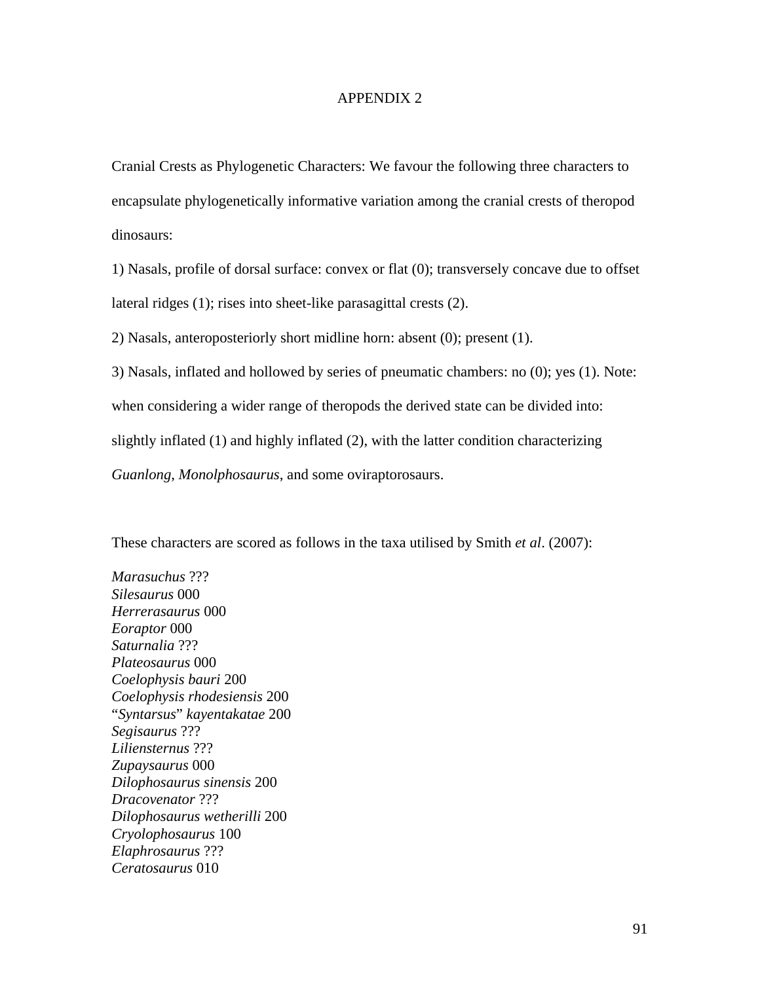## APPENDIX 2

Cranial Crests as Phylogenetic Characters: We favour the following three characters to encapsulate phylogenetically informative variation among the cranial crests of theropod dinosaurs:

1) Nasals, profile of dorsal surface: convex or flat (0); transversely concave due to offset lateral ridges (1); rises into sheet-like parasagittal crests (2).

2) Nasals, anteroposteriorly short midline horn: absent (0); present (1).

3) Nasals, inflated and hollowed by series of pneumatic chambers: no (0); yes (1). Note:

when considering a wider range of theropods the derived state can be divided into:

slightly inflated (1) and highly inflated (2), with the latter condition characterizing

*Guanlong*, *Monolphosaurus*, and some oviraptorosaurs.

These characters are scored as follows in the taxa utilised by Smith *et al*. (2007):

*Marasuchus* ??? *Silesaurus* 000 *Herrerasaurus* 000 *Eoraptor* 000 *Saturnalia* ??? *Plateosaurus* 000 *Coelophysis bauri* 200 *Coelophysis rhodesiensis* 200 "*Syntarsus*" *kayentakatae* 200 *Segisaurus* ??? *Liliensternus* ??? *Zupaysaurus* 000 *Dilophosaurus sinensis* 200 *Dracovenator* ??? *Dilophosaurus wetherilli* 200 *Cryolophosaurus* 100 *Elaphrosaurus* ??? *Ceratosaurus* 010